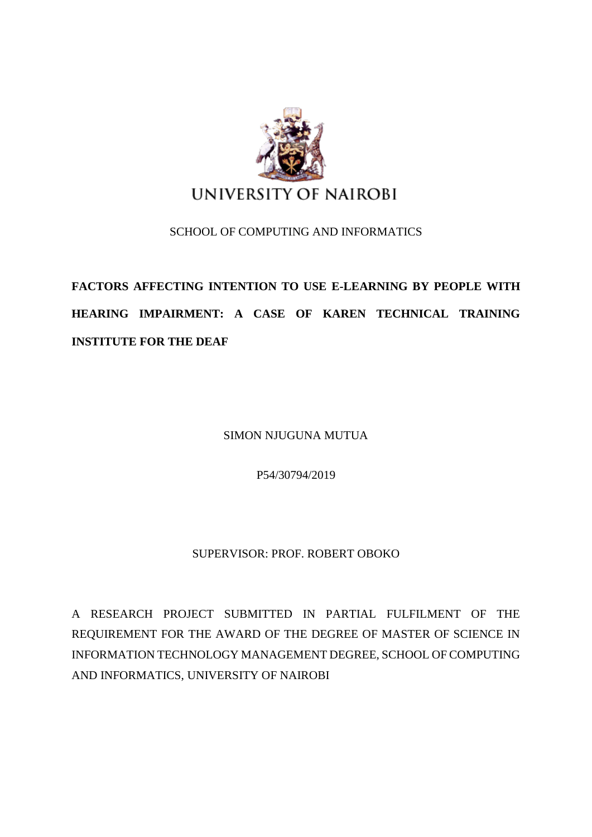

### SCHOOL OF COMPUTING AND INFORMATICS

# **FACTORS AFFECTING INTENTION TO USE E-LEARNING BY PEOPLE WITH HEARING IMPAIRMENT: A CASE OF KAREN TECHNICAL TRAINING INSTITUTE FOR THE DEAF**

SIMON NJUGUNA MUTUA

P54/30794/2019

## SUPERVISOR: PROF. ROBERT OBOKO

A RESEARCH PROJECT SUBMITTED IN PARTIAL FULFILMENT OF THE REQUIREMENT FOR THE AWARD OF THE DEGREE OF MASTER OF SCIENCE IN INFORMATION TECHNOLOGY MANAGEMENT DEGREE, SCHOOL OF COMPUTING AND INFORMATICS, UNIVERSITY OF NAIROBI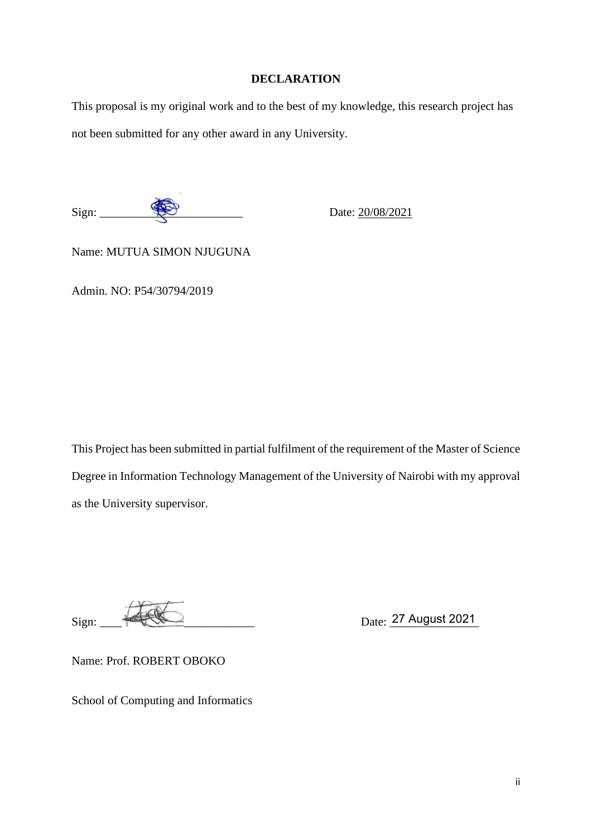#### **DECLARATION**

<span id="page-1-0"></span>This proposal is my original work and to the best of my knowledge, this research project has not been submitted for any other award in any University.

 $Sign:$  Date:  $20/08/2021$ 

Name: MUTUA SIMON NJUGUNA

Admin. NO: P54/30794/2019

This Project has been submitted in partial fulfilment of the requirement of the Master of Science Degree in Information Technology Management of the University of Nairobi with my approval as the University supervisor.

Sign: \_\_\_\_\_\_\_\_\_\_\_\_\_\_\_\_\_\_\_\_\_\_\_\_\_\_ Date: \_\_\_\_\_\_\_\_\_\_\_\_\_\_\_ 27 August 2021

Name: Prof. ROBERT OBOKO

School of Computing and Informatics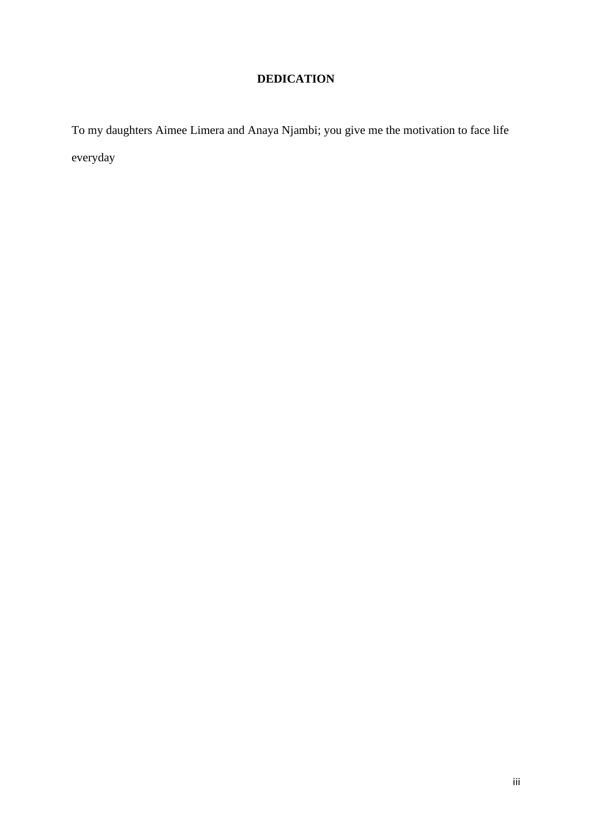## **DEDICATION**

To my daughters Aimee Limera and Anaya Njambi; you give me the motivation to face life everyday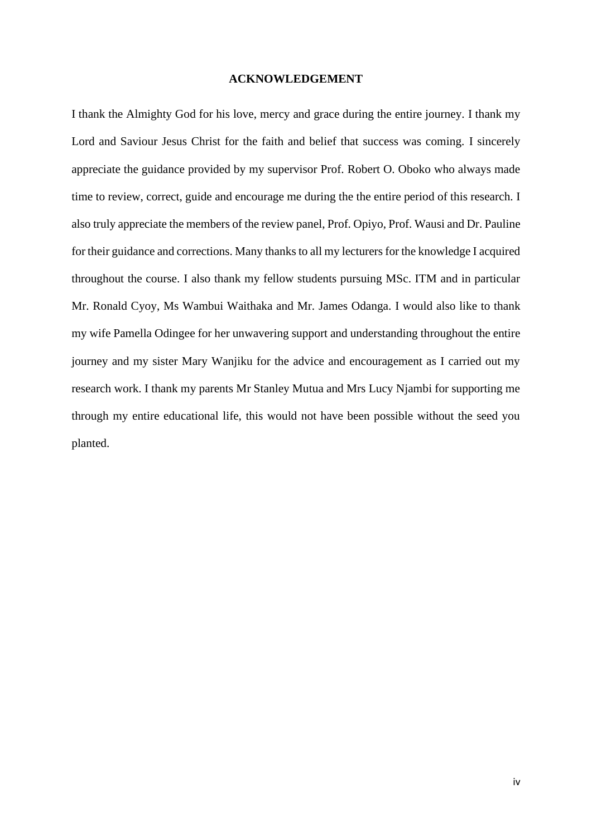#### **ACKNOWLEDGEMENT**

I thank the Almighty God for his love, mercy and grace during the entire journey. I thank my Lord and Saviour Jesus Christ for the faith and belief that success was coming. I sincerely appreciate the guidance provided by my supervisor Prof. Robert O. Oboko who always made time to review, correct, guide and encourage me during the the entire period of this research. I also truly appreciate the members of the review panel, Prof. Opiyo, Prof. Wausi and Dr. Pauline for their guidance and corrections. Many thanks to all my lecturers for the knowledge I acquired throughout the course. I also thank my fellow students pursuing MSc. ITM and in particular Mr. Ronald Cyoy, Ms Wambui Waithaka and Mr. James Odanga. I would also like to thank my wife Pamella Odingee for her unwavering support and understanding throughout the entire journey and my sister Mary Wanjiku for the advice and encouragement as I carried out my research work. I thank my parents Mr Stanley Mutua and Mrs Lucy Njambi for supporting me through my entire educational life, this would not have been possible without the seed you planted.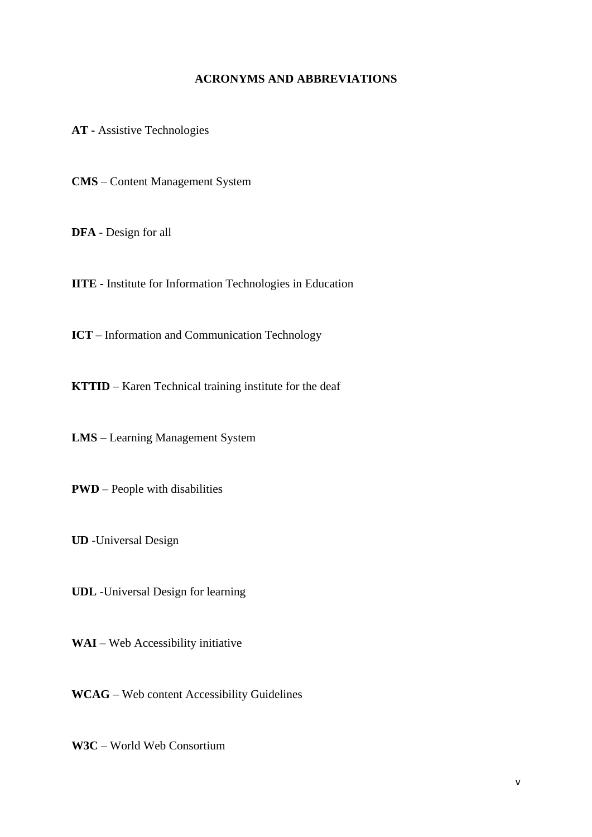#### **ACRONYMS AND ABBREVIATIONS**

<span id="page-4-0"></span>**AT -** Assistive Technologies

**CMS** – Content Management System

**DFA** - Design for all

**IITE -** Institute for Information Technologies in Education

**ICT** – Information and Communication Technology

**KTTID** – Karen Technical training institute for the deaf

**LMS –** Learning Management System

**PWD** – People with disabilities

**UD** -Universal Design

**UDL** -Universal Design for learning

**WAI** – Web Accessibility initiative

**WCAG** – Web content Accessibility Guidelines

**W3C** – World Web Consortium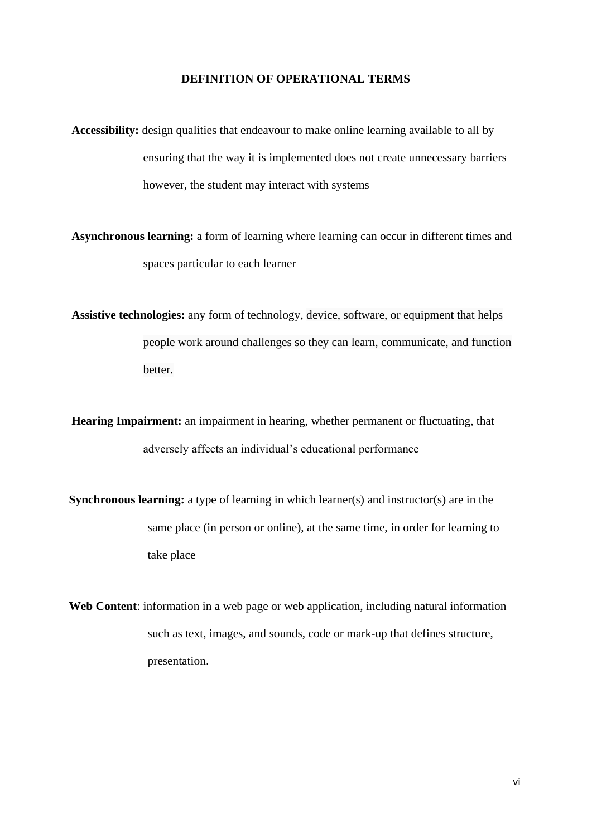#### **DEFINITION OF OPERATIONAL TERMS**

<span id="page-5-0"></span>**Accessibility:** design qualities that endeavour to make online learning available to all by ensuring that the way it is implemented does not create unnecessary barriers however, the student may interact with systems

**Asynchronous learning:** a form of learning where learning can occur in different times and spaces particular to each learner

**Assistive technologies:** any form of technology, device, software, or equipment that helps people work around challenges so they can learn, communicate, and function better.

**Hearing Impairment:** an impairment in hearing, whether permanent or fluctuating, that adversely affects an individual's educational performance

**Synchronous learning:** a type of learning in which learner(s) and instructor(s) are in the same place (in person or online), at the same time, in order for learning to take place

**Web Content**: information in a web page or web application, including natural information such as text, images, and sounds, code or mark-up that defines structure, presentation.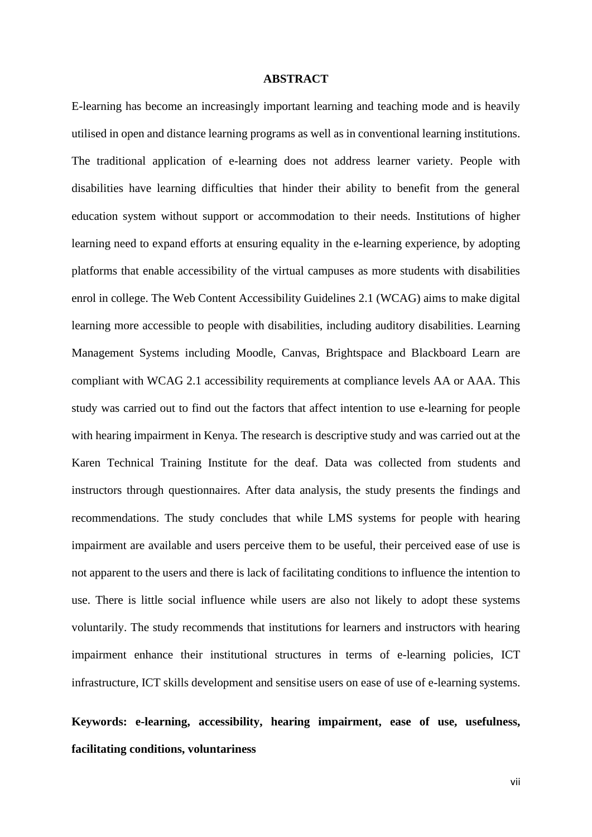#### <span id="page-6-0"></span>**ABSTRACT**

E-learning has become an increasingly important learning and teaching mode and is heavily utilised in open and distance learning programs as well as in conventional learning institutions. The traditional application of e-learning does not address learner variety. People with disabilities have learning difficulties that hinder their ability to benefit from the general education system without support or accommodation to their needs. Institutions of higher learning need to expand efforts at ensuring equality in the e-learning experience, by adopting platforms that enable accessibility of the virtual campuses as more students with disabilities enrol in college. The Web Content Accessibility Guidelines 2.1 (WCAG) aims to make digital learning more accessible to people with disabilities, including auditory disabilities. Learning Management Systems including Moodle, Canvas, Brightspace and Blackboard Learn are compliant with WCAG 2.1 accessibility requirements at compliance levels AA or AAA. This study was carried out to find out the factors that affect intention to use e-learning for people with hearing impairment in Kenya. The research is descriptive study and was carried out at the Karen Technical Training Institute for the deaf. Data was collected from students and instructors through questionnaires. After data analysis, the study presents the findings and recommendations. The study concludes that while LMS systems for people with hearing impairment are available and users perceive them to be useful, their perceived ease of use is not apparent to the users and there is lack of facilitating conditions to influence the intention to use. There is little social influence while users are also not likely to adopt these systems voluntarily. The study recommends that institutions for learners and instructors with hearing impairment enhance their institutional structures in terms of e-learning policies, ICT infrastructure, ICT skills development and sensitise users on ease of use of e-learning systems.

**Keywords: e-learning, accessibility, hearing impairment, ease of use, usefulness, facilitating conditions, voluntariness**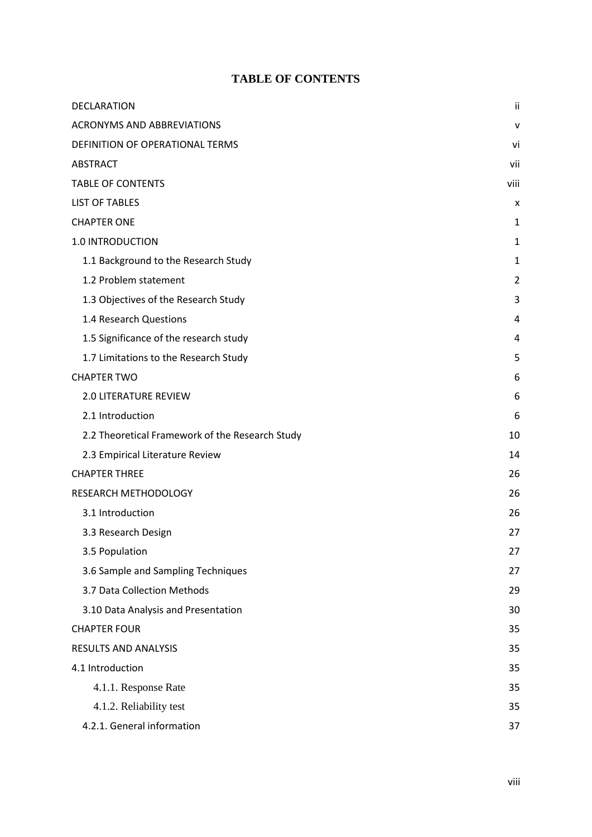### **TABLE OF CONTENTS**

<span id="page-7-0"></span>

| DECLARATION                                     | ii   |
|-------------------------------------------------|------|
| <b>ACRONYMS AND ABBREVIATIONS</b>               | v    |
| DEFINITION OF OPERATIONAL TERMS                 | vi   |
| <b>ABSTRACT</b>                                 | vii  |
| <b>TABLE OF CONTENTS</b>                        | viii |
| <b>LIST OF TABLES</b>                           | x    |
| <b>CHAPTER ONE</b>                              | 1    |
| 1.0 INTRODUCTION                                | 1    |
| 1.1 Background to the Research Study            | 1    |
| 1.2 Problem statement                           | 2    |
| 1.3 Objectives of the Research Study            | 3    |
| 1.4 Research Questions                          | 4    |
| 1.5 Significance of the research study          | 4    |
| 1.7 Limitations to the Research Study           | 5    |
| <b>CHAPTER TWO</b>                              | 6    |
| <b>2.0 LITERATURE REVIEW</b>                    | 6    |
| 2.1 Introduction                                | 6    |
| 2.2 Theoretical Framework of the Research Study | 10   |
| 2.3 Empirical Literature Review                 | 14   |
| <b>CHAPTER THREE</b>                            | 26   |
| RESEARCH METHODOLOGY                            | 26   |
| 3.1 Introduction                                | 26   |
| 3.3 Research Design                             | 27   |
| 3.5 Population                                  | 27   |
| 3.6 Sample and Sampling Techniques              | 27   |
| 3.7 Data Collection Methods                     | 29   |
| 3.10 Data Analysis and Presentation             | 30   |
| <b>CHAPTER FOUR</b>                             | 35   |
| <b>RESULTS AND ANALYSIS</b>                     | 35   |
| 4.1 Introduction                                | 35   |
| 4.1.1. Response Rate                            | 35   |
| 4.1.2. Reliability test                         | 35   |
| 4.2.1. General information                      | 37   |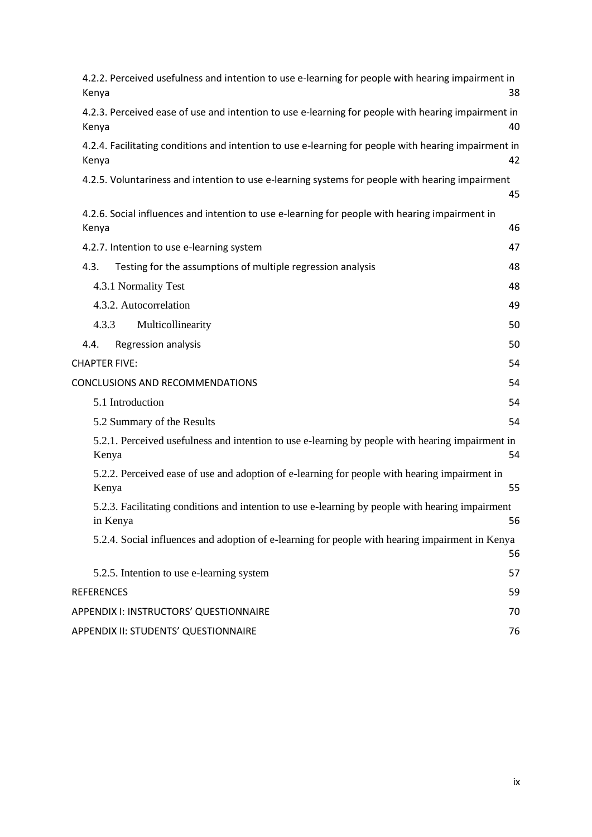| 4.2.2. Perceived usefulness and intention to use e-learning for people with hearing impairment in<br>Kenya    | 38 |
|---------------------------------------------------------------------------------------------------------------|----|
| 4.2.3. Perceived ease of use and intention to use e-learning for people with hearing impairment in<br>Kenya   | 40 |
| 4.2.4. Facilitating conditions and intention to use e-learning for people with hearing impairment in<br>Kenya | 42 |
| 4.2.5. Voluntariness and intention to use e-learning systems for people with hearing impairment               | 45 |
| 4.2.6. Social influences and intention to use e-learning for people with hearing impairment in<br>Kenya       | 46 |
| 4.2.7. Intention to use e-learning system                                                                     | 47 |
| 4.3.<br>Testing for the assumptions of multiple regression analysis                                           | 48 |
| 4.3.1 Normality Test                                                                                          | 48 |
| 4.3.2. Autocorrelation                                                                                        | 49 |
| 4.3.3<br>Multicollinearity                                                                                    | 50 |
| Regression analysis<br>4.4.                                                                                   | 50 |
| <b>CHAPTER FIVE:</b>                                                                                          | 54 |
| CONCLUSIONS AND RECOMMENDATIONS                                                                               | 54 |
| 5.1 Introduction                                                                                              | 54 |
| 5.2 Summary of the Results                                                                                    | 54 |
| 5.2.1. Perceived usefulness and intention to use e-learning by people with hearing impairment in<br>Kenya     | 54 |
| 5.2.2. Perceived ease of use and adoption of e-learning for people with hearing impairment in<br>Kenya        | 55 |
| 5.2.3. Facilitating conditions and intention to use e-learning by people with hearing impairment<br>in Kenya  | 56 |
| 5.2.4. Social influences and adoption of e-learning for people with hearing impairment in Kenya               | 56 |
| 5.2.5. Intention to use e-learning system                                                                     | 57 |
| <b>REFERENCES</b>                                                                                             | 59 |
| APPENDIX I: INSTRUCTORS' QUESTIONNAIRE                                                                        | 70 |
| APPENDIX II: STUDENTS' QUESTIONNAIRE                                                                          | 76 |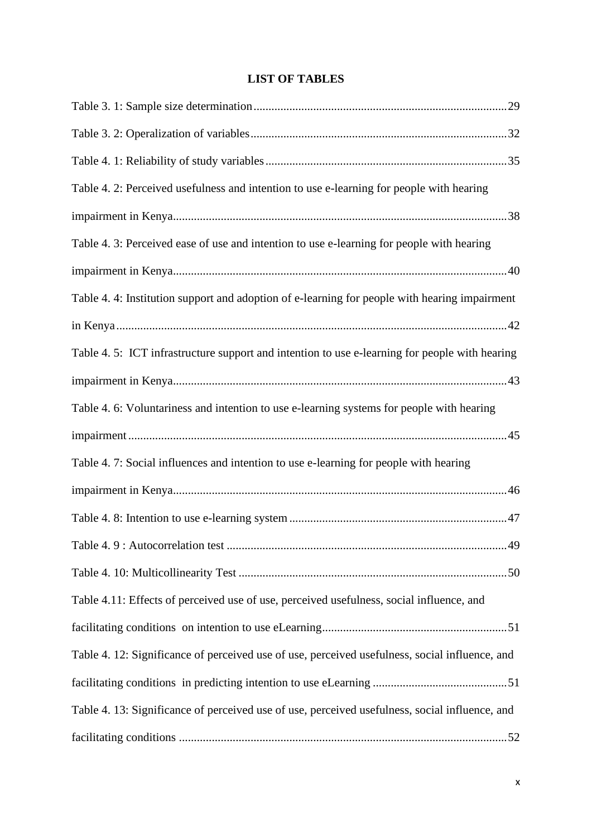## **LIST OF TABLES**

<span id="page-9-0"></span>

| Table 4. 2: Perceived usefulness and intention to use e-learning for people with hearing       |
|------------------------------------------------------------------------------------------------|
|                                                                                                |
| Table 4. 3: Perceived ease of use and intention to use e-learning for people with hearing      |
|                                                                                                |
| Table 4.4: Institution support and adoption of e-learning for people with hearing impairment   |
|                                                                                                |
| Table 4. 5: ICT infrastructure support and intention to use e-learning for people with hearing |
|                                                                                                |
| Table 4. 6: Voluntariness and intention to use e-learning systems for people with hearing      |
|                                                                                                |
| Table 4.7: Social influences and intention to use e-learning for people with hearing           |
|                                                                                                |
|                                                                                                |
|                                                                                                |
|                                                                                                |
| Table 4.11: Effects of perceived use of use, perceived usefulness, social influence, and       |
|                                                                                                |
| Table 4. 12: Significance of perceived use of use, perceived usefulness, social influence, and |
|                                                                                                |
| Table 4. 13: Significance of perceived use of use, perceived usefulness, social influence, and |
|                                                                                                |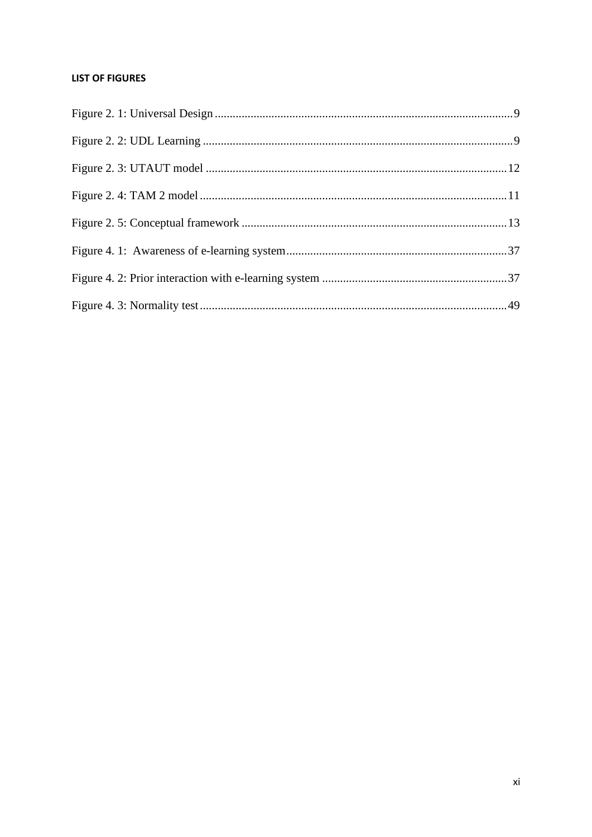#### **LIST OF FIGURES**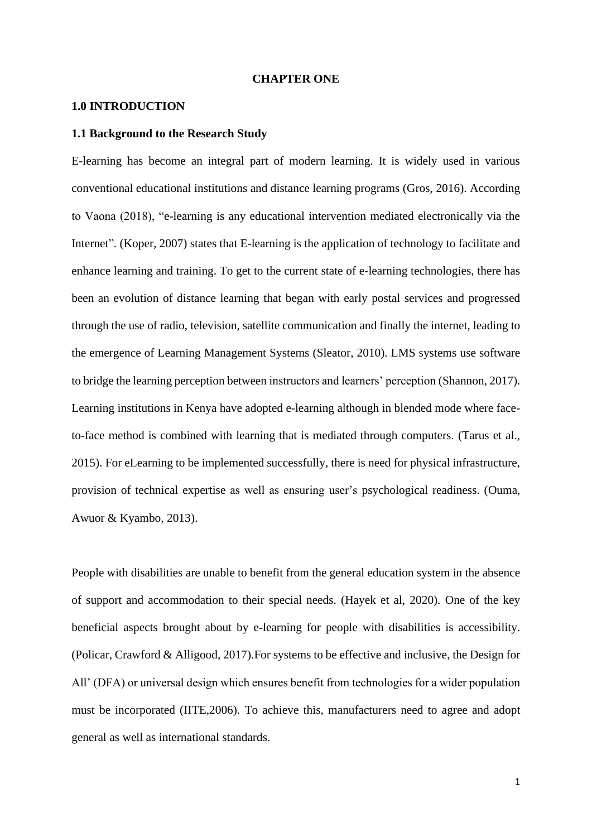#### **CHAPTER ONE**

#### <span id="page-11-1"></span><span id="page-11-0"></span>**1.0 INTRODUCTION**

#### <span id="page-11-2"></span>**1.1 Background to the Research Study**

E-learning has become an integral part of modern learning. It is widely used in various conventional educational institutions and distance learning programs (Gros, 2016). According to Vaona (2018), "e-learning is any educational intervention mediated electronically via the Internet". (Koper, 2007) states that E-learning is the application of technology to facilitate and enhance learning and training. To get to the current state of e-learning technologies, there has been an evolution of distance learning that began with early postal services and progressed through the use of radio, television, satellite communication and finally the internet, leading to the emergence of Learning Management Systems (Sleator, 2010). LMS systems use software to bridge the learning perception between instructors and learners' perception (Shannon, 2017). Learning institutions in Kenya have adopted e-learning although in blended mode where faceto-face method is combined with learning that is mediated through computers. (Tarus et al., 2015). For eLearning to be implemented successfully, there is need for physical infrastructure, provision of technical expertise as well as ensuring user's psychological readiness. (Ouma, Awuor & Kyambo, 2013).

People with disabilities are unable to benefit from the general education system in the absence of support and accommodation to their special needs. (Hayek et al, 2020). One of the key beneficial aspects brought about by e-learning for people with disabilities is accessibility. (Policar, Crawford & Alligood, 2017).For systems to be effective and inclusive, the Design for All' (DFA) or universal design which ensures benefit from technologies for a wider population must be incorporated (IITE,2006). To achieve this, manufacturers need to agree and adopt general as well as international standards.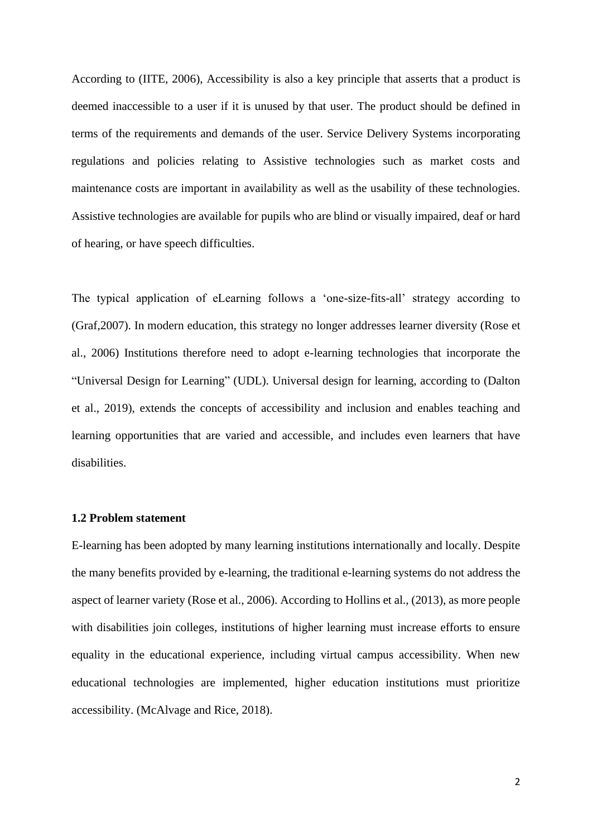According to (IITE, 2006), Accessibility is also a key principle that asserts that a product is deemed inaccessible to a user if it is unused by that user. The product should be defined in terms of the requirements and demands of the user. Service Delivery Systems incorporating regulations and policies relating to Assistive technologies such as market costs and maintenance costs are important in availability as well as the usability of these technologies. Assistive technologies are available for pupils who are blind or visually impaired, deaf or hard of hearing, or have speech difficulties.

The typical application of eLearning follows a 'one-size-fits-all' strategy according to (Graf,2007). In modern education, this strategy no longer addresses learner diversity (Rose et al., 2006) Institutions therefore need to adopt e-learning technologies that incorporate the "Universal Design for Learning" (UDL). Universal design for learning, according to (Dalton et al., 2019), extends the concepts of accessibility and inclusion and enables teaching and learning opportunities that are varied and accessible, and includes even learners that have disabilities.

#### <span id="page-12-0"></span>**1.2 Problem statement**

E-learning has been adopted by many learning institutions internationally and locally. Despite the many benefits provided by e-learning, the traditional e-learning systems do not address the aspect of learner variety (Rose et al., 2006). According to Hollins et al., (2013), as more people with disabilities join colleges, institutions of higher learning must increase efforts to ensure equality in the educational experience, including virtual campus accessibility. When new educational technologies are implemented, higher education institutions must prioritize accessibility. (McAlvage and Rice, 2018).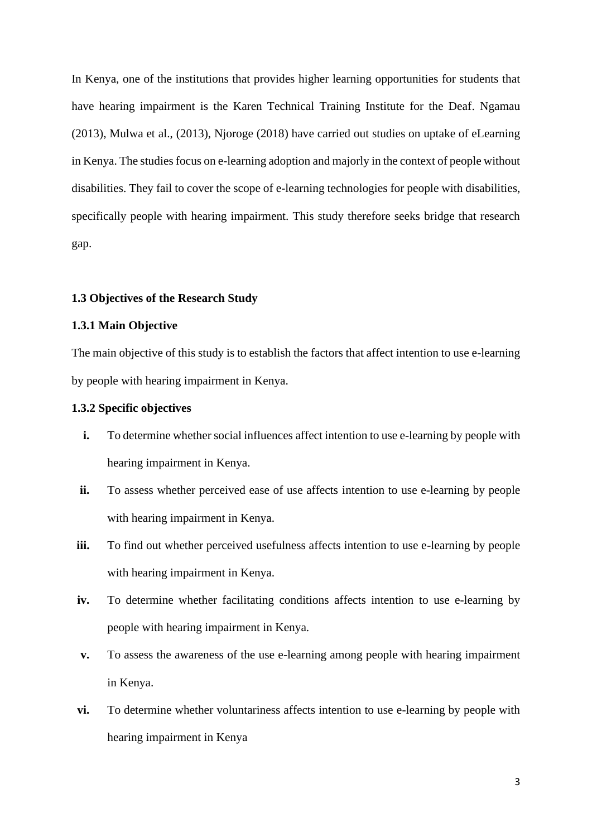In Kenya, one of the institutions that provides higher learning opportunities for students that have hearing impairment is the Karen Technical Training Institute for the Deaf. Ngamau (2013), Mulwa et al., (2013), Njoroge (2018) have carried out studies on uptake of eLearning in Kenya. The studies focus on e-learning adoption and majorly in the context of people without disabilities. They fail to cover the scope of e-learning technologies for people with disabilities, specifically people with hearing impairment. This study therefore seeks bridge that research gap.

#### <span id="page-13-0"></span>**1.3 Objectives of the Research Study**

#### **1.3.1 Main Objective**

The main objective of this study is to establish the factors that affect intention to use e-learning by people with hearing impairment in Kenya.

#### **1.3.2 Specific objectives**

- **i.** To determine whether social influences affect intention to use e-learning by people with hearing impairment in Kenya.
- **ii.** To assess whether perceived ease of use affects intention to use e-learning by people with hearing impairment in Kenya.
- **iii.** To find out whether perceived usefulness affects intention to use e-learning by people with hearing impairment in Kenya.
- **iv.** To determine whether facilitating conditions affects intention to use e-learning by people with hearing impairment in Kenya.
- **v.** To assess the awareness of the use e-learning among people with hearing impairment in Kenya.
- **vi.** To determine whether voluntariness affects intention to use e-learning by people with hearing impairment in Kenya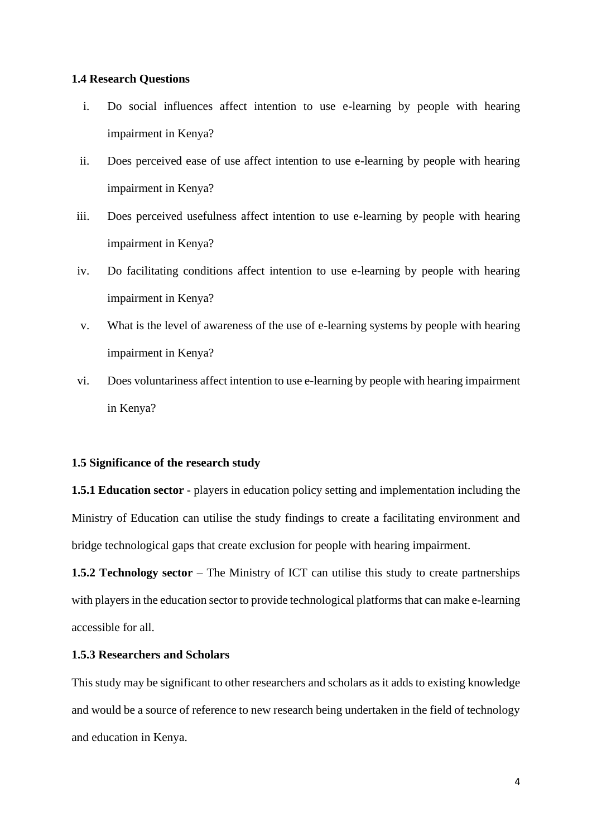#### <span id="page-14-0"></span>**1.4 Research Questions**

- i. Do social influences affect intention to use e-learning by people with hearing impairment in Kenya?
- ii. Does perceived ease of use affect intention to use e-learning by people with hearing impairment in Kenya?
- iii. Does perceived usefulness affect intention to use e-learning by people with hearing impairment in Kenya?
- iv. Do facilitating conditions affect intention to use e-learning by people with hearing impairment in Kenya?
- v. What is the level of awareness of the use of e-learning systems by people with hearing impairment in Kenya?
- vi. Does voluntariness affect intention to use e-learning by people with hearing impairment in Kenya?

#### <span id="page-14-1"></span>**1.5 Significance of the research study**

**1.5.1 Education sector** - players in education policy setting and implementation including the Ministry of Education can utilise the study findings to create a facilitating environment and bridge technological gaps that create exclusion for people with hearing impairment.

**1.5.2 Technology sector** – The Ministry of ICT can utilise this study to create partnerships with players in the education sector to provide technological platforms that can make e-learning accessible for all.

#### **1.5.3 Researchers and Scholars**

This study may be significant to other researchers and scholars as it adds to existing knowledge and would be a source of reference to new research being undertaken in the field of technology and education in Kenya.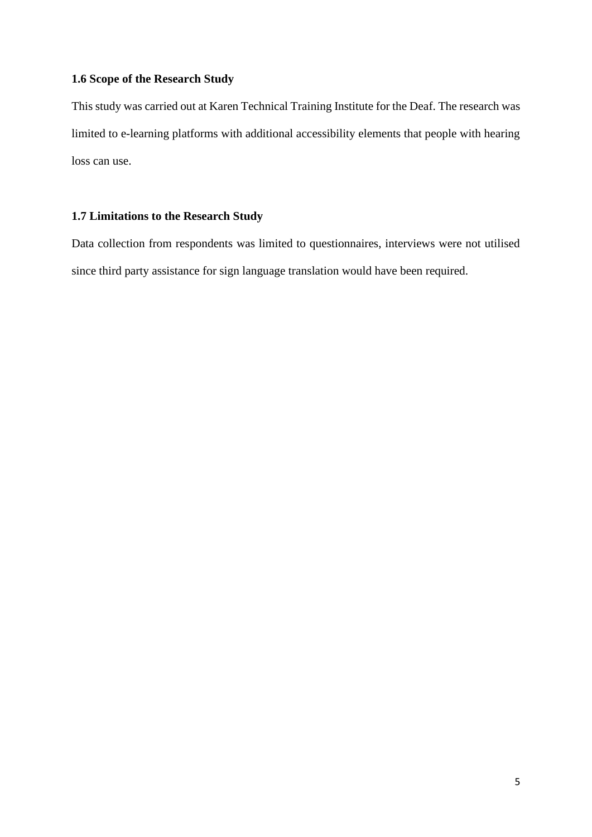#### **1.6 Scope of the Research Study**

This study was carried out at Karen Technical Training Institute for the Deaf. The research was limited to e-learning platforms with additional accessibility elements that people with hearing loss can use.

#### <span id="page-15-0"></span>**1.7 Limitations to the Research Study**

Data collection from respondents was limited to questionnaires, interviews were not utilised since third party assistance for sign language translation would have been required.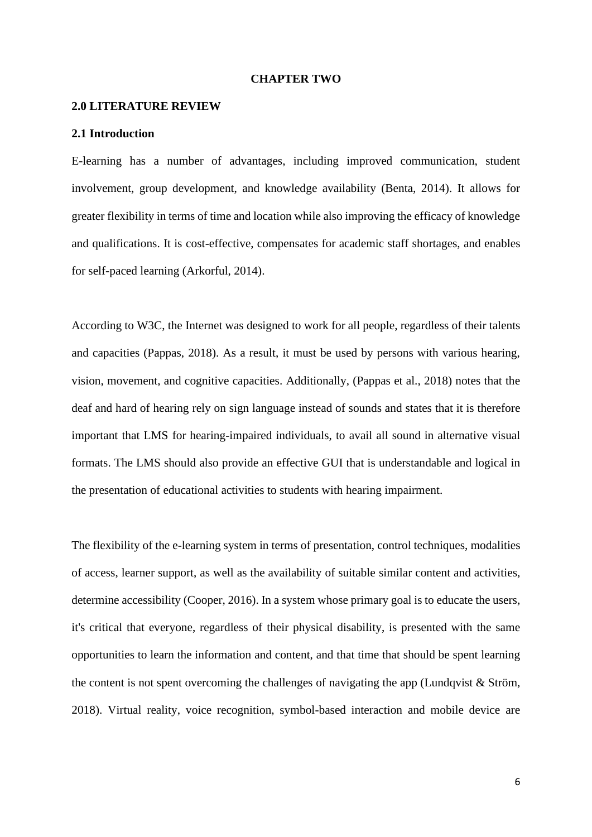#### **CHAPTER TWO**

#### <span id="page-16-1"></span><span id="page-16-0"></span>**2.0 LITERATURE REVIEW**

#### <span id="page-16-2"></span>**2.1 Introduction**

E-learning has a number of advantages, including improved communication, student involvement, group development, and knowledge availability (Benta, 2014). It allows for greater flexibility in terms of time and location while also improving the efficacy of knowledge and qualifications. It is cost-effective, compensates for academic staff shortages, and enables for self-paced learning (Arkorful, 2014).

According to W3C, the Internet was designed to work for all people, regardless of their talents and capacities (Pappas, 2018). As a result, it must be used by persons with various hearing, vision, movement, and cognitive capacities. Additionally, (Pappas et al., 2018) notes that the deaf and hard of hearing rely on sign language instead of sounds and states that it is therefore important that LMS for hearing-impaired individuals, to avail all sound in alternative visual formats. The LMS should also provide an effective GUI that is understandable and logical in the presentation of educational activities to students with hearing impairment.

The flexibility of the e-learning system in terms of presentation, control techniques, modalities of access, learner support, as well as the availability of suitable similar content and activities, determine accessibility (Cooper, 2016). In a system whose primary goal is to educate the users, it's critical that everyone, regardless of their physical disability, is presented with the same opportunities to learn the information and content, and that time that should be spent learning the content is not spent overcoming the challenges of navigating the app (Lundqvist  $&$  Ström, 2018). Virtual reality, voice recognition, symbol-based interaction and mobile device are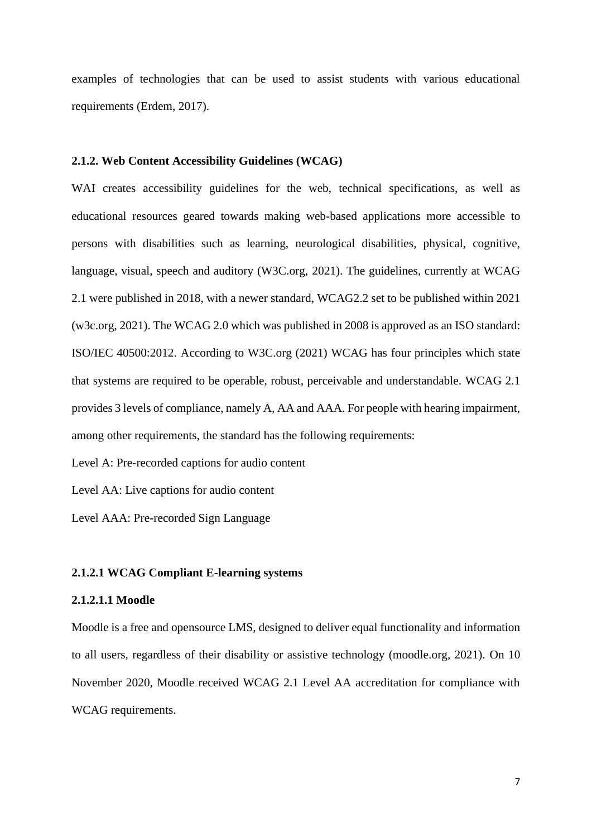examples of technologies that can be used to assist students with various educational requirements (Erdem, 2017).

#### **2.1.2. Web Content Accessibility Guidelines (WCAG)**

WAI creates accessibility guidelines for the web, technical specifications, as well as educational resources geared towards making web-based applications more accessible to persons with disabilities such as learning, neurological disabilities, physical, cognitive, language, visual, speech and auditory (W3C.org, 2021). The guidelines, currently at WCAG 2.1 were published in 2018, with a newer standard, WCAG2.2 set to be published within 2021 (w3c.org, 2021). The WCAG 2.0 which was published in 2008 is approved as an ISO standard: ISO/IEC 40500:2012. According to W3C.org (2021) WCAG has four principles which state that systems are required to be operable, robust, perceivable and understandable. WCAG 2.1 provides 3 levels of compliance, namely A, AA and AAA. For people with hearing impairment, among other requirements, the standard has the following requirements:

Level A: Pre-recorded captions for audio content

Level AA: Live captions for audio content

Level AAA: Pre-recorded Sign Language

#### **2.1.2.1 WCAG Compliant E-learning systems**

#### **2.1.2.1.1 Moodle**

Moodle is a free and opensource LMS, designed to deliver equal functionality and information to all users, regardless of their disability or assistive technology (moodle.org, 2021). On 10 November 2020, Moodle received WCAG 2.1 Level AA accreditation for compliance with WCAG requirements.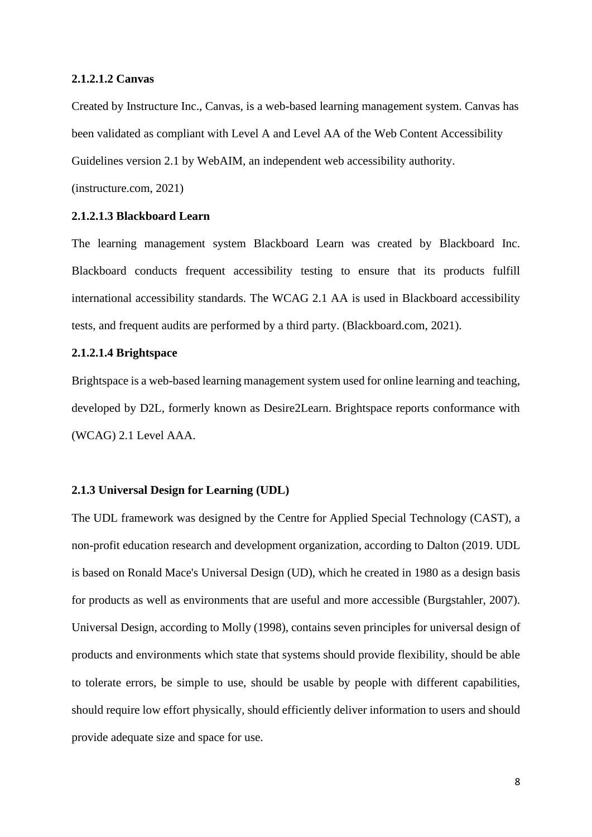#### **2.1.2.1.2 Canvas**

Created by Instructure Inc., Canvas, is a web-based learning management system. Canvas has been validated as compliant with Level A and Level AA of the Web Content Accessibility Guidelines version 2.1 by WebAIM, an independent web accessibility authority.

(instructure.com, 2021)

#### **2.1.2.1.3 Blackboard Learn**

The learning management system Blackboard Learn was created by Blackboard Inc. Blackboard conducts frequent accessibility testing to ensure that its products fulfill international accessibility standards. The WCAG 2.1 AA is used in Blackboard accessibility tests, and frequent audits are performed by a third party. (Blackboard.com, 2021).

#### **2.1.2.1.4 Brightspace**

Brightspace is a web-based learning management system used for online learning and teaching, developed by D2L, formerly known as Desire2Learn. Brightspace reports conformance with (WCAG) 2.1 Level AAA.

#### **2.1.3 Universal Design for Learning (UDL)**

The UDL framework was designed by the Centre for Applied Special Technology (CAST), a non-profit education research and development organization, according to Dalton (2019. UDL is based on Ronald Mace's Universal Design (UD), which he created in 1980 as a design basis for products as well as environments that are useful and more accessible (Burgstahler, 2007). Universal Design, according to Molly (1998), contains seven principles for universal design of products and environments which state that systems should provide flexibility, should be able to tolerate errors, be simple to use, should be usable by people with different capabilities, should require low effort physically, should efficiently deliver information to users and should provide adequate size and space for use.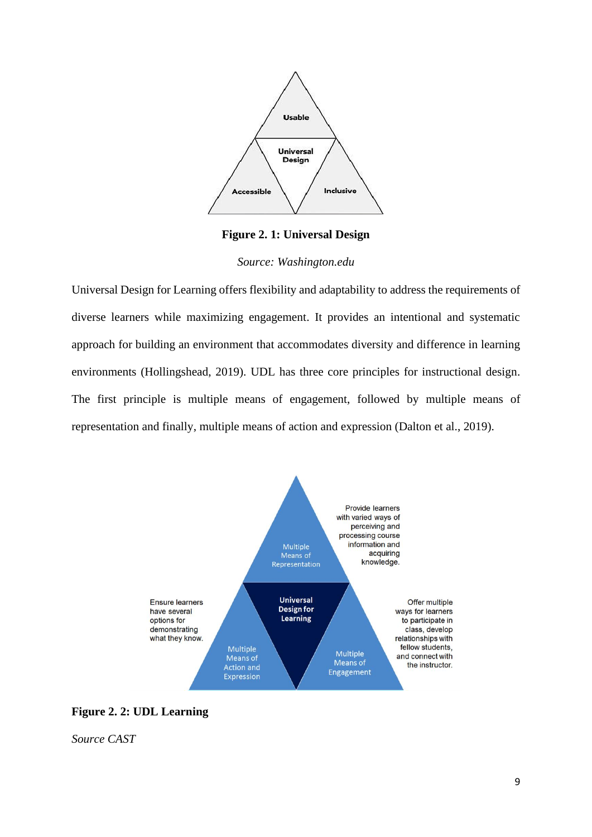

**Figure 2. 1: Universal Design**

*Source: Washington.edu*

<span id="page-19-0"></span>Universal Design for Learning offers flexibility and adaptability to address the requirements of diverse learners while maximizing engagement. It provides an intentional and systematic approach for building an environment that accommodates diversity and difference in learning environments (Hollingshead, 2019). UDL has three core principles for instructional design. The first principle is multiple means of engagement, followed by multiple means of representation and finally, multiple means of action and expression (Dalton et al., 2019).



<span id="page-19-1"></span>**Figure 2. 2: UDL Learning**

*Source CAST*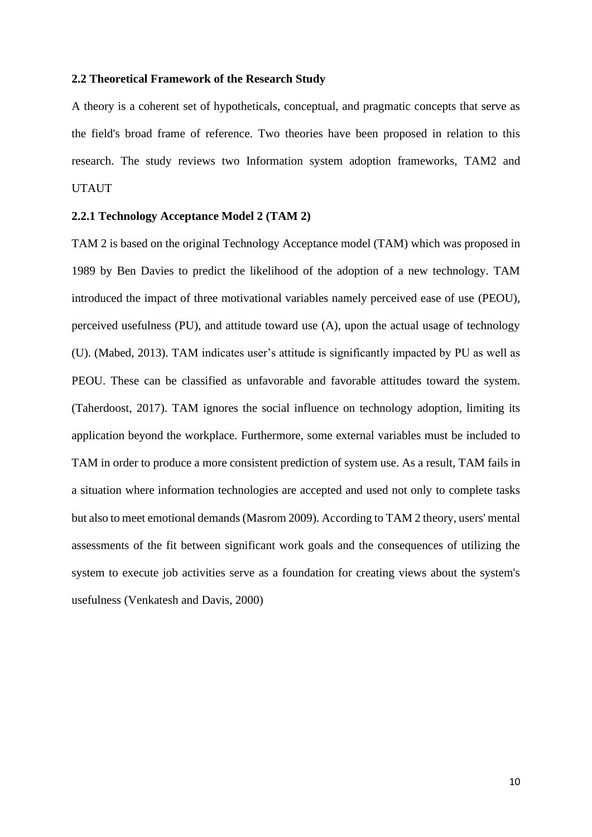#### <span id="page-20-0"></span>**2.2 Theoretical Framework of the Research Study**

A theory is a coherent set of hypotheticals, conceptual, and pragmatic concepts that serve as the field's broad frame of reference. Two theories have been proposed in relation to this research. The study reviews two Information system adoption frameworks, TAM2 and UTAUT

#### **2.2.1 Technology Acceptance Model 2 (TAM 2)**

TAM 2 is based on the original Technology Acceptance model (TAM) which was proposed in 1989 by Ben Davies to predict the likelihood of the adoption of a new technology. TAM introduced the impact of three motivational variables namely perceived ease of use (PEOU), perceived usefulness (PU), and attitude toward use (A), upon the actual usage of technology (U). (Mabed, 2013). TAM indicates user's attitude is significantly impacted by PU as well as PEOU. These can be classified as unfavorable and favorable attitudes toward the system. (Taherdoost, 2017). TAM ignores the social influence on technology adoption, limiting its application beyond the workplace. Furthermore, some external variables must be included to TAM in order to produce a more consistent prediction of system use. As a result, TAM fails in a situation where information technologies are accepted and used not only to complete tasks but also to meet emotional demands (Masrom 2009). According to TAM 2 theory, users' mental assessments of the fit between significant work goals and the consequences of utilizing the system to execute job activities serve as a foundation for creating views about the system's usefulness (Venkatesh and Davis, 2000)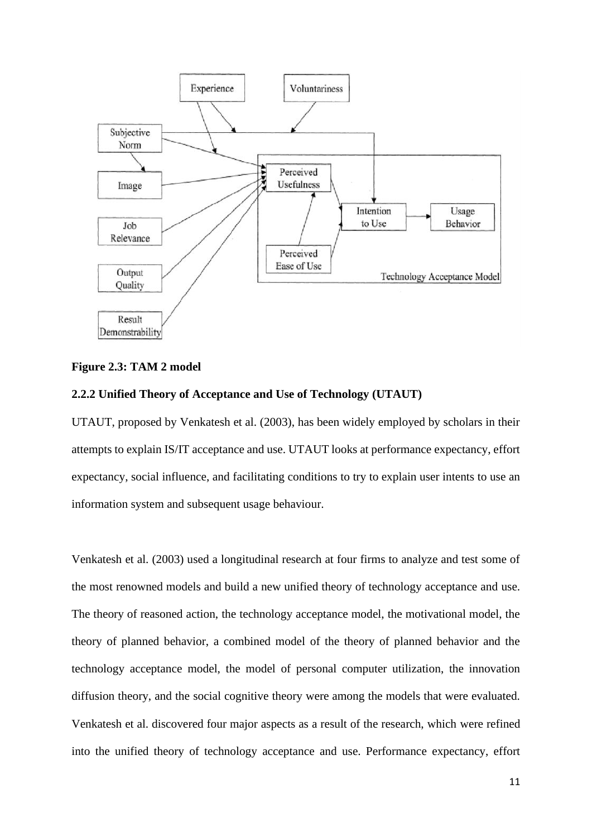

#### <span id="page-21-0"></span>**Figure 2.3: TAM 2 model**

#### **2.2.2 Unified Theory of Acceptance and Use of Technology (UTAUT)**

UTAUT, proposed by Venkatesh et al. (2003), has been widely employed by scholars in their attempts to explain IS/IT acceptance and use. UTAUT looks at performance expectancy, effort expectancy, social influence, and facilitating conditions to try to explain user intents to use an information system and subsequent usage behaviour.

Venkatesh et al. (2003) used a longitudinal research at four firms to analyze and test some of the most renowned models and build a new unified theory of technology acceptance and use. The theory of reasoned action, the technology acceptance model, the motivational model, the theory of planned behavior, a combined model of the theory of planned behavior and the technology acceptance model, the model of personal computer utilization, the innovation diffusion theory, and the social cognitive theory were among the models that were evaluated. Venkatesh et al. discovered four major aspects as a result of the research, which were refined into the unified theory of technology acceptance and use. Performance expectancy, effort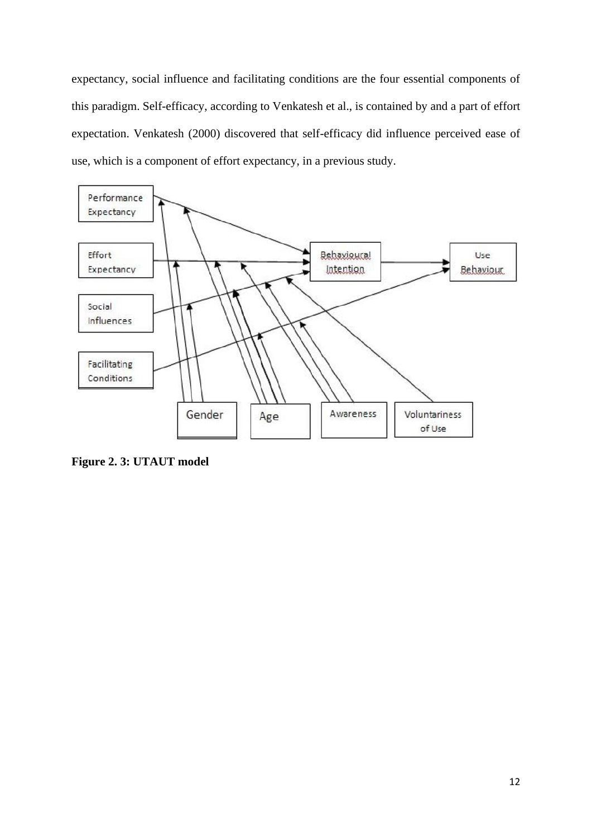expectancy, social influence and facilitating conditions are the four essential components of this paradigm. Self-efficacy, according to Venkatesh et al., is contained by and a part of effort expectation. Venkatesh (2000) discovered that self-efficacy did influence perceived ease of use, which is a component of effort expectancy, in a previous study.



<span id="page-22-0"></span>**Figure 2. 3: UTAUT model**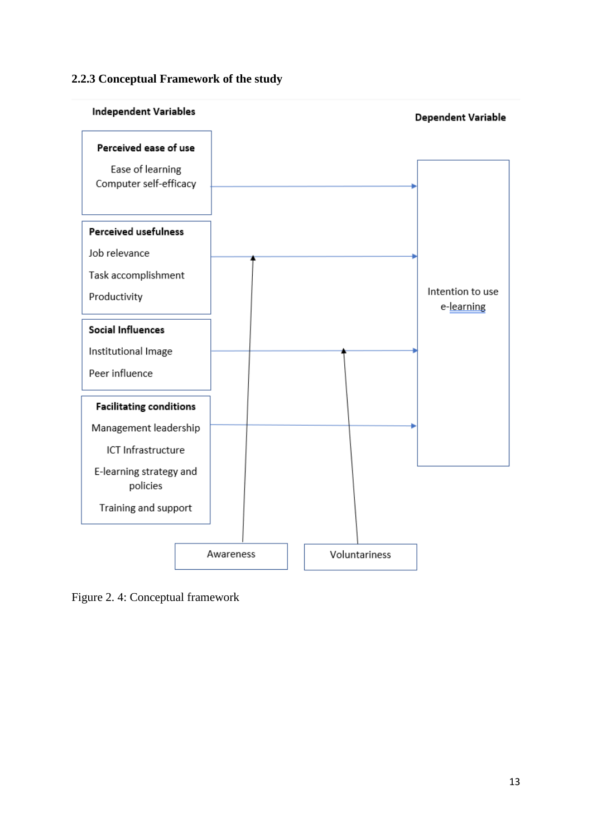#### **2.2.3 Conceptual Framework of the study**



<span id="page-23-0"></span>Figure 2. 4: Conceptual framework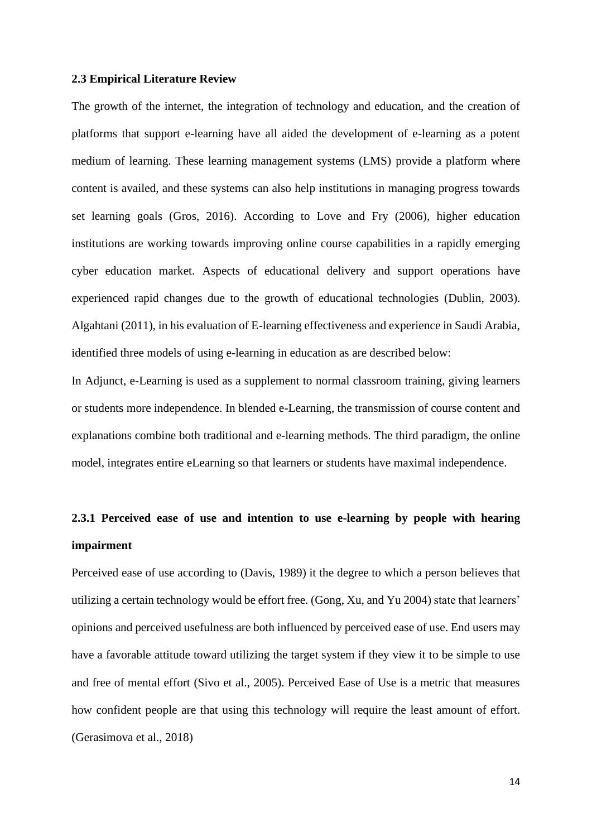#### <span id="page-24-0"></span>**2.3 Empirical Literature Review**

The growth of the internet, the integration of technology and education, and the creation of platforms that support e-learning have all aided the development of e-learning as a potent medium of learning. These learning management systems (LMS) provide a platform where content is availed, and these systems can also help institutions in managing progress towards set learning goals (Gros, 2016). According to Love and Fry (2006), higher education institutions are working towards improving online course capabilities in a rapidly emerging cyber education market. Aspects of educational delivery and support operations have experienced rapid changes due to the growth of educational technologies (Dublin, 2003). Algahtani (2011), in his evaluation of E-learning effectiveness and experience in Saudi Arabia, identified three models of using e-learning in education as are described below:

In Adjunct, e-Learning is used as a supplement to normal classroom training, giving learners or students more independence. In blended e-Learning, the transmission of course content and explanations combine both traditional and e-learning methods. The third paradigm, the online model, integrates entire eLearning so that learners or students have maximal independence.

## **2.3.1 Perceived ease of use and intention to use e-learning by people with hearing impairment**

Perceived ease of use according to (Davis, 1989) it the degree to which a person believes that utilizing a certain technology would be effort free. (Gong, Xu, and Yu 2004) state that learners' opinions and perceived usefulness are both influenced by perceived ease of use. End users may have a favorable attitude toward utilizing the target system if they view it to be simple to use and free of mental effort (Sivo et al., 2005). Perceived Ease of Use is a metric that measures how confident people are that using this technology will require the least amount of effort. (Gerasimova et al., 2018)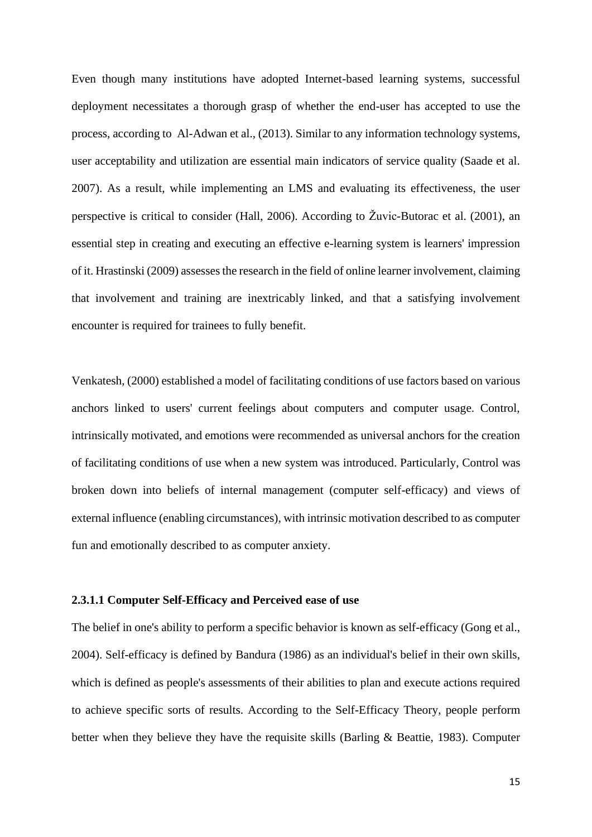Even though many institutions have adopted Internet-based learning systems, successful deployment necessitates a thorough grasp of whether the end-user has accepted to use the process, according to Al-Adwan et al., (2013). Similar to any information technology systems, user acceptability and utilization are essential main indicators of service quality (Saade et al. 2007). As a result, while implementing an LMS and evaluating its effectiveness, the user perspective is critical to consider (Hall, 2006). According to Žuvic-Butorac et al. (2001), an essential step in creating and executing an effective e-learning system is learners' impression of it. Hrastinski (2009) assesses the research in the field of online learner involvement, claiming that involvement and training are inextricably linked, and that a satisfying involvement encounter is required for trainees to fully benefit.

Venkatesh, (2000) established a model of facilitating conditions of use factors based on various anchors linked to users' current feelings about computers and computer usage. Control, intrinsically motivated, and emotions were recommended as universal anchors for the creation of facilitating conditions of use when a new system was introduced. Particularly, Control was broken down into beliefs of internal management (computer self-efficacy) and views of external influence (enabling circumstances), with intrinsic motivation described to as computer fun and emotionally described to as computer anxiety.

#### **2.3.1.1 Computer Self-Efficacy and Perceived ease of use**

The belief in one's ability to perform a specific behavior is known as self-efficacy (Gong et al., 2004). Self-efficacy is defined by Bandura (1986) as an individual's belief in their own skills, which is defined as people's assessments of their abilities to plan and execute actions required to achieve specific sorts of results. According to the Self-Efficacy Theory, people perform better when they believe they have the requisite skills (Barling & Beattie, 1983). Computer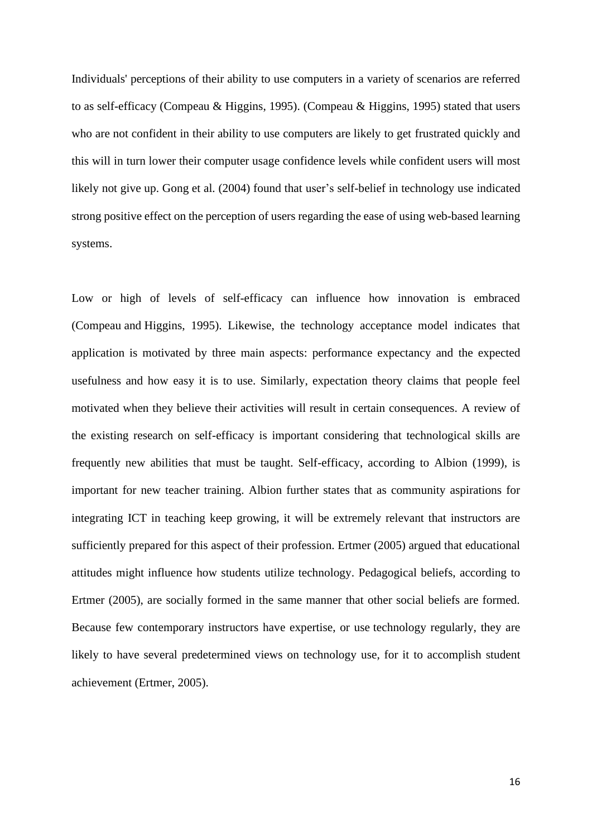Individuals' perceptions of their ability to use computers in a variety of scenarios are referred to as self-efficacy (Compeau & Higgins, 1995). (Compeau & Higgins, 1995) stated that users who are not confident in their ability to use computers are likely to get frustrated quickly and this will in turn lower their computer usage confidence levels while confident users will most likely not give up. Gong et al. (2004) found that user's self-belief in technology use indicated strong positive effect on the perception of users regarding the ease of using web-based learning systems.

Low or high of levels of self-efficacy can influence how innovation is embraced (Compeau and Higgins, 1995). Likewise, the technology acceptance model indicates that application is motivated by three main aspects: performance expectancy and the expected usefulness and how easy it is to use. Similarly, expectation theory claims that people feel motivated when they believe their activities will result in certain consequences. A review of the existing research on self-efficacy is important considering that technological skills are frequently new abilities that must be taught. Self-efficacy, according to Albion (1999), is important for new teacher training. Albion further states that as community aspirations for integrating ICT in teaching keep growing, it will be extremely relevant that instructors are sufficiently prepared for this aspect of their profession. Ertmer (2005) argued that educational attitudes might influence how students utilize technology. Pedagogical beliefs, according to Ertmer (2005), are socially formed in the same manner that other social beliefs are formed. Because few contemporary instructors have expertise, or use technology regularly, they are likely to have several predetermined views on technology use, for it to accomplish student achievement (Ertmer, 2005).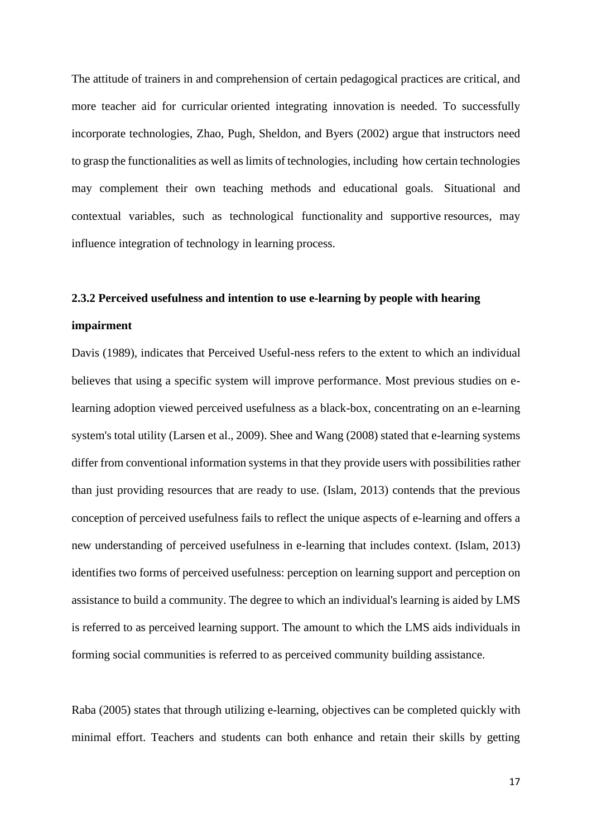The attitude of trainers in and comprehension of certain pedagogical practices are critical, and more teacher aid for curricular oriented integrating innovation is needed. To successfully incorporate technologies, Zhao, Pugh, Sheldon, and Byers (2002) argue that instructors need to grasp the functionalities as well as limits of technologies, including how certain technologies may complement their own teaching methods and educational goals. Situational and contextual variables, such as technological functionality and supportive resources, may influence integration of technology in learning process.

## **2.3.2 Perceived usefulness and intention to use e-learning by people with hearing**

#### **impairment**

Davis (1989), indicates that Perceived Useful-ness refers to the extent to which an individual believes that using a specific system will improve performance. Most previous studies on elearning adoption viewed perceived usefulness as a black-box, concentrating on an e-learning system's total utility (Larsen et al., 2009). Shee and Wang (2008) stated that e-learning systems differ from conventional information systems in that they provide users with possibilities rather than just providing resources that are ready to use. (Islam, 2013) contends that the previous conception of perceived usefulness fails to reflect the unique aspects of e-learning and offers a new understanding of perceived usefulness in e-learning that includes context. (Islam, 2013) identifies two forms of perceived usefulness: perception on learning support and perception on assistance to build a community. The degree to which an individual's learning is aided by LMS is referred to as perceived learning support. The amount to which the LMS aids individuals in forming social communities is referred to as perceived community building assistance.

Raba (2005) states that through utilizing e-learning, objectives can be completed quickly with minimal effort. Teachers and students can both enhance and retain their skills by getting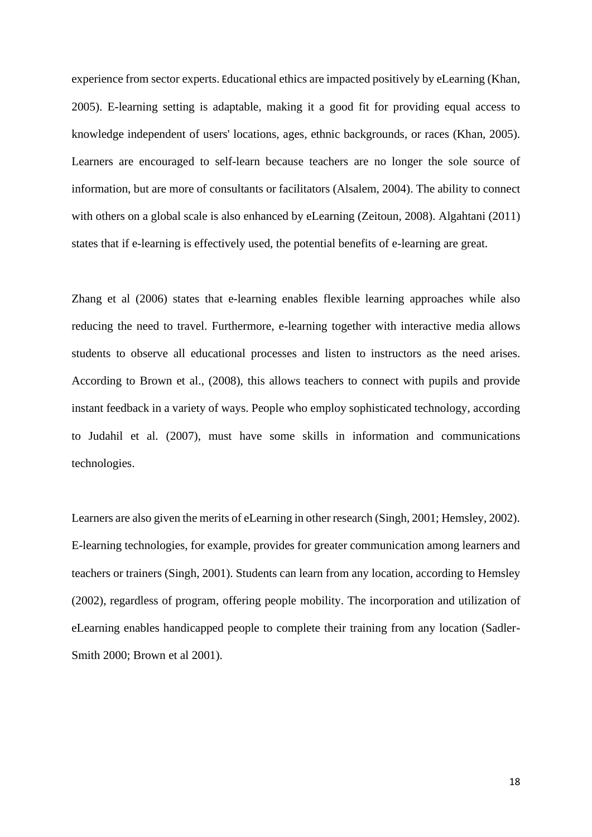experience from sector experts. Educational ethics are impacted positively by eLearning (Khan, 2005). E-learning setting is adaptable, making it a good fit for providing equal access to knowledge independent of users' locations, ages, ethnic backgrounds, or races (Khan, 2005). Learners are encouraged to self-learn because teachers are no longer the sole source of information, but are more of consultants or facilitators (Alsalem, 2004). The ability to connect with others on a global scale is also enhanced by eLearning (Zeitoun, 2008). Algahtani (2011) states that if e-learning is effectively used, the potential benefits of e-learning are great.

Zhang et al (2006) states that e-learning enables flexible learning approaches while also reducing the need to travel. Furthermore, e-learning together with interactive media allows students to observe all educational processes and listen to instructors as the need arises. According to Brown et al., (2008), this allows teachers to connect with pupils and provide instant feedback in a variety of ways. People who employ sophisticated technology, according to Judahil et al. (2007), must have some skills in information and communications technologies.

Learners are also given the merits of eLearning in other research (Singh, 2001; Hemsley, 2002). E-learning technologies, for example, provides for greater communication among learners and teachers or trainers (Singh, 2001). Students can learn from any location, according to Hemsley (2002), regardless of program, offering people mobility. The incorporation and utilization of eLearning enables handicapped people to complete their training from any location (Sadler-Smith 2000; Brown et al 2001).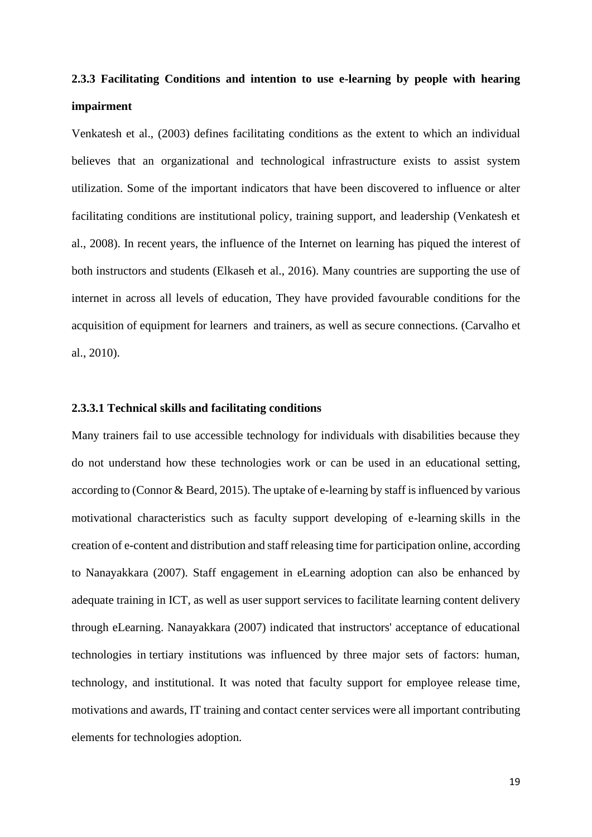## **2.3.3 Facilitating Conditions and intention to use e-learning by people with hearing impairment**

Venkatesh et al., (2003) defines facilitating conditions as the extent to which an individual believes that an organizational and technological infrastructure exists to assist system utilization. Some of the important indicators that have been discovered to influence or alter facilitating conditions are institutional policy, training support, and leadership (Venkatesh et al., 2008). In recent years, the influence of the Internet on learning has piqued the interest of both instructors and students (Elkaseh et al., 2016). Many countries are supporting the use of internet in across all levels of education, They have provided favourable conditions for the acquisition of equipment for learners and trainers, as well as secure connections. (Carvalho et al., 2010).

#### **2.3.3.1 Technical skills and facilitating conditions**

Many trainers fail to use accessible technology for individuals with disabilities because they do not understand how these technologies work or can be used in an educational setting, according to (Connor & Beard, 2015). The uptake of e-learning by staff is influenced by various motivational characteristics such as faculty support developing of e-learning skills in the creation of e-content and distribution and staff releasing time for participation online, according to Nanayakkara (2007). Staff engagement in eLearning adoption can also be enhanced by adequate training in ICT, as well as user support services to facilitate learning content delivery through eLearning. Nanayakkara (2007) indicated that instructors' acceptance of educational technologies in tertiary institutions was influenced by three major sets of factors: human, technology, and institutional. It was noted that faculty support for employee release time, motivations and awards, IT training and contact center services were all important contributing elements for technologies adoption.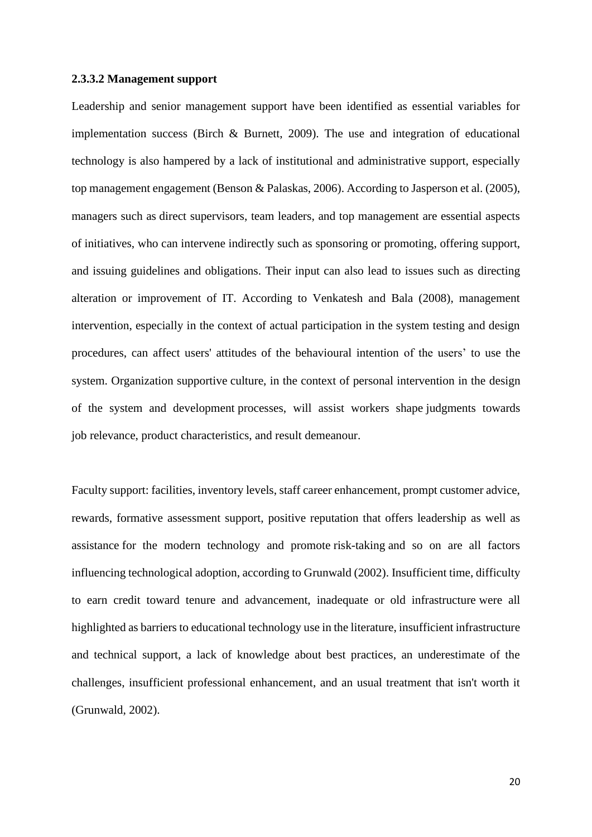#### **2.3.3.2 Management support**

Leadership and senior management support have been identified as essential variables for implementation success (Birch & Burnett, 2009). The use and integration of educational technology is also hampered by a lack of institutional and administrative support, especially top management engagement (Benson & Palaskas, 2006). According to Jasperson et al. (2005), managers such as direct supervisors, team leaders, and top management are essential aspects of initiatives, who can intervene indirectly such as sponsoring or promoting, offering support, and issuing guidelines and obligations. Their input can also lead to issues such as directing alteration or improvement of IT. According to Venkatesh and Bala (2008), management intervention, especially in the context of actual participation in the system testing and design procedures, can affect users' attitudes of the behavioural intention of the users' to use the system. Organization supportive culture, in the context of personal intervention in the design of the system and development processes, will assist workers shape judgments towards job relevance, product characteristics, and result demeanour.

Faculty support: facilities, inventory levels, staff career enhancement, prompt customer advice, rewards, formative assessment support, positive reputation that offers leadership as well as assistance for the modern technology and promote risk-taking and so on are all factors influencing technological adoption, according to Grunwald (2002). Insufficient time, difficulty to earn credit toward tenure and advancement, inadequate or old infrastructure were all highlighted as barriers to educational technology use in the literature, insufficient infrastructure and technical support, a lack of knowledge about best practices, an underestimate of the challenges, insufficient professional enhancement, and an usual treatment that isn't worth it (Grunwald, 2002).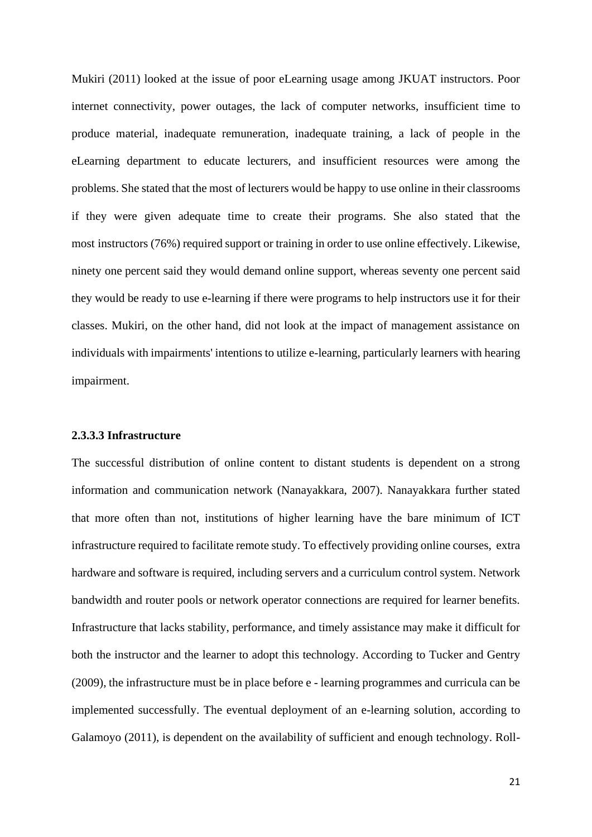Mukiri (2011) looked at the issue of poor eLearning usage among JKUAT instructors. Poor internet connectivity, power outages, the lack of computer networks, insufficient time to produce material, inadequate remuneration, inadequate training, a lack of people in the eLearning department to educate lecturers, and insufficient resources were among the problems. She stated that the most of lecturers would be happy to use online in their classrooms if they were given adequate time to create their programs. She also stated that the most instructors (76%) required support or training in order to use online effectively. Likewise, ninety one percent said they would demand online support, whereas seventy one percent said they would be ready to use e-learning if there were programs to help instructors use it for their classes. Mukiri, on the other hand, did not look at the impact of management assistance on individuals with impairments' intentions to utilize e-learning, particularly learners with hearing impairment.

#### **2.3.3.3 Infrastructure**

The successful distribution of online content to distant students is dependent on a strong information and communication network (Nanayakkara, 2007). Nanayakkara further stated that more often than not, institutions of higher learning have the bare minimum of ICT infrastructure required to facilitate remote study. To effectively providing online courses, extra hardware and software is required, including servers and a curriculum control system. Network bandwidth and router pools or network operator connections are required for learner benefits. Infrastructure that lacks stability, performance, and timely assistance may make it difficult for both the instructor and the learner to adopt this technology. According to Tucker and Gentry (2009), the infrastructure must be in place before e - learning programmes and curricula can be implemented successfully. The eventual deployment of an e-learning solution, according to Galamoyo (2011), is dependent on the availability of sufficient and enough technology. Roll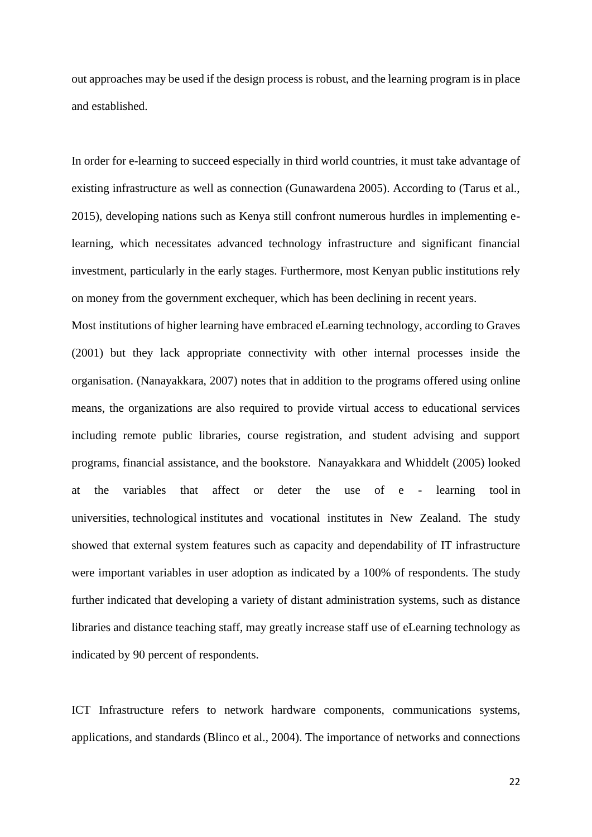out approaches may be used if the design process is robust, and the learning program is in place and established.

In order for e-learning to succeed especially in third world countries, it must take advantage of existing infrastructure as well as connection (Gunawardena 2005). According to (Tarus et al., 2015), developing nations such as Kenya still confront numerous hurdles in implementing elearning, which necessitates advanced technology infrastructure and significant financial investment, particularly in the early stages. Furthermore, most Kenyan public institutions rely on money from the government exchequer, which has been declining in recent years.

Most institutions of higher learning have embraced eLearning technology, according to Graves (2001) but they lack appropriate connectivity with other internal processes inside the organisation. (Nanayakkara, 2007) notes that in addition to the programs offered using online means, the organizations are also required to provide virtual access to educational services including remote public libraries, course registration, and student advising and support programs, financial assistance, and the bookstore. Nanayakkara and Whiddelt (2005) looked at the variables that affect or deter the use of e - learning tool in universities, technological institutes and vocational institutes in New Zealand. The study showed that external system features such as capacity and dependability of IT infrastructure were important variables in user adoption as indicated by a 100% of respondents. The study further indicated that developing a variety of distant administration systems, such as distance libraries and distance teaching staff, may greatly increase staff use of eLearning technology as indicated by 90 percent of respondents.

ICT Infrastructure refers to network hardware components, communications systems, applications, and standards (Blinco et al., 2004). The importance of networks and connections

22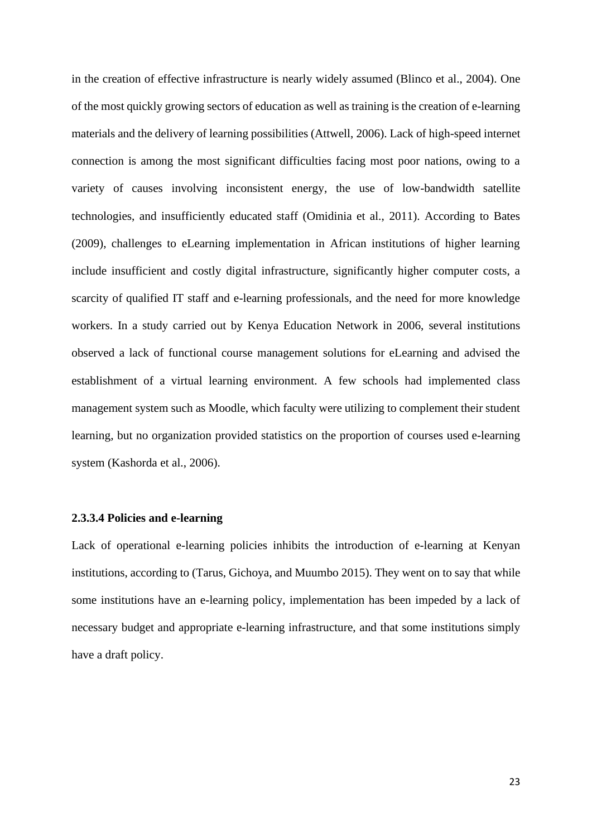in the creation of effective infrastructure is nearly widely assumed (Blinco et al., 2004). One of the most quickly growing sectors of education as well as training is the creation of e-learning materials and the delivery of learning possibilities (Attwell, 2006). Lack of high-speed internet connection is among the most significant difficulties facing most poor nations, owing to a variety of causes involving inconsistent energy, the use of low-bandwidth satellite technologies, and insufficiently educated staff (Omidinia et al., 2011). According to Bates (2009), challenges to eLearning implementation in African institutions of higher learning include insufficient and costly digital infrastructure, significantly higher computer costs, a scarcity of qualified IT staff and e-learning professionals, and the need for more knowledge workers. In a study carried out by Kenya Education Network in 2006, several institutions observed a lack of functional course management solutions for eLearning and advised the establishment of a virtual learning environment. A few schools had implemented class management system such as Moodle, which faculty were utilizing to complement their student learning, but no organization provided statistics on the proportion of courses used e-learning system (Kashorda et al., 2006).

#### **2.3.3.4 Policies and e-learning**

Lack of operational e-learning policies inhibits the introduction of e-learning at Kenyan institutions, according to (Tarus, Gichoya, and Muumbo 2015). They went on to say that while some institutions have an e-learning policy, implementation has been impeded by a lack of necessary budget and appropriate e-learning infrastructure, and that some institutions simply have a draft policy.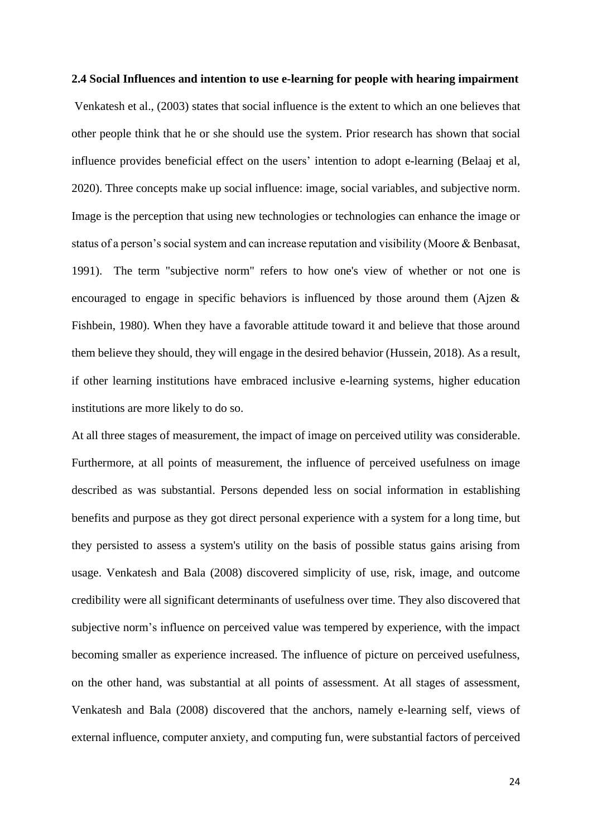#### **2.4 Social Influences and intention to use e-learning for people with hearing impairment**

Venkatesh et al., (2003) states that social influence is the extent to which an one believes that other people think that he or she should use the system. Prior research has shown that social influence provides beneficial effect on the users' intention to adopt e-learning (Belaaj et al, 2020). Three concepts make up social influence: image, social variables, and subjective norm. Image is the perception that using new technologies or technologies can enhance the image or status of a person's social system and can increase reputation and visibility (Moore & Benbasat, 1991). The term "subjective norm" refers to how one's view of whether or not one is encouraged to engage in specific behaviors is influenced by those around them (Ajzen & Fishbein, 1980). When they have a favorable attitude toward it and believe that those around them believe they should, they will engage in the desired behavior (Hussein, 2018). As a result, if other learning institutions have embraced inclusive e-learning systems, higher education institutions are more likely to do so.

At all three stages of measurement, the impact of image on perceived utility was considerable. Furthermore, at all points of measurement, the influence of perceived usefulness on image described as was substantial. Persons depended less on social information in establishing benefits and purpose as they got direct personal experience with a system for a long time, but they persisted to assess a system's utility on the basis of possible status gains arising from usage. Venkatesh and Bala (2008) discovered simplicity of use, risk, image, and outcome credibility were all significant determinants of usefulness over time. They also discovered that subjective norm's influence on perceived value was tempered by experience, with the impact becoming smaller as experience increased. The influence of picture on perceived usefulness, on the other hand, was substantial at all points of assessment. At all stages of assessment, Venkatesh and Bala (2008) discovered that the anchors, namely e-learning self, views of external influence, computer anxiety, and computing fun, were substantial factors of perceived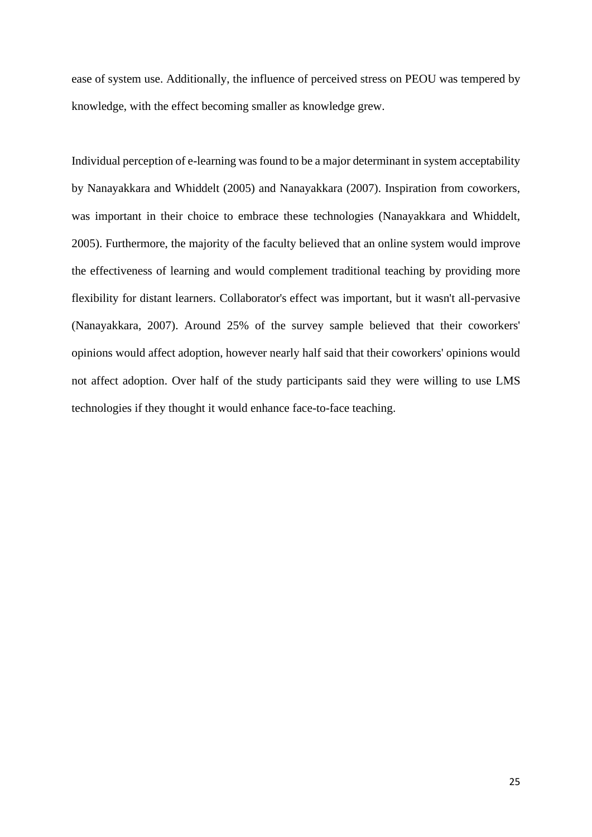ease of system use. Additionally, the influence of perceived stress on PEOU was tempered by knowledge, with the effect becoming smaller as knowledge grew.

Individual perception of e-learning was found to be a major determinant in system acceptability by Nanayakkara and Whiddelt (2005) and Nanayakkara (2007). Inspiration from coworkers, was important in their choice to embrace these technologies (Nanayakkara and Whiddelt, 2005). Furthermore, the majority of the faculty believed that an online system would improve the effectiveness of learning and would complement traditional teaching by providing more flexibility for distant learners. Collaborator's effect was important, but it wasn't all-pervasive (Nanayakkara, 2007). Around 25% of the survey sample believed that their coworkers' opinions would affect adoption, however nearly half said that their coworkers' opinions would not affect adoption. Over half of the study participants said they were willing to use LMS technologies if they thought it would enhance face-to-face teaching.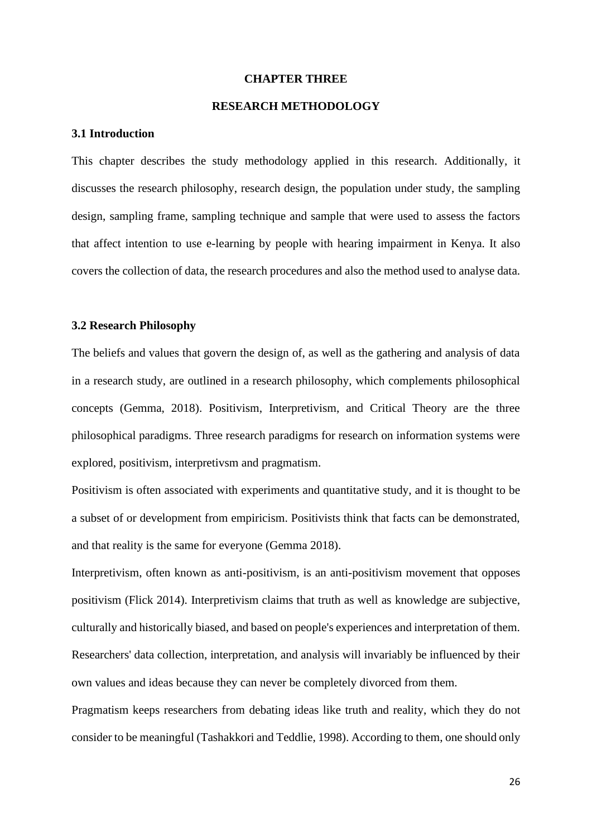#### **CHAPTER THREE**

#### **RESEARCH METHODOLOGY**

#### **3.1 Introduction**

This chapter describes the study methodology applied in this research. Additionally, it discusses the research philosophy, research design, the population under study, the sampling design, sampling frame, sampling technique and sample that were used to assess the factors that affect intention to use e-learning by people with hearing impairment in Kenya. It also covers the collection of data, the research procedures and also the method used to analyse data.

#### **3.2 Research Philosophy**

The beliefs and values that govern the design of, as well as the gathering and analysis of data in a research study, are outlined in a research philosophy, which complements philosophical concepts (Gemma, 2018). Positivism, Interpretivism, and Critical Theory are the three philosophical paradigms. Three research paradigms for research on information systems were explored, positivism, interpretivsm and pragmatism.

Positivism is often associated with experiments and quantitative study, and it is thought to be a subset of or development from empiricism. Positivists think that facts can be demonstrated, and that reality is the same for everyone (Gemma 2018).

Interpretivism, often known as anti-positivism, is an anti-positivism movement that opposes positivism (Flick 2014). Interpretivism claims that truth as well as knowledge are subjective, culturally and historically biased, and based on people's experiences and interpretation of them. Researchers' data collection, interpretation, and analysis will invariably be influenced by their own values and ideas because they can never be completely divorced from them.

Pragmatism keeps researchers from debating ideas like truth and reality, which they do not consider to be meaningful (Tashakkori and Teddlie, 1998). According to them, one should only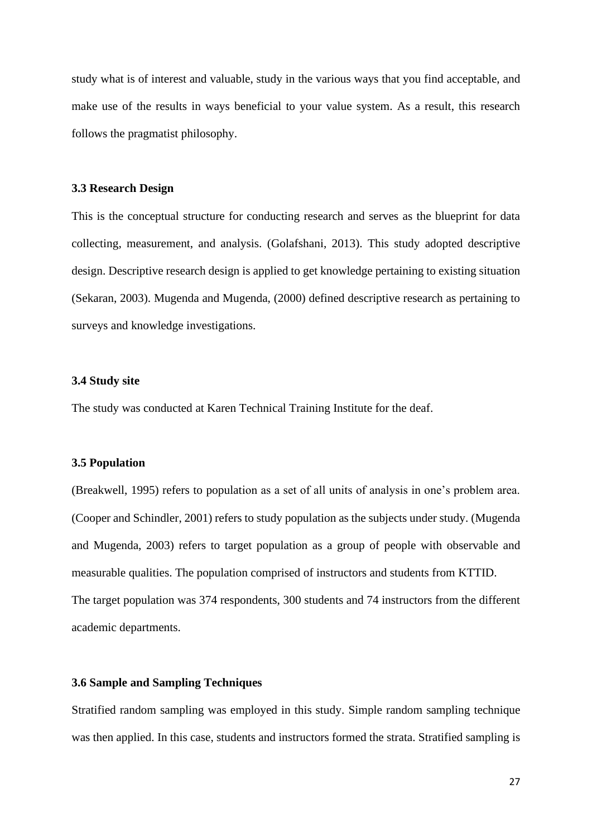study what is of interest and valuable, study in the various ways that you find acceptable, and make use of the results in ways beneficial to your value system. As a result, this research follows the pragmatist philosophy.

#### **3.3 Research Design**

This is the conceptual structure for conducting research and serves as the blueprint for data collecting, measurement, and analysis. (Golafshani, 2013). This study adopted descriptive design. Descriptive research design is applied to get knowledge pertaining to existing situation (Sekaran, 2003). Mugenda and Mugenda, (2000) defined descriptive research as pertaining to surveys and knowledge investigations.

#### **3.4 Study site**

The study was conducted at Karen Technical Training Institute for the deaf.

#### **3.5 Population**

(Breakwell, 1995) refers to population as a set of all units of analysis in one's problem area. (Cooper and Schindler, 2001) refers to study population as the subjects under study. (Mugenda and Mugenda, 2003) refers to target population as a group of people with observable and measurable qualities. The population comprised of instructors and students from KTTID. The target population was 374 respondents, 300 students and 74 instructors from the different academic departments.

### **3.6 Sample and Sampling Techniques**

Stratified random sampling was employed in this study. Simple random sampling technique was then applied. In this case, students and instructors formed the strata. Stratified sampling is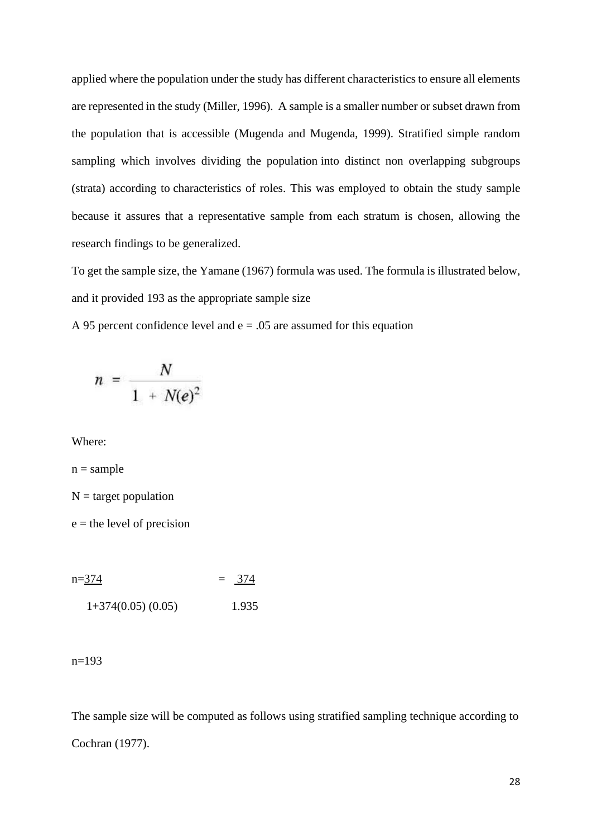applied where the population under the study has different characteristics to ensure all elements are represented in the study (Miller, 1996). A sample is a smaller number or subset drawn from the population that is accessible (Mugenda and Mugenda, 1999). Stratified simple random sampling which involves dividing the population into distinct non overlapping subgroups (strata) according to characteristics of roles. This was employed to obtain the study sample because it assures that a representative sample from each stratum is chosen, allowing the research findings to be generalized.

To get the sample size, the Yamane (1967) formula was used. The formula is illustrated below, and it provided 193 as the appropriate sample size

A 95 percent confidence level and  $e = .05$  are assumed for this equation

$$
n = \frac{N}{1 + N(e)^2}
$$

Where:

 $n = sample$ 

 $N =$  target population

 $e =$  the level of precision

 $n=374$  = 374  $1+374(0.05)$   $(0.05)$  1.935

 $n=193$ 

The sample size will be computed as follows using stratified sampling technique according to Cochran (1977).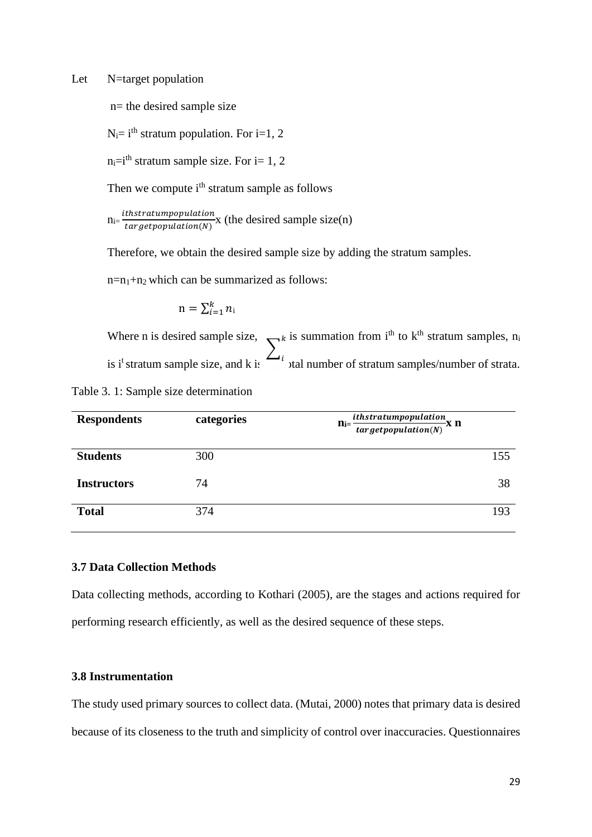Let N=target population

n= the desired sample size

 $N_i = i^{th}$  stratum population. For i=1, 2

 $n_i=i<sup>th</sup>$  stratum sample size. For  $i=1, 2$ 

Then we compute i<sup>th</sup> stratum sample as follows

 $n_{i} = \frac{ithstratum population}{\text{for action}}$  $\frac{1}{\arget{population}(N)}$  (the desired sample size(n)

Therefore, we obtain the desired sample size by adding the stratum samples.

 $n=n_1+n_2$  which can be summarized as follows:

$$
\mathbf{n} = \sum_{i=1}^k n_i
$$

Where n is desired sample size,  $\sum_{k} k$  is summation from i<sup>th</sup> to k<sup>th</sup> stratum samples, n<sub>i</sub> is i<sup>t</sup> stratum sample size, and k is  $\Box$ <sup>t</sup> tal number of stratum samples/number of strata. ∑ i

Table 3. 1: Sample size determination

| <b>Respondents</b> | categories | ithstratumpopulation<br>$n_{i}$<br>-x n<br>target population(N) |
|--------------------|------------|-----------------------------------------------------------------|
| <b>Students</b>    | 300        | 155                                                             |
| <b>Instructors</b> | 74         | 38                                                              |
| <b>Total</b>       | 374        | 193                                                             |

#### **3.7 Data Collection Methods**

Data collecting methods, according to Kothari (2005), are the stages and actions required for performing research efficiently, as well as the desired sequence of these steps.

### **3.8 Instrumentation**

The study used primary sources to collect data. (Mutai, 2000) notes that primary data is desired because of its closeness to the truth and simplicity of control over inaccuracies. Questionnaires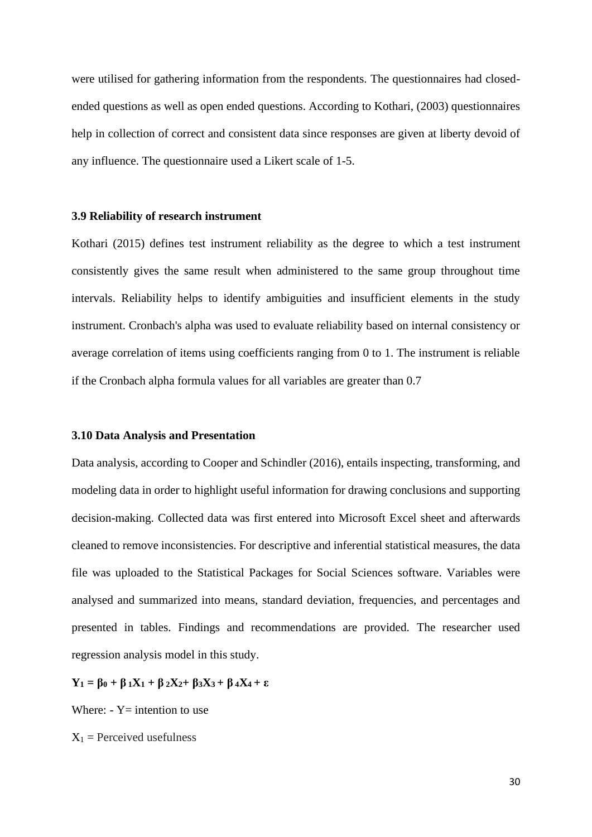were utilised for gathering information from the respondents. The questionnaires had closedended questions as well as open ended questions. According to Kothari, (2003) questionnaires help in collection of correct and consistent data since responses are given at liberty devoid of any influence. The questionnaire used a Likert scale of 1-5.

#### **3.9 Reliability of research instrument**

Kothari (2015) defines test instrument reliability as the degree to which a test instrument consistently gives the same result when administered to the same group throughout time intervals. Reliability helps to identify ambiguities and insufficient elements in the study instrument. Cronbach's alpha was used to evaluate reliability based on internal consistency or average correlation of items using coefficients ranging from 0 to 1. The instrument is reliable if the Cronbach alpha formula values for all variables are greater than 0.7

#### **3.10 Data Analysis and Presentation**

Data analysis, according to Cooper and Schindler (2016), entails inspecting, transforming, and modeling data in order to highlight useful information for drawing conclusions and supporting decision-making. Collected data was first entered into Microsoft Excel sheet and afterwards cleaned to remove inconsistencies. For descriptive and inferential statistical measures, the data file was uploaded to the Statistical Packages for Social Sciences software. Variables were analysed and summarized into means, standard deviation, frequencies, and percentages and presented in tables. Findings and recommendations are provided. The researcher used regression analysis model in this study.

 $Y_1 = \beta_0 + \beta_1 X_1 + \beta_2 X_2 + \beta_3 X_3 + \beta_4 X_4 + \epsilon$ 

Where:  $-Y=$  intention to use

 $X_1$  = Perceived usefulness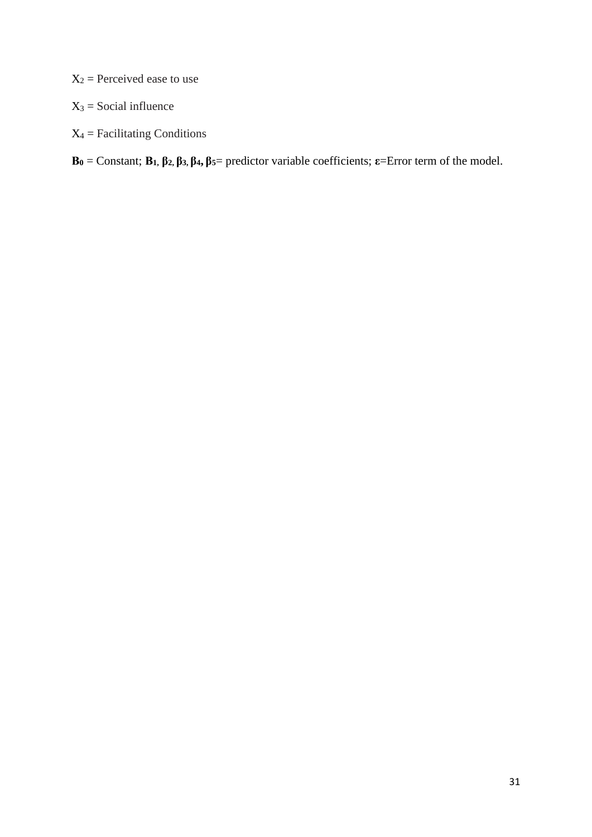$X_2$  = Perceived ease to use

 $X_3$  = Social influence

 $X_4$  = Facilitating Conditions

**Β<sup>0</sup>** = Constant; **Β1, β2, β3, β4, β5**= predictor variable coefficients; **ε**=Error term of the model.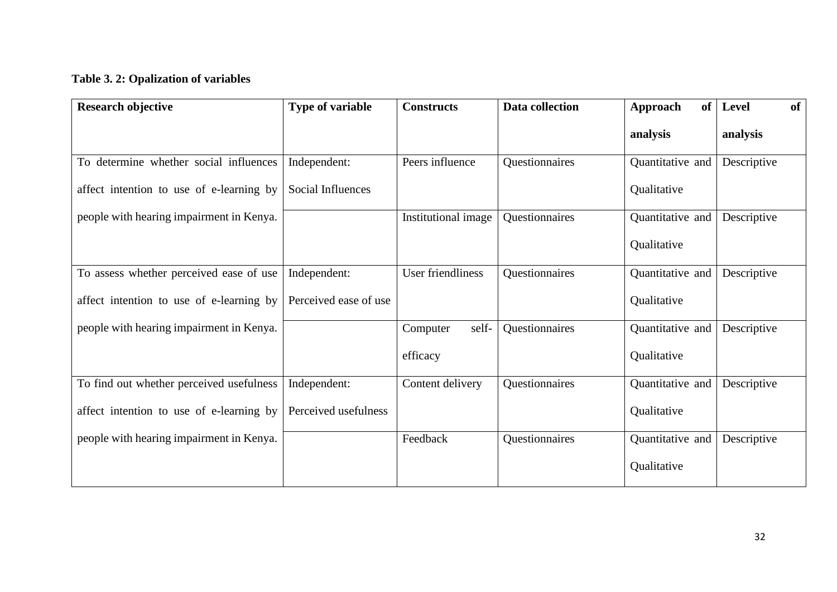## **Table 3. 2: Opalization of variables**

| <b>Research objective</b>                | <b>Type of variable</b> | <b>Constructs</b>   | Data collection | of<br>Approach   | Level<br><b>of</b> |
|------------------------------------------|-------------------------|---------------------|-----------------|------------------|--------------------|
|                                          |                         |                     |                 | analysis         | analysis           |
| To determine whether social influences   | Independent:            | Peers influence     | Questionnaires  | Quantitative and | Descriptive        |
| affect intention to use of e-learning by | Social Influences       |                     |                 | Qualitative      |                    |
| people with hearing impairment in Kenya. |                         | Institutional image | Questionnaires  | Quantitative and | Descriptive        |
|                                          |                         |                     |                 | Qualitative      |                    |
| To assess whether perceived ease of use  | Independent:            | User friendliness   | Questionnaires  | Quantitative and | Descriptive        |
| affect intention to use of e-learning by | Perceived ease of use   |                     |                 | Qualitative      |                    |
| people with hearing impairment in Kenya. |                         | self-<br>Computer   | Questionnaires  | Quantitative and | Descriptive        |
|                                          |                         | efficacy            |                 | Qualitative      |                    |
| To find out whether perceived usefulness | Independent:            | Content delivery    | Questionnaires  | Quantitative and | Descriptive        |
| affect intention to use of e-learning by | Perceived usefulness    |                     |                 | Qualitative      |                    |
| people with hearing impairment in Kenya. |                         | Feedback            | Questionnaires  | Quantitative and | Descriptive        |
|                                          |                         |                     |                 | Qualitative      |                    |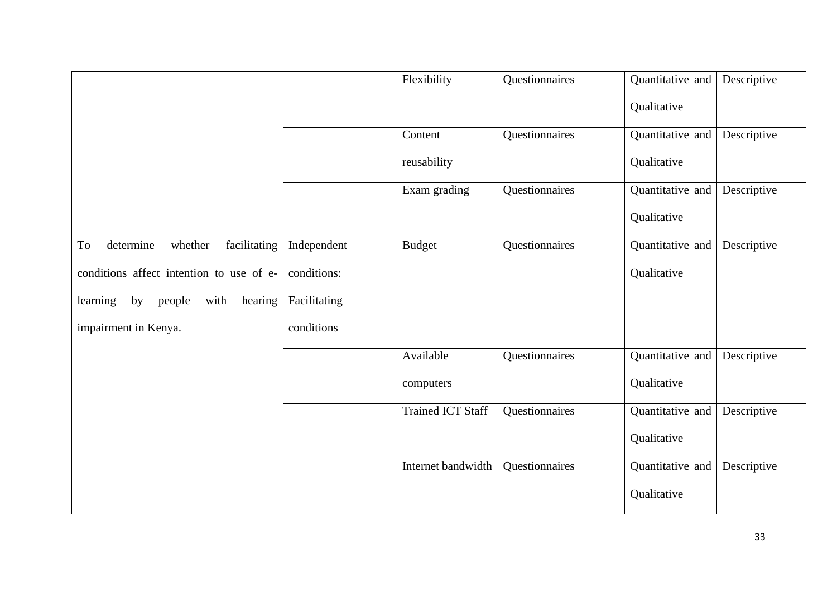|                                             |              | Flexibility              | Questionnaires | Quantitative and | Descriptive |
|---------------------------------------------|--------------|--------------------------|----------------|------------------|-------------|
|                                             |              |                          |                | Qualitative      |             |
|                                             |              | Content                  | Questionnaires | Quantitative and | Descriptive |
|                                             |              | reusability              |                | Qualitative      |             |
|                                             |              | Exam grading             | Questionnaires | Quantitative and | Descriptive |
|                                             |              |                          |                | Qualitative      |             |
| determine<br>facilitating<br>To<br>whether  | Independent  | <b>Budget</b>            | Questionnaires | Quantitative and | Descriptive |
| conditions affect intention to use of e-    | conditions:  |                          |                | Qualitative      |             |
| with<br>hearing<br>learning<br>by<br>people | Facilitating |                          |                |                  |             |
| impairment in Kenya.                        | conditions   |                          |                |                  |             |
|                                             |              | Available                | Questionnaires | Quantitative and | Descriptive |
|                                             |              | computers                |                | Qualitative      |             |
|                                             |              | <b>Trained ICT Staff</b> | Questionnaires | Quantitative and | Descriptive |
|                                             |              |                          |                | Qualitative      |             |
|                                             |              | Internet bandwidth       | Questionnaires | Quantitative and | Descriptive |
|                                             |              |                          |                | Qualitative      |             |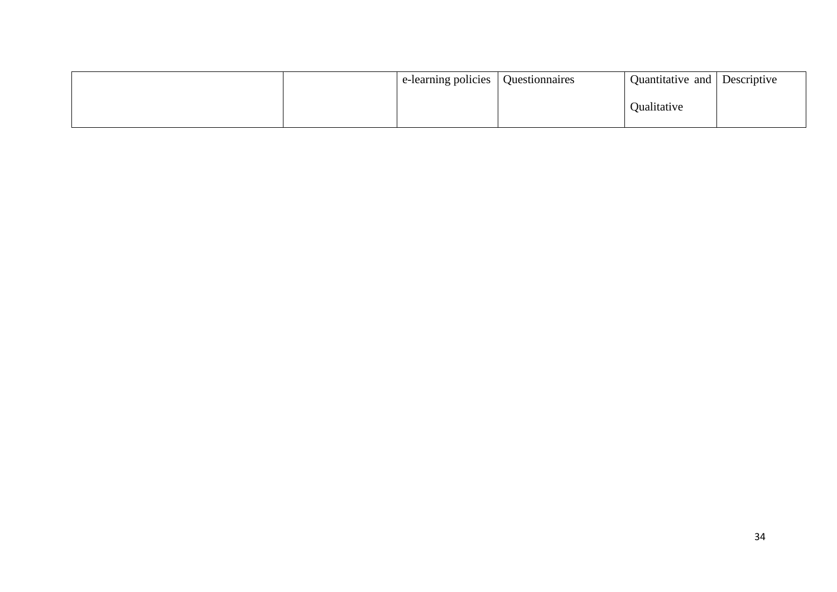|  | e-learning policies | Questionnaires | Quantitative and Descriptive |  |
|--|---------------------|----------------|------------------------------|--|
|  |                     |                | Qualitative                  |  |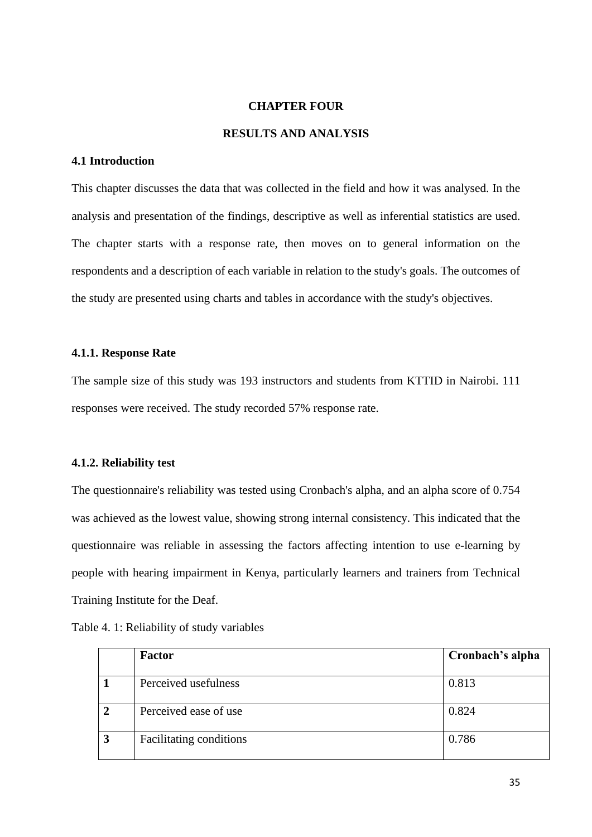#### **CHAPTER FOUR**

#### **RESULTS AND ANALYSIS**

## **4.1 Introduction**

This chapter discusses the data that was collected in the field and how it was analysed. In the analysis and presentation of the findings, descriptive as well as inferential statistics are used. The chapter starts with a response rate, then moves on to general information on the respondents and a description of each variable in relation to the study's goals. The outcomes of the study are presented using charts and tables in accordance with the study's objectives.

## **4.1.1. Response Rate**

The sample size of this study was 193 instructors and students from KTTID in Nairobi. 111 responses were received. The study recorded 57% response rate.

#### **4.1.2. Reliability test**

The questionnaire's reliability was tested using Cronbach's alpha, and an alpha score of 0.754 was achieved as the lowest value, showing strong internal consistency. This indicated that the questionnaire was reliable in assessing the factors affecting intention to use e-learning by people with hearing impairment in Kenya, particularly learners and trainers from Technical Training Institute for the Deaf.

| Table 4. 1: Reliability of study variables |  |  |
|--------------------------------------------|--|--|
|--------------------------------------------|--|--|

|                | Factor                  | Cronbach's alpha |
|----------------|-------------------------|------------------|
|                | Perceived usefulness    | 0.813            |
| $\overline{2}$ | Perceived ease of use   | 0.824            |
| 3              | Facilitating conditions | 0.786            |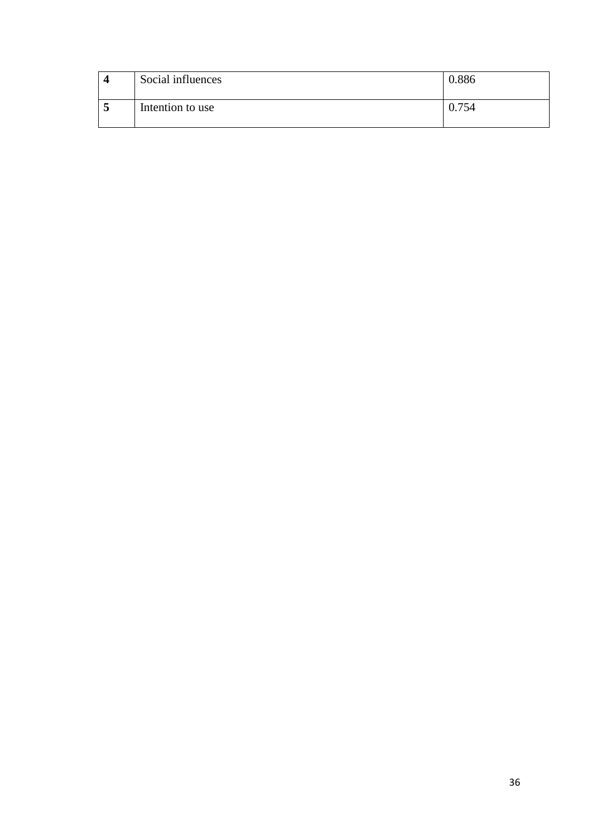|   | Social influences | 1.886 |
|---|-------------------|-------|
| ັ | Intention to use  | 754   |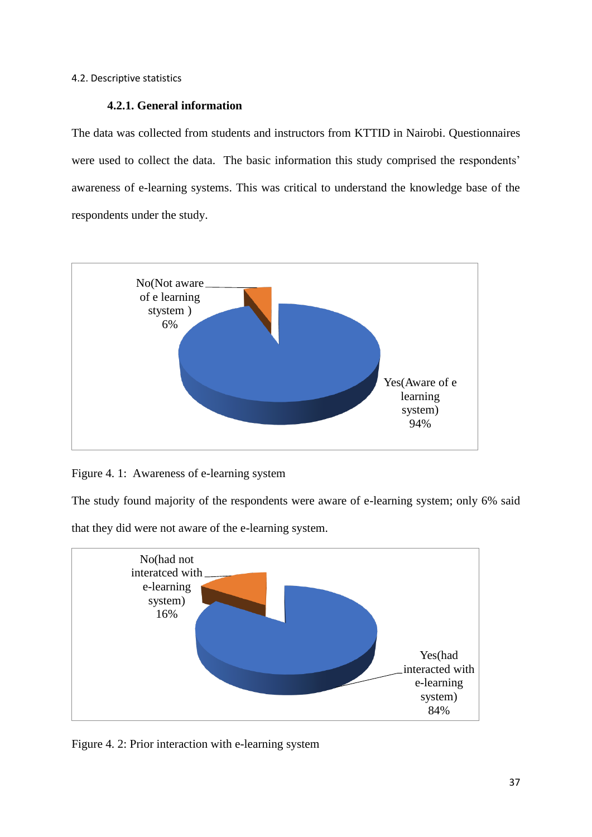## **4.2.1. General information**

The data was collected from students and instructors from KTTID in Nairobi. Questionnaires were used to collect the data. The basic information this study comprised the respondents' awareness of e-learning systems. This was critical to understand the knowledge base of the respondents under the study.



Figure 4. 1: Awareness of e-learning system

The study found majority of the respondents were aware of e-learning system; only 6% said

that they did were not aware of the e-learning system.



Figure 4. 2: Prior interaction with e-learning system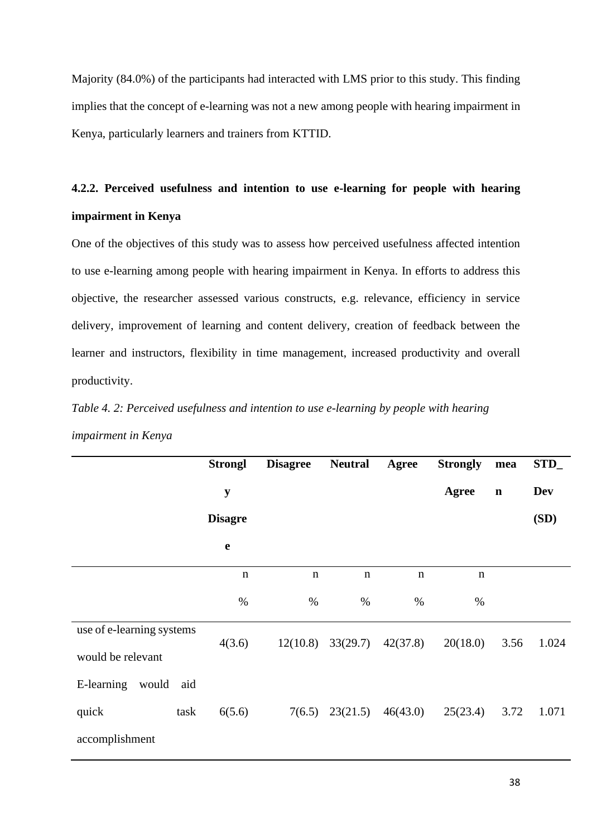Majority (84.0%) of the participants had interacted with LMS prior to this study. This finding implies that the concept of e-learning was not a new among people with hearing impairment in Kenya, particularly learners and trainers from KTTID.

## **4.2.2. Perceived usefulness and intention to use e-learning for people with hearing impairment in Kenya**

One of the objectives of this study was to assess how perceived usefulness affected intention to use e-learning among people with hearing impairment in Kenya. In efforts to address this objective, the researcher assessed various constructs, e.g. relevance, efficiency in service delivery, improvement of learning and content delivery, creation of feedback between the learner and instructors, flexibility in time management, increased productivity and overall productivity.

*Table 4. 2: Perceived usefulness and intention to use e-learning by people with hearing impairment in Kenya*

|                            | <b>Strongl</b> | <b>Disagree</b> | <b>Neutral</b> | Agree       | <b>Strongly</b> | mea         | STD_       |
|----------------------------|----------------|-----------------|----------------|-------------|-----------------|-------------|------------|
|                            | ${\bf y}$      |                 |                |             | <b>Agree</b>    | $\mathbf n$ | <b>Dev</b> |
|                            | <b>Disagre</b> |                 |                |             |                 |             | (SD)       |
|                            | $\mathbf e$    |                 |                |             |                 |             |            |
|                            | $\mathbf n$    | $\mathbf n$     | $\mathbf n$    | $\mathbf n$ | $\mathbf n$     |             |            |
|                            | $\%$           | $\%$            | $\%$           | $\%$        | $\%$            |             |            |
| use of e-learning systems  | 4(3.6)         | 12(10.8)        | 33(29.7)       | 42(37.8)    | 20(18.0)        | 3.56        | 1.024      |
| would be relevant          |                |                 |                |             |                 |             |            |
| E-learning<br>would<br>aid |                |                 |                |             |                 |             |            |
| task<br>quick              | 6(5.6)         | 7(6.5)          | 23(21.5)       | 46(43.0)    | 25(23.4)        | 3.72        | 1.071      |
| accomplishment             |                |                 |                |             |                 |             |            |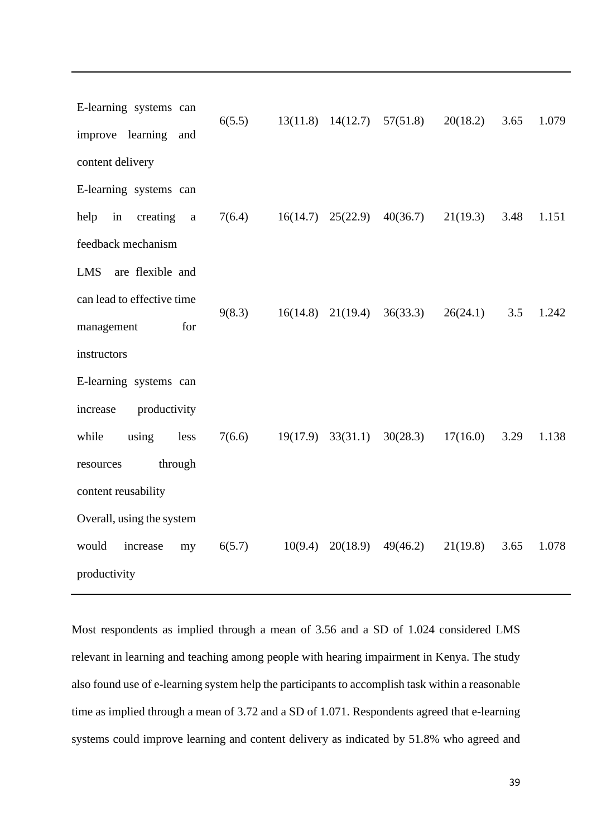E-learning systems can improve learning and content delivery 6(5.5) 13(11.8) 14(12.7) 57(51.8) 20(18.2) 3.65 1.079 E-learning systems can help in creating a feedback mechanism 7(6.4) 16(14.7) 25(22.9) 40(36.7) 21(19.3) 3.48 1.151 LMS are flexible and can lead to effective time management for instructors 9(8.3) 16(14.8) 21(19.4) 36(33.3) 26(24.1) 3.5 1.242 E-learning systems can increase productivity while using less resources through content reusability 7(6.6) 19(17.9) 33(31.1) 30(28.3) 17(16.0) 3.29 1.138 Overall, using the system would increase my productivity 6(5.7) 10(9.4) 20(18.9) 49(46.2) 21(19.8) 3.65 1.078

Most respondents as implied through a mean of 3.56 and a SD of 1.024 considered LMS relevant in learning and teaching among people with hearing impairment in Kenya. The study also found use of e-learning system help the participants to accomplish task within a reasonable time as implied through a mean of 3.72 and a SD of 1.071. Respondents agreed that e-learning systems could improve learning and content delivery as indicated by 51.8% who agreed and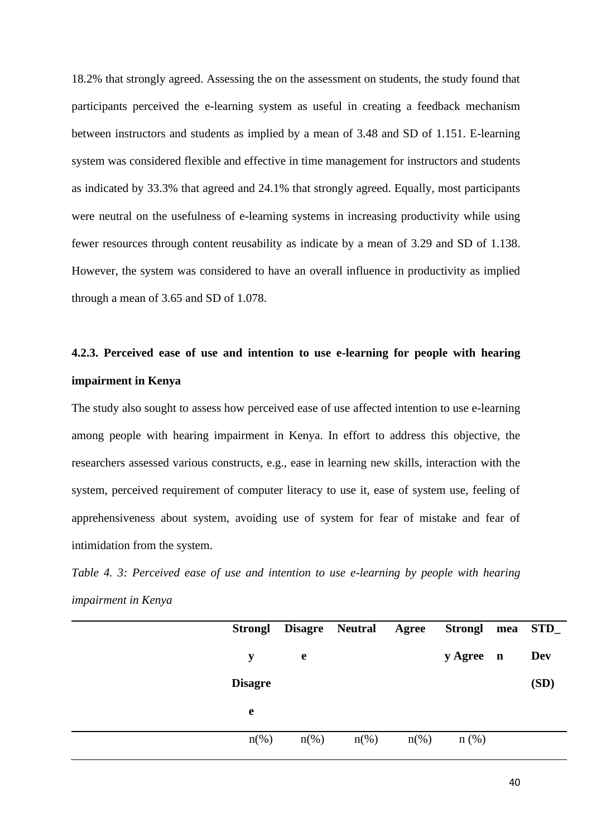18.2% that strongly agreed. Assessing the on the assessment on students, the study found that participants perceived the e-learning system as useful in creating a feedback mechanism between instructors and students as implied by a mean of 3.48 and SD of 1.151. E-learning system was considered flexible and effective in time management for instructors and students as indicated by 33.3% that agreed and 24.1% that strongly agreed. Equally, most participants were neutral on the usefulness of e-learning systems in increasing productivity while using fewer resources through content reusability as indicate by a mean of 3.29 and SD of 1.138. However, the system was considered to have an overall influence in productivity as implied through a mean of 3.65 and SD of 1.078.

# **4.2.3. Perceived ease of use and intention to use e-learning for people with hearing impairment in Kenya**

The study also sought to assess how perceived ease of use affected intention to use e-learning among people with hearing impairment in Kenya. In effort to address this objective, the researchers assessed various constructs, e.g., ease in learning new skills, interaction with the system, perceived requirement of computer literacy to use it, ease of system use, feeling of apprehensiveness about system, avoiding use of system for fear of mistake and fear of intimidation from the system.

*Table 4. 3: Perceived ease of use and intention to use e-learning by people with hearing impairment in Kenya*

| <b>Strongl</b>     | Disagre Neutral Agree |                    |                    | <b>Strongl</b> | mea STD_ |
|--------------------|-----------------------|--------------------|--------------------|----------------|----------|
| y                  | e                     |                    |                    | y Agree n      | Dev      |
| <b>Disagre</b>     |                       |                    |                    |                | (SD)     |
| e                  |                       |                    |                    |                |          |
| $n\left(\%\right)$ | $n\left(\%\right)$    | $n\left(\%\right)$ | $n\left(\%\right)$ | $n$ (%)        |          |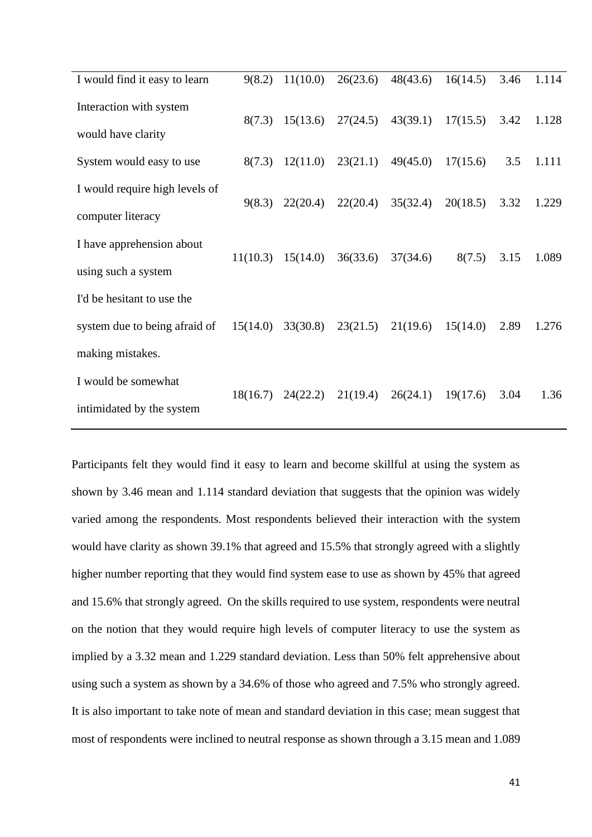| I would find it easy to learn  | 9(8.2)   | 11(10.0) | 26(23.6) | 48(43.6) | 16(14.5) | 3.46 | 1.114 |
|--------------------------------|----------|----------|----------|----------|----------|------|-------|
| Interaction with system        |          |          |          |          |          |      |       |
| would have clarity             | 8(7.3)   | 15(13.6) | 27(24.5) | 43(39.1) | 17(15.5) | 3.42 | 1.128 |
| System would easy to use       | 8(7.3)   | 12(11.0) | 23(21.1) | 49(45.0) | 17(15.6) | 3.5  | 1.111 |
| I would require high levels of |          |          |          |          |          |      |       |
| computer literacy              | 9(8.3)   | 22(20.4) | 22(20.4) | 35(32.4) | 20(18.5) | 3.32 | 1.229 |
| I have apprehension about      |          |          |          |          |          |      |       |
| using such a system            | 11(10.3) | 15(14.0) | 36(33.6) | 37(34.6) | 8(7.5)   | 3.15 | 1.089 |
| I'd be hesitant to use the     |          |          |          |          |          |      |       |
| system due to being afraid of  | 15(14.0) | 33(30.8) | 23(21.5) | 21(19.6) | 15(14.0) | 2.89 | 1.276 |
| making mistakes.               |          |          |          |          |          |      |       |
| I would be somewhat            | 18(16.7) | 24(22.2) | 21(19.4) | 26(24.1) | 19(17.6) | 3.04 | 1.36  |
| intimidated by the system      |          |          |          |          |          |      |       |

Participants felt they would find it easy to learn and become skillful at using the system as shown by 3.46 mean and 1.114 standard deviation that suggests that the opinion was widely varied among the respondents. Most respondents believed their interaction with the system would have clarity as shown 39.1% that agreed and 15.5% that strongly agreed with a slightly higher number reporting that they would find system ease to use as shown by 45% that agreed and 15.6% that strongly agreed. On the skills required to use system, respondents were neutral on the notion that they would require high levels of computer literacy to use the system as implied by a 3.32 mean and 1.229 standard deviation. Less than 50% felt apprehensive about using such a system as shown by a 34.6% of those who agreed and 7.5% who strongly agreed. It is also important to take note of mean and standard deviation in this case; mean suggest that most of respondents were inclined to neutral response as shown through a 3.15 mean and 1.089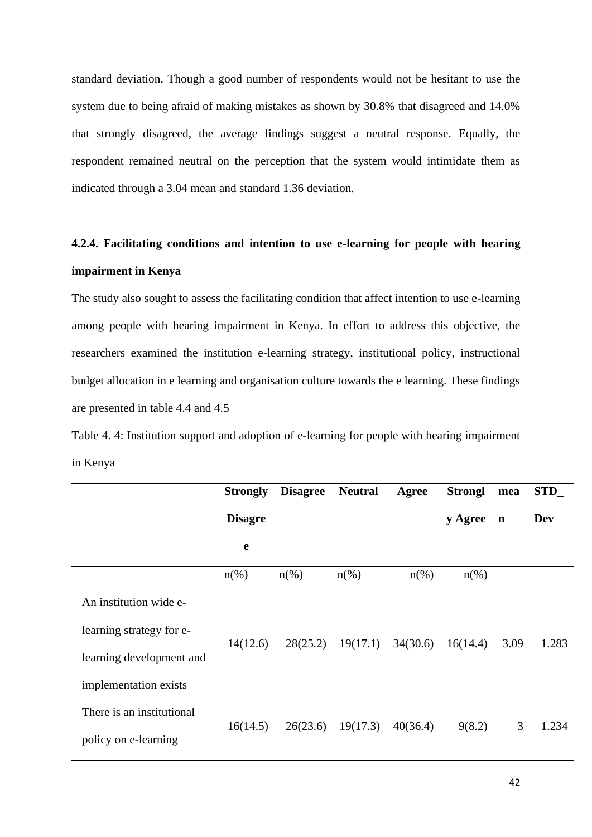standard deviation. Though a good number of respondents would not be hesitant to use the system due to being afraid of making mistakes as shown by 30.8% that disagreed and 14.0% that strongly disagreed, the average findings suggest a neutral response. Equally, the respondent remained neutral on the perception that the system would intimidate them as indicated through a 3.04 mean and standard 1.36 deviation.

## **4.2.4. Facilitating conditions and intention to use e-learning for people with hearing impairment in Kenya**

The study also sought to assess the facilitating condition that affect intention to use e-learning among people with hearing impairment in Kenya. In effort to address this objective, the researchers examined the institution e-learning strategy, institutional policy, instructional budget allocation in e learning and organisation culture towards the e learning. These findings are presented in table 4.4 and 4.5

Table 4. 4: Institution support and adoption of e-learning for people with hearing impairment in Kenya

|                           | <b>Strongly</b>    | <b>Disagree</b>    | <b>Neutral</b>     | Agree              | <b>Strongl</b>     | mea         | $STD_$     |
|---------------------------|--------------------|--------------------|--------------------|--------------------|--------------------|-------------|------------|
|                           | <b>Disagre</b>     |                    |                    |                    | y Agree            | $\mathbf n$ | <b>Dev</b> |
|                           | e                  |                    |                    |                    |                    |             |            |
|                           | $n\left(\%\right)$ | $n\left(\%\right)$ | $n\left(\%\right)$ | $n\left(\%\right)$ | $n\left(\%\right)$ |             |            |
| An institution wide e-    |                    |                    |                    |                    |                    |             |            |
| learning strategy for e-  | 14(12.6)           | 28(25.2)           | 19(17.1)           | 34(30.6)           | 16(14.4)           | 3.09        | 1.283      |
| learning development and  |                    |                    |                    |                    |                    |             |            |
| implementation exists     |                    |                    |                    |                    |                    |             |            |
| There is an institutional |                    |                    |                    |                    |                    |             |            |
| policy on e-learning      | 16(14.5)           | 26(23.6)           | 19(17.3)           | 40(36.4)           | 9(8.2)             | 3           | 1.234      |
|                           |                    |                    |                    |                    |                    |             |            |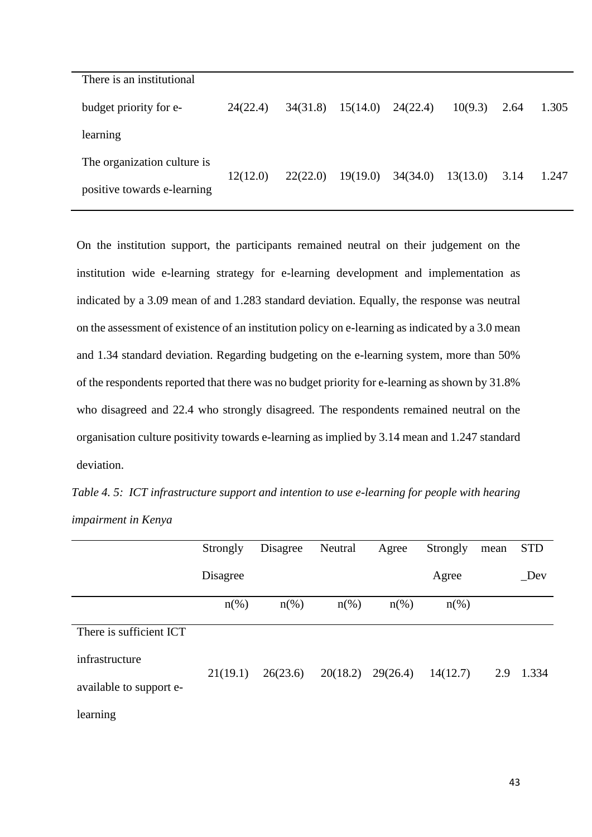| There is an institutional   |          |          |                       |          |          |      |       |
|-----------------------------|----------|----------|-----------------------|----------|----------|------|-------|
| budget priority for e-      | 24(22.4) | 34(31.8) | $15(14.0)$ $24(22.4)$ |          | 10(9.3)  | 2.64 | 1.305 |
| learning                    |          |          |                       |          |          |      |       |
| The organization culture is | 12(12.0) | 22(22.0) | 19(19.0)              | 34(34.0) | 13(13.0) | 3.14 | 1.247 |
| positive towards e-learning |          |          |                       |          |          |      |       |

On the institution support, the participants remained neutral on their judgement on the institution wide e-learning strategy for e-learning development and implementation as indicated by a 3.09 mean of and 1.283 standard deviation. Equally, the response was neutral on the assessment of existence of an institution policy on e-learning as indicated by a 3.0 mean and 1.34 standard deviation. Regarding budgeting on the e-learning system, more than 50% of the respondents reported that there was no budget priority for e-learning as shown by 31.8% who disagreed and 22.4 who strongly disagreed. The respondents remained neutral on the organisation culture positivity towards e-learning as implied by 3.14 mean and 1.247 standard deviation.

*Table 4. 5: ICT infrastructure support and intention to use e-learning for people with hearing impairment in Kenya*

|                         | Strongly | Disagree           | Neutral  | Agree              | Strongly           | mean | <b>STD</b> |
|-------------------------|----------|--------------------|----------|--------------------|--------------------|------|------------|
|                         | Disagree |                    |          |                    | Agree              |      | $\_{Dev}$  |
|                         | $n(\%)$  | $n\left(\%\right)$ | $n(\%)$  | $n\left(\%\right)$ | $n\left(\%\right)$ |      |            |
| There is sufficient ICT |          |                    |          |                    |                    |      |            |
| infrastructure          | 21(19.1) | 26(23.6)           | 20(18.2) | 29(26.4)           | 14(12.7)           |      | 2.9 1.334  |
| available to support e- |          |                    |          |                    |                    |      |            |
| learning                |          |                    |          |                    |                    |      |            |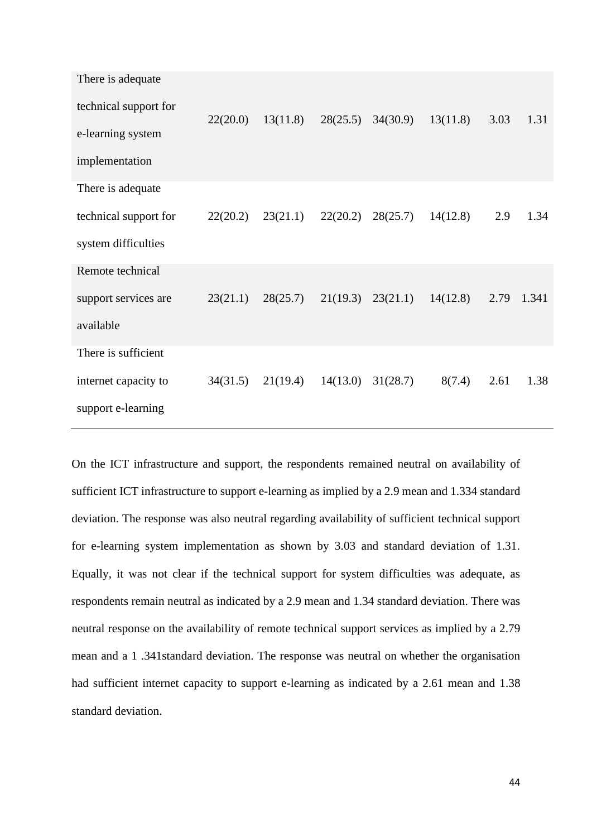| There is adequate     |          |                                  |          |                       |          |      |       |
|-----------------------|----------|----------------------------------|----------|-----------------------|----------|------|-------|
| technical support for | 22(20.0) | 13(11.8)                         | 28(25.5) | 34(30.9)              | 13(11.8) | 3.03 | 1.31  |
| e-learning system     |          |                                  |          |                       |          |      |       |
| implementation        |          |                                  |          |                       |          |      |       |
| There is adequate     |          |                                  |          |                       |          |      |       |
| technical support for | 22(20.2) | $23(21.1)$ $22(20.2)$ $28(25.7)$ |          |                       | 14(12.8) | 2.9  | 1.34  |
| system difficulties   |          |                                  |          |                       |          |      |       |
| Remote technical      |          |                                  |          |                       |          |      |       |
| support services are  | 23(21.1) | 28(25.7)                         |          | $21(19.3)$ $23(21.1)$ | 14(12.8) | 2.79 | 1.341 |
| available             |          |                                  |          |                       |          |      |       |
| There is sufficient   |          |                                  |          |                       |          |      |       |
| internet capacity to  | 34(31.5) | $21(19.4)$ $14(13.0)$ $31(28.7)$ |          |                       | 8(7.4)   | 2.61 | 1.38  |
| support e-learning    |          |                                  |          |                       |          |      |       |

On the ICT infrastructure and support, the respondents remained neutral on availability of sufficient ICT infrastructure to support e-learning as implied by a 2.9 mean and 1.334 standard deviation. The response was also neutral regarding availability of sufficient technical support for e-learning system implementation as shown by 3.03 and standard deviation of 1.31. Equally, it was not clear if the technical support for system difficulties was adequate, as respondents remain neutral as indicated by a 2.9 mean and 1.34 standard deviation. There was neutral response on the availability of remote technical support services as implied by a 2.79 mean and a 1 .341standard deviation. The response was neutral on whether the organisation had sufficient internet capacity to support e-learning as indicated by a 2.61 mean and 1.38 standard deviation.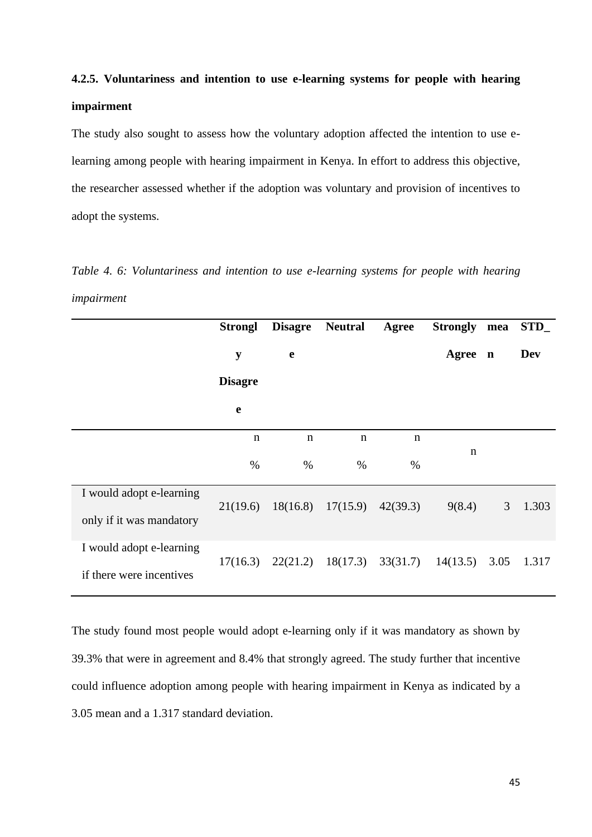# **4.2.5. Voluntariness and intention to use e-learning systems for people with hearing impairment**

The study also sought to assess how the voluntary adoption affected the intention to use elearning among people with hearing impairment in Kenya. In effort to address this objective, the researcher assessed whether if the adoption was voluntary and provision of incentives to adopt the systems.

*Table 4. 6: Voluntariness and intention to use e-learning systems for people with hearing impairment*

|                          | <b>Strongl</b> | <b>Disagre</b> | <b>Neutral</b>        | Agree       | <b>Strongly</b> | mea         | STD   |
|--------------------------|----------------|----------------|-----------------------|-------------|-----------------|-------------|-------|
|                          | y              | $\mathbf e$    |                       |             | Agree           | $\mathbf n$ | Dev   |
|                          | <b>Disagre</b> |                |                       |             |                 |             |       |
|                          | e              |                |                       |             |                 |             |       |
|                          | $\mathbf n$    | $\mathbf n$    | $\mathbf n$           | $\mathbf n$ |                 |             |       |
|                          | $\%$           | $\%$           | $\%$                  | $\%$        | n               |             |       |
| I would adopt e-learning | 21(19.6)       |                | $18(16.8)$ $17(15.9)$ | 42(39.3)    | 9(8.4)          | 3           | 1.303 |
| only if it was mandatory |                |                |                       |             |                 |             |       |
| I would adopt e-learning | 17(16.3)       | 22(21.2)       | 18(17.3)              | 33(31.7)    | 14(13.5)        | 3.05        | 1.317 |
| if there were incentives |                |                |                       |             |                 |             |       |

The study found most people would adopt e-learning only if it was mandatory as shown by 39.3% that were in agreement and 8.4% that strongly agreed. The study further that incentive could influence adoption among people with hearing impairment in Kenya as indicated by a 3.05 mean and a 1.317 standard deviation.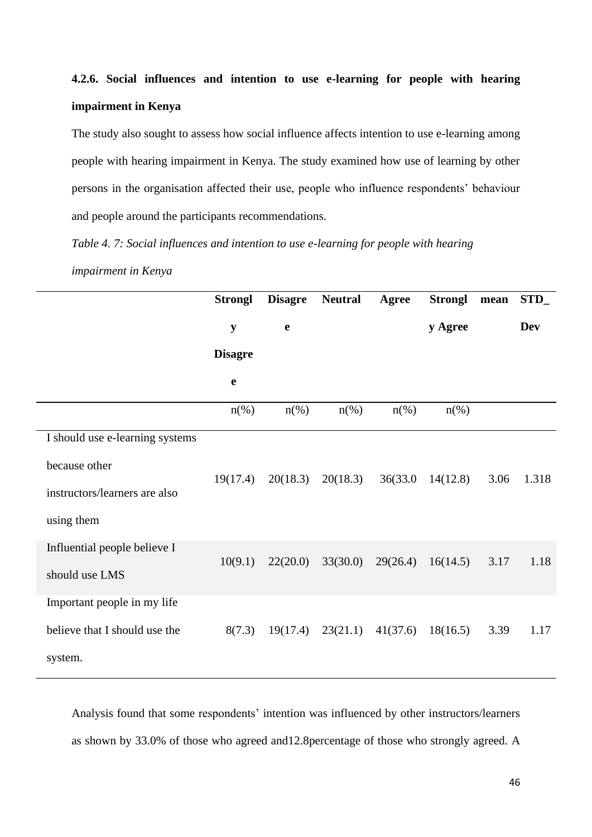# **4.2.6. Social influences and intention to use e-learning for people with hearing impairment in Kenya**

The study also sought to assess how social influence affects intention to use e-learning among people with hearing impairment in Kenya. The study examined how use of learning by other persons in the organisation affected their use, people who influence respondents' behaviour and people around the participants recommendations.

*Table 4. 7: Social influences and intention to use e-learning for people with hearing impairment in Kenya*

|                                 | <b>Strongl</b> | <b>Disagre</b>     | <b>Neutral</b>     | Agree                            | <b>Strongl</b> | mean | STD_       |
|---------------------------------|----------------|--------------------|--------------------|----------------------------------|----------------|------|------------|
|                                 | $\mathbf y$    | $\mathbf e$        |                    |                                  | y Agree        |      | <b>Dev</b> |
|                                 | <b>Disagre</b> |                    |                    |                                  |                |      |            |
|                                 | e              |                    |                    |                                  |                |      |            |
|                                 | $n(\%)$        | $n\left(\%\right)$ | $n\left(\%\right)$ | $n\left(\%\right)$               | $n(\%)$        |      |            |
| I should use e-learning systems |                |                    |                    |                                  |                |      |            |
| because other                   |                |                    |                    |                                  |                |      |            |
| instructors/learners are also   | 19(17.4)       | 20(18.3)           | 20(18.3)           | 36(33.0)                         | 14(12.8)       | 3.06 | 1.318      |
| using them                      |                |                    |                    |                                  |                |      |            |
| Influential people believe I    | 10(9.1)        | 22(20.0)           | 33(30.0)           | 29(26.4)                         | 16(14.5)       | 3.17 | 1.18       |
| should use LMS                  |                |                    |                    |                                  |                |      |            |
| Important people in my life     |                |                    |                    |                                  |                |      |            |
| believe that I should use the   | 8(7.3)         |                    |                    | $19(17.4)$ $23(21.1)$ $41(37.6)$ | 18(16.5)       | 3.39 | 1.17       |
| system.                         |                |                    |                    |                                  |                |      |            |

Analysis found that some respondents' intention was influenced by other instructors/learners as shown by 33.0% of those who agreed and12.8percentage of those who strongly agreed. A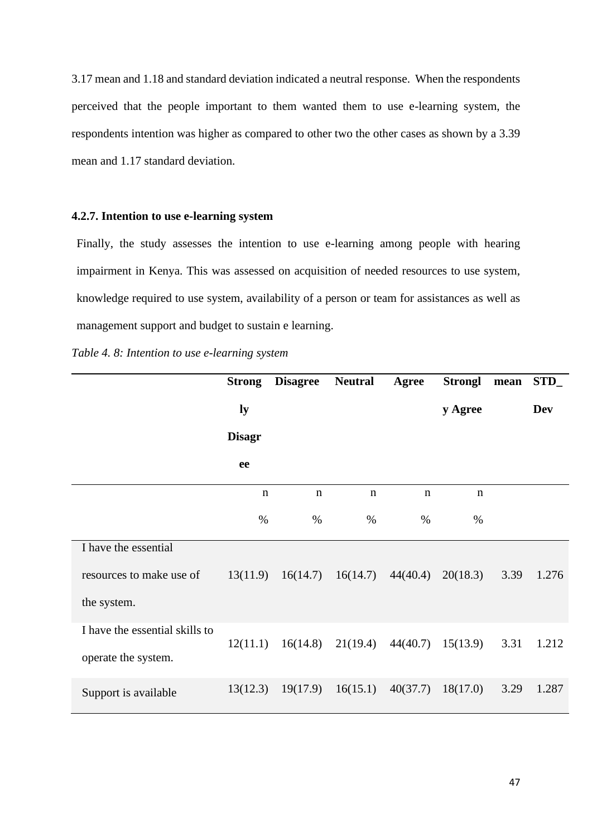3.17 mean and 1.18 and standard deviation indicated a neutral response. When the respondents perceived that the people important to them wanted them to use e-learning system, the respondents intention was higher as compared to other two the other cases as shown by a 3.39 mean and 1.17 standard deviation.

### **4.2.7. Intention to use e-learning system**

Finally, the study assesses the intention to use e-learning among people with hearing impairment in Kenya. This was assessed on acquisition of needed resources to use system, knowledge required to use system, availability of a person or team for assistances as well as management support and budget to sustain e learning.

*Table 4. 8: Intention to use e-learning system*

|                                | <b>Strong</b> | <b>Disagree</b> | <b>Neutral</b> | Agree       | <b>Strongl</b> | mean | STD        |
|--------------------------------|---------------|-----------------|----------------|-------------|----------------|------|------------|
|                                | ly            |                 |                |             | y Agree        |      | <b>Dev</b> |
|                                | <b>Disagr</b> |                 |                |             |                |      |            |
|                                | ee            |                 |                |             |                |      |            |
|                                | $\mathbf n$   | $\mathbf n$     | $\mathbf n$    | $\mathbf n$ | $\mathbf n$    |      |            |
|                                | $\%$          | $\%$            | $\%$           | $\%$        | $\%$           |      |            |
| I have the essential           |               |                 |                |             |                |      |            |
| resources to make use of       | 13(11.9)      | 16(14.7)        | 16(14.7)       | 44(40.4)    | 20(18.3)       | 3.39 | 1.276      |
| the system.                    |               |                 |                |             |                |      |            |
| I have the essential skills to | 12(11.1)      | 16(14.8)        | 21(19.4)       | 44(40.7)    | 15(13.9)       | 3.31 | 1.212      |
| operate the system.            |               |                 |                |             |                |      |            |
| Support is available           | 13(12.3)      | 19(17.9)        | 16(15.1)       | 40(37.7)    | 18(17.0)       | 3.29 | 1.287      |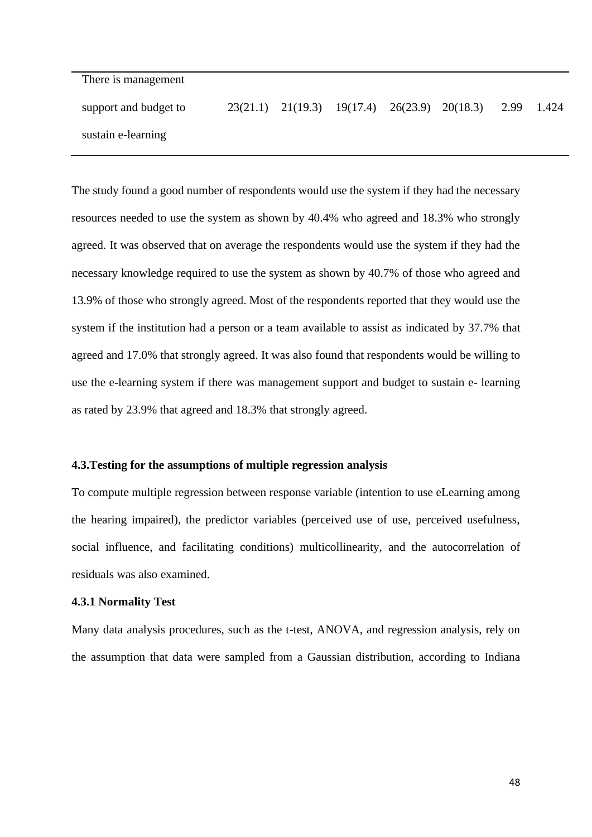There is management

support and budget to sustain e-learning 23(21.1) 21(19.3) 19(17.4) 26(23.9) 20(18.3) 2.99 1.424

The study found a good number of respondents would use the system if they had the necessary resources needed to use the system as shown by 40.4% who agreed and 18.3% who strongly agreed. It was observed that on average the respondents would use the system if they had the necessary knowledge required to use the system as shown by 40.7% of those who agreed and 13.9% of those who strongly agreed. Most of the respondents reported that they would use the system if the institution had a person or a team available to assist as indicated by 37.7% that agreed and 17.0% that strongly agreed. It was also found that respondents would be willing to use the e-learning system if there was management support and budget to sustain e- learning as rated by 23.9% that agreed and 18.3% that strongly agreed.

#### **4.3.Testing for the assumptions of multiple regression analysis**

To compute multiple regression between response variable (intention to use eLearning among the hearing impaired), the predictor variables (perceived use of use, perceived usefulness, social influence, and facilitating conditions) multicollinearity, and the autocorrelation of residuals was also examined.

#### **4.3.1 Normality Test**

Many data analysis procedures, such as the t-test, ANOVA, and regression analysis, rely on the assumption that data were sampled from a Gaussian distribution, according to Indiana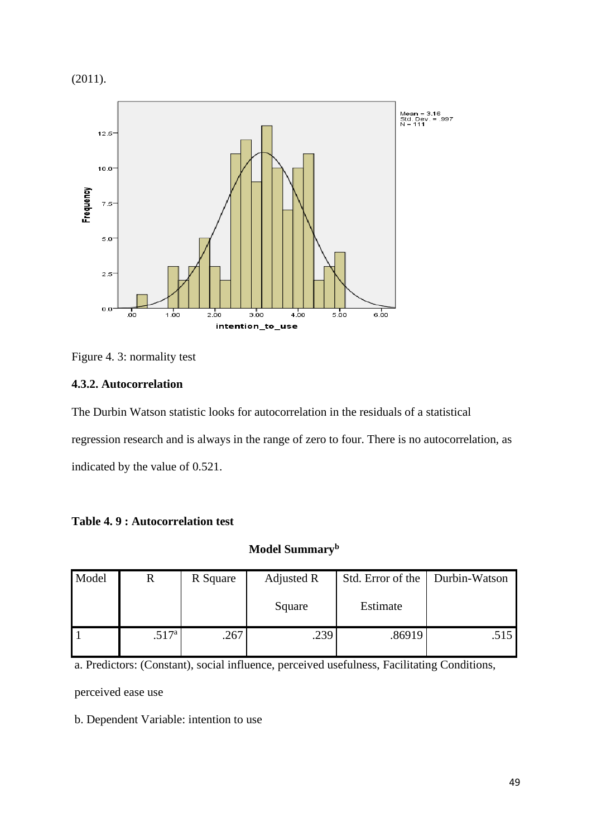(2011).



## Figure 4. 3: normality test

## **4.3.2. Autocorrelation**

The Durbin Watson statistic looks for autocorrelation in the residuals of a statistical regression research and is always in the range of zero to four. There is no autocorrelation, as indicated by the value of 0.521.

|  | Table 4.9 : Autocorrelation test |  |
|--|----------------------------------|--|
|--|----------------------------------|--|

## **Model Summary<sup>b</sup>**

| Model | R                 | R Square | Adjusted R | Std. Error of the | Durbin-Watson |
|-------|-------------------|----------|------------|-------------------|---------------|
|       |                   |          | Square     | Estimate          |               |
|       | .517 <sup>a</sup> | .267     | .239       | .86919            | .515          |

a. Predictors: (Constant), social influence, perceived usefulness, Facilitating Conditions,

perceived ease use

b. Dependent Variable: intention to use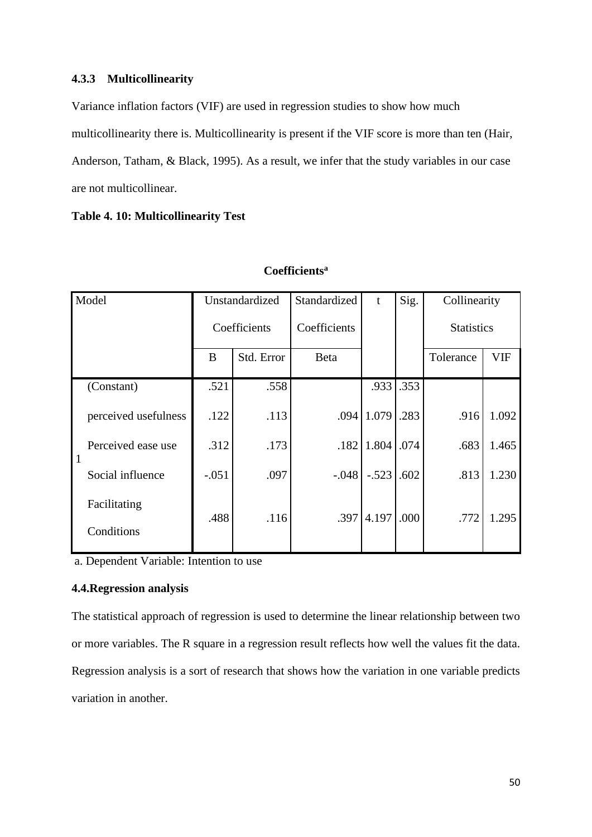### **4.3.3 Multicollinearity**

Variance inflation factors (VIF) are used in regression studies to show how much multicollinearity there is. Multicollinearity is present if the VIF score is more than ten (Hair, Anderson, Tatham, & Black, 1995). As a result, we infer that the study variables in our case are not multicollinear.

**Table 4. 10: Multicollinearity Test**

| Model                      |                      | Unstandardized |              | Standardized | t       | Sig. | Collinearity      |            |
|----------------------------|----------------------|----------------|--------------|--------------|---------|------|-------------------|------------|
|                            |                      |                | Coefficients | Coefficients |         |      | <b>Statistics</b> |            |
|                            |                      | B              | Std. Error   | Beta         |         |      | Tolerance         | <b>VIF</b> |
| (Constant)                 |                      | .521           | .558         |              | .933    | .353 |                   |            |
|                            | perceived usefulness | .122           | .113         | .094         | 1.079   | .283 | .916              | 1.092      |
| $\blacksquare$             | Perceived ease use   | .312           | .173         | .182         | 1.804   | .074 | .683              | 1.465      |
|                            | Social influence     | $-.051$        | .097         | $-.048$      | $-.523$ | .602 | .813              | 1.230      |
| Facilitating<br>Conditions |                      | .488           | .116         | .397         | 4.197   | .000 | .772              | 1.295      |

## **Coefficients<sup>a</sup>**

a. Dependent Variable: Intention to use

## **4.4.Regression analysis**

The statistical approach of regression is used to determine the linear relationship between two or more variables. The R square in a regression result reflects how well the values fit the data. Regression analysis is a sort of research that shows how the variation in one variable predicts variation in another.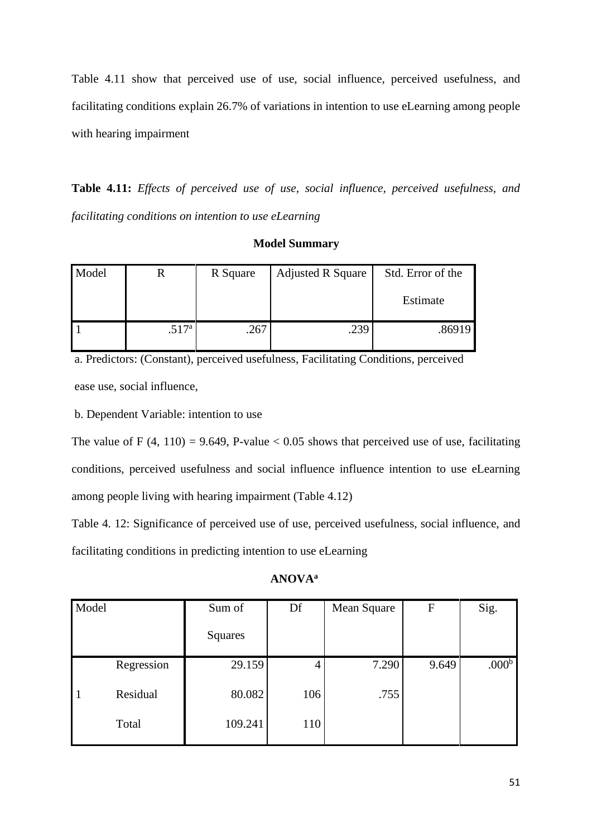Table 4.11 show that perceived use of use, social influence, perceived usefulness, and facilitating conditions explain 26.7% of variations in intention to use eLearning among people with hearing impairment

**Table 4.11:** *Effects of perceived use of use, social influence, perceived usefulness, and facilitating conditions on intention to use eLearning*

| Model | ĸ                 | R Square | <b>Adjusted R Square</b> | Std. Error of the |
|-------|-------------------|----------|--------------------------|-------------------|
|       |                   |          |                          | Estimate          |
|       | .517 <sup>a</sup> | .267     | .239                     | .86919            |

**Model Summary**

a. Predictors: (Constant), perceived usefulness, Facilitating Conditions, perceived ease use, social influence,

b. Dependent Variable: intention to use

The value of F (4, 110) = 9.649, P-value  $< 0.05$  shows that perceived use of use, facilitating conditions, perceived usefulness and social influence influence intention to use eLearning among people living with hearing impairment (Table 4.12)

Table 4. 12: Significance of perceived use of use, perceived usefulness, social influence, and facilitating conditions in predicting intention to use eLearning

## **ANOVA<sup>a</sup>**

| Model        |            | Sum of  | Df  | Mean Square | $\mathbf{F}$ | Sig.              |
|--------------|------------|---------|-----|-------------|--------------|-------------------|
|              |            | Squares |     |             |              |                   |
|              | Regression | 29.159  | 4   | 7.290       | 9.649        | .000 <sup>b</sup> |
| $\mathbf{1}$ | Residual   | 80.082  | 106 | .755        |              |                   |
|              | Total      | 109.241 | 110 |             |              |                   |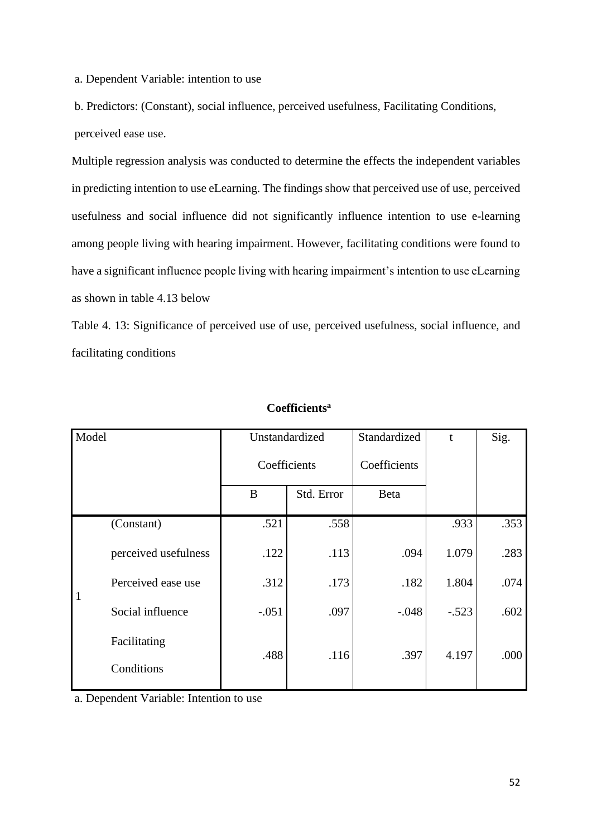a. Dependent Variable: intention to use

b. Predictors: (Constant), social influence, perceived usefulness, Facilitating Conditions, perceived ease use.

Multiple regression analysis was conducted to determine the effects the independent variables in predicting intention to use eLearning. The findings show that perceived use of use, perceived usefulness and social influence did not significantly influence intention to use e-learning among people living with hearing impairment. However, facilitating conditions were found to have a significant influence people living with hearing impairment's intention to use eLearning as shown in table 4.13 below

Table 4. 13: Significance of perceived use of use, perceived usefulness, social influence, and facilitating conditions

| Model        |                            | Unstandardized |              | Standardized | $\mathbf{t}$ | Sig. |
|--------------|----------------------------|----------------|--------------|--------------|--------------|------|
|              |                            |                | Coefficients |              |              |      |
|              |                            | B              | Std. Error   | <b>Beta</b>  |              |      |
|              | (Constant)                 | .521           | .558         |              | .933         | .353 |
|              | perceived usefulness       | .122           | .113         | .094         | 1.079        | .283 |
| $\mathbf{1}$ | Perceived ease use         | .312           | .173         | .182         | 1.804        | .074 |
|              | Social influence           | $-.051$        | .097         | $-.048$      | $-.523$      | .602 |
|              | Facilitating<br>Conditions | .488           | .116         | .397         | 4.197        | .000 |

## **Coefficients<sup>a</sup>**

a. Dependent Variable: Intention to use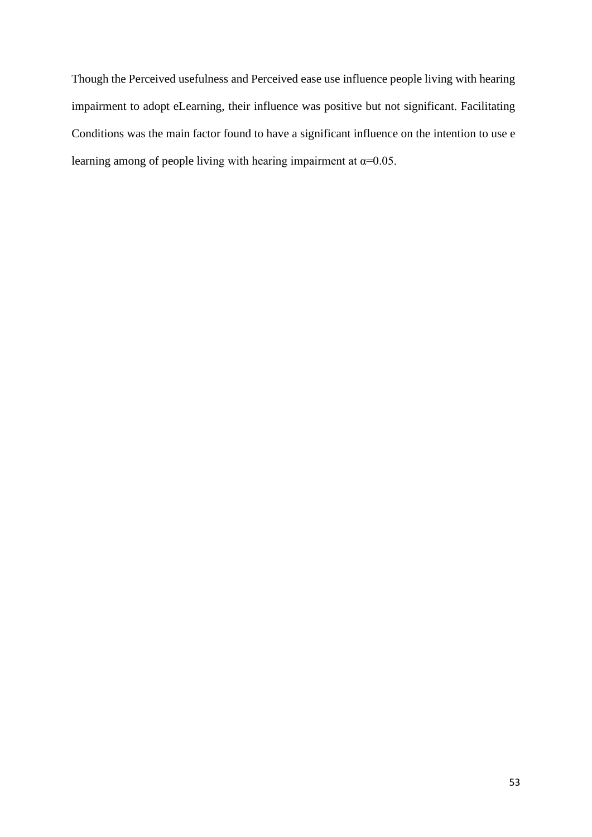Though the Perceived usefulness and Perceived ease use influence people living with hearing impairment to adopt eLearning, their influence was positive but not significant. Facilitating Conditions was the main factor found to have a significant influence on the intention to use e learning among of people living with hearing impairment at  $\alpha$ =0.05.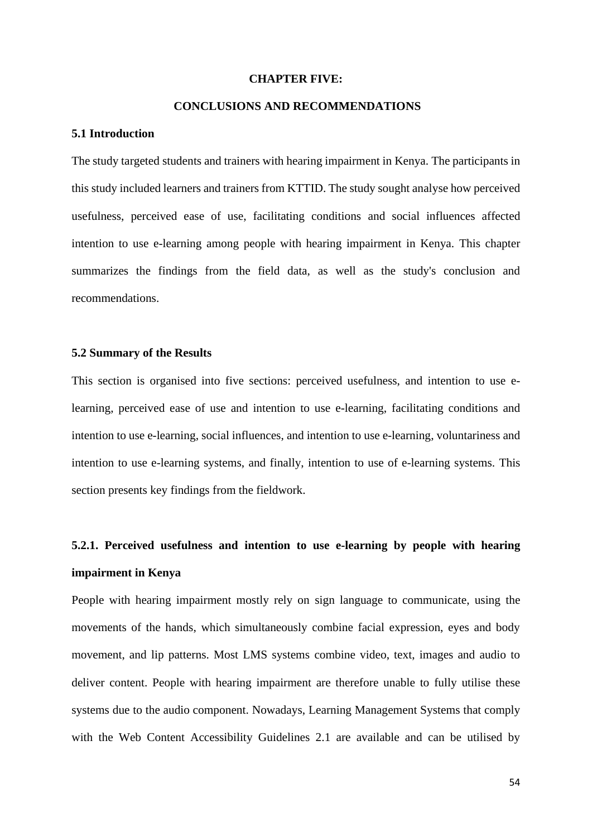#### **CHAPTER FIVE:**

### **CONCLUSIONS AND RECOMMENDATIONS**

#### **5.1 Introduction**

The study targeted students and trainers with hearing impairment in Kenya. The participants in this study included learners and trainers from KTTID. The study sought analyse how perceived usefulness, perceived ease of use, facilitating conditions and social influences affected intention to use e-learning among people with hearing impairment in Kenya. This chapter summarizes the findings from the field data, as well as the study's conclusion and recommendations.

## **5.2 Summary of the Results**

This section is organised into five sections: perceived usefulness, and intention to use elearning, perceived ease of use and intention to use e-learning, facilitating conditions and intention to use e-learning, social influences, and intention to use e-learning, voluntariness and intention to use e-learning systems, and finally, intention to use of e-learning systems. This section presents key findings from the fieldwork.

## **5.2.1. Perceived usefulness and intention to use e-learning by people with hearing impairment in Kenya**

People with hearing impairment mostly rely on sign language to communicate, using the movements of the hands, which simultaneously combine facial expression, eyes and body movement, and lip patterns. Most LMS systems combine video, text, images and audio to deliver content. People with hearing impairment are therefore unable to fully utilise these systems due to the audio component. Nowadays, Learning Management Systems that comply with the Web Content Accessibility Guidelines 2.1 are available and can be utilised by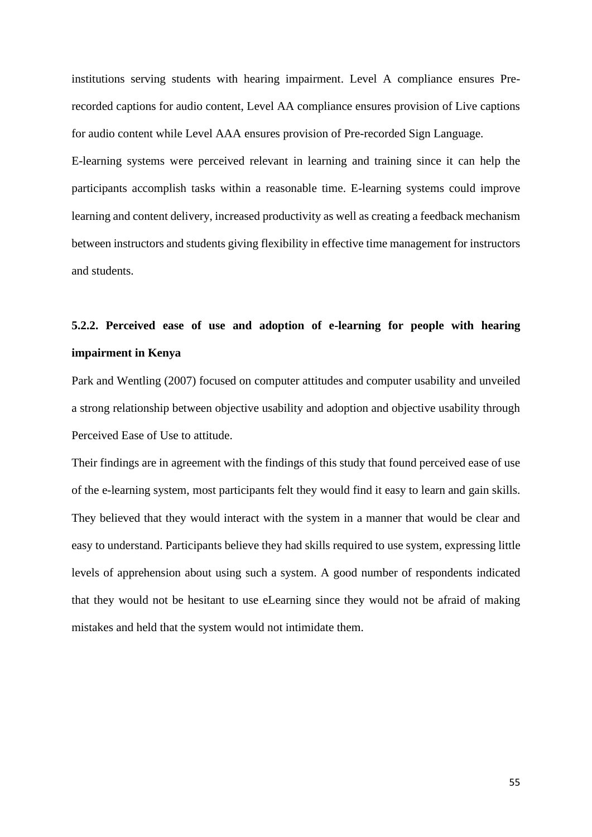institutions serving students with hearing impairment. Level A compliance ensures Prerecorded captions for audio content, Level AA compliance ensures provision of Live captions for audio content while Level AAA ensures provision of Pre-recorded Sign Language. E-learning systems were perceived relevant in learning and training since it can help the participants accomplish tasks within a reasonable time. E-learning systems could improve

learning and content delivery, increased productivity as well as creating a feedback mechanism between instructors and students giving flexibility in effective time management for instructors and students.

## **5.2.2. Perceived ease of use and adoption of e-learning for people with hearing impairment in Kenya**

Park and Wentling (2007) focused on computer attitudes and computer usability and unveiled a strong relationship between objective usability and adoption and objective usability through Perceived Ease of Use to attitude.

Their findings are in agreement with the findings of this study that found perceived ease of use of the e-learning system, most participants felt they would find it easy to learn and gain skills. They believed that they would interact with the system in a manner that would be clear and easy to understand. Participants believe they had skills required to use system, expressing little levels of apprehension about using such a system. A good number of respondents indicated that they would not be hesitant to use eLearning since they would not be afraid of making mistakes and held that the system would not intimidate them.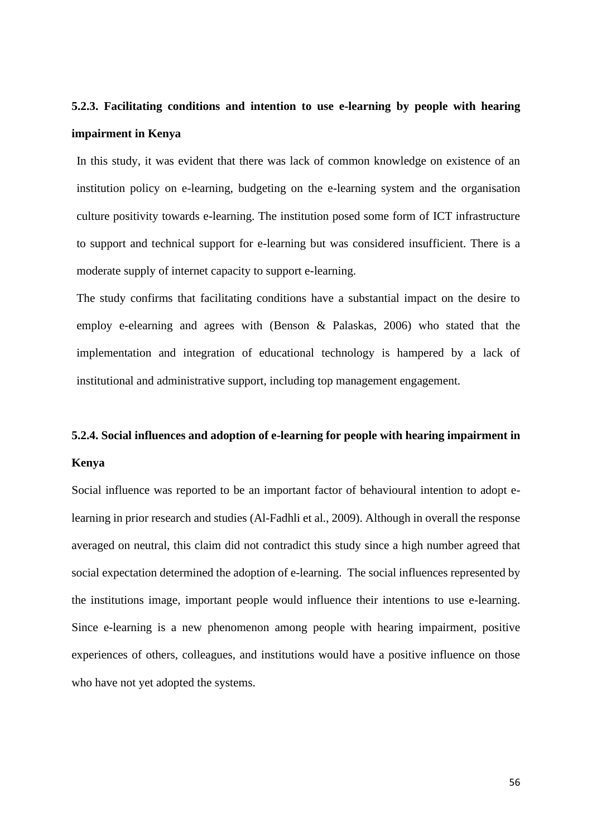## **5.2.3. Facilitating conditions and intention to use e-learning by people with hearing impairment in Kenya**

In this study, it was evident that there was lack of common knowledge on existence of an institution policy on e-learning, budgeting on the e-learning system and the organisation culture positivity towards e-learning. The institution posed some form of ICT infrastructure to support and technical support for e-learning but was considered insufficient. There is a moderate supply of internet capacity to support e-learning.

The study confirms that facilitating conditions have a substantial impact on the desire to employ e-elearning and agrees with (Benson & Palaskas, 2006) who stated that the implementation and integration of educational technology is hampered by a lack of institutional and administrative support, including top management engagement.

## **5.2.4. Social influences and adoption of e-learning for people with hearing impairment in Kenya**

Social influence was reported to be an important factor of behavioural intention to adopt elearning in prior research and studies (Al-Fadhli et al., 2009). Although in overall the response averaged on neutral, this claim did not contradict this study since a high number agreed that social expectation determined the adoption of e-learning. The social influences represented by the institutions image, important people would influence their intentions to use e-learning. Since e-learning is a new phenomenon among people with hearing impairment, positive experiences of others, colleagues, and institutions would have a positive influence on those who have not yet adopted the systems.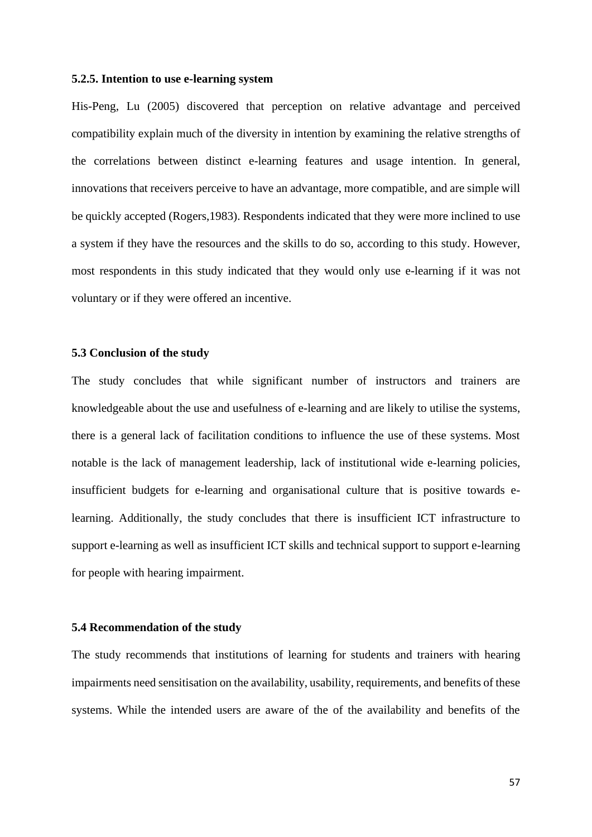#### **5.2.5. Intention to use e-learning system**

His-Peng, Lu (2005) discovered that perception on relative advantage and perceived compatibility explain much of the diversity in intention by examining the relative strengths of the correlations between distinct e-learning features and usage intention. In general, innovations that receivers perceive to have an advantage, more compatible, and are simple will be quickly accepted (Rogers,1983). Respondents indicated that they were more inclined to use a system if they have the resources and the skills to do so, according to this study. However, most respondents in this study indicated that they would only use e-learning if it was not voluntary or if they were offered an incentive.

## **5.3 Conclusion of the study**

The study concludes that while significant number of instructors and trainers are knowledgeable about the use and usefulness of e-learning and are likely to utilise the systems, there is a general lack of facilitation conditions to influence the use of these systems. Most notable is the lack of management leadership, lack of institutional wide e-learning policies, insufficient budgets for e-learning and organisational culture that is positive towards elearning. Additionally, the study concludes that there is insufficient ICT infrastructure to support e-learning as well as insufficient ICT skills and technical support to support e-learning for people with hearing impairment.

#### **5.4 Recommendation of the study**

The study recommends that institutions of learning for students and trainers with hearing impairments need sensitisation on the availability, usability, requirements, and benefits of these systems. While the intended users are aware of the of the availability and benefits of the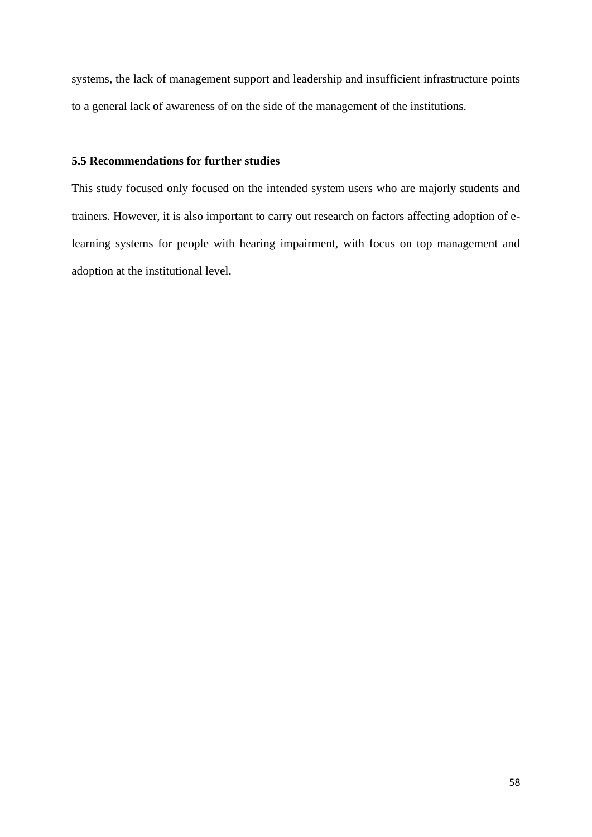systems, the lack of management support and leadership and insufficient infrastructure points to a general lack of awareness of on the side of the management of the institutions.

## **5.5 Recommendations for further studies**

This study focused only focused on the intended system users who are majorly students and trainers. However, it is also important to carry out research on factors affecting adoption of elearning systems for people with hearing impairment, with focus on top management and adoption at the institutional level.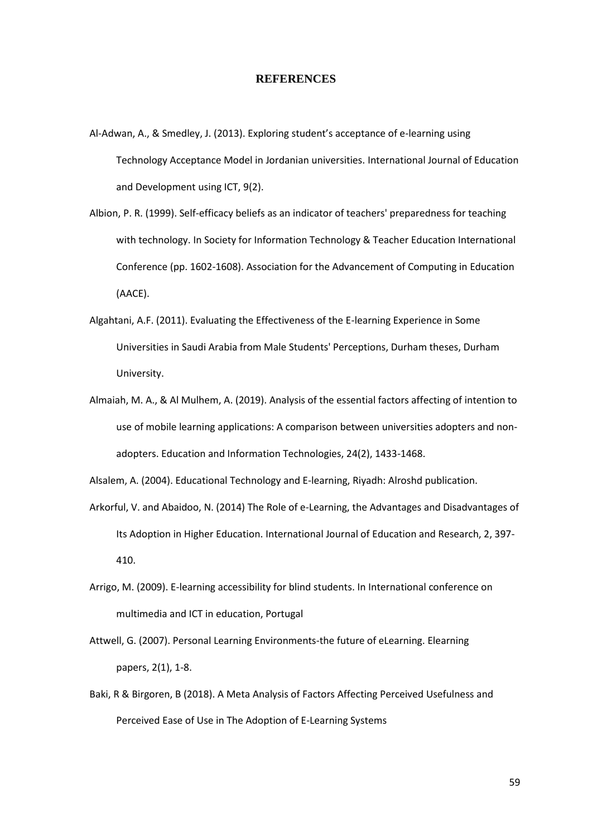#### **REFERENCES**

- Al-Adwan, A., & Smedley, J. (2013). Exploring student's acceptance of e-learning using Technology Acceptance Model in Jordanian universities. International Journal of Education and Development using ICT, 9(2).
- Albion, P. R. (1999). Self-efficacy beliefs as an indicator of teachers' preparedness for teaching with technology. In Society for Information Technology & Teacher Education International Conference (pp. 1602-1608). Association for the Advancement of Computing in Education (AACE).
- Algahtani, A.F. (2011). Evaluating the Effectiveness of the E-learning Experience in Some Universities in Saudi Arabia from Male Students' Perceptions, Durham theses, Durham University.
- Almaiah, M. A., & Al Mulhem, A. (2019). Analysis of the essential factors affecting of intention to use of mobile learning applications: A comparison between universities adopters and nonadopters. Education and Information Technologies, 24(2), 1433-1468.

Alsalem, A. (2004). Educational Technology and E-learning, Riyadh: Alroshd publication.

- Arkorful, V. and Abaidoo, N. (2014) The Role of e-Learning, the Advantages and Disadvantages of Its Adoption in Higher Education. International Journal of Education and Research, 2, 397- 410.
- Arrigo, M. (2009). E-learning accessibility for blind students. In International conference on multimedia and ICT in education, Portugal
- Attwell, G. (2007). Personal Learning Environments-the future of eLearning. Elearning papers, 2(1), 1-8.
- Baki, R & Birgoren, B (2018). A Meta Analysis of Factors Affecting Perceived Usefulness and Perceived Ease of Use in The Adoption of E-Learning Systems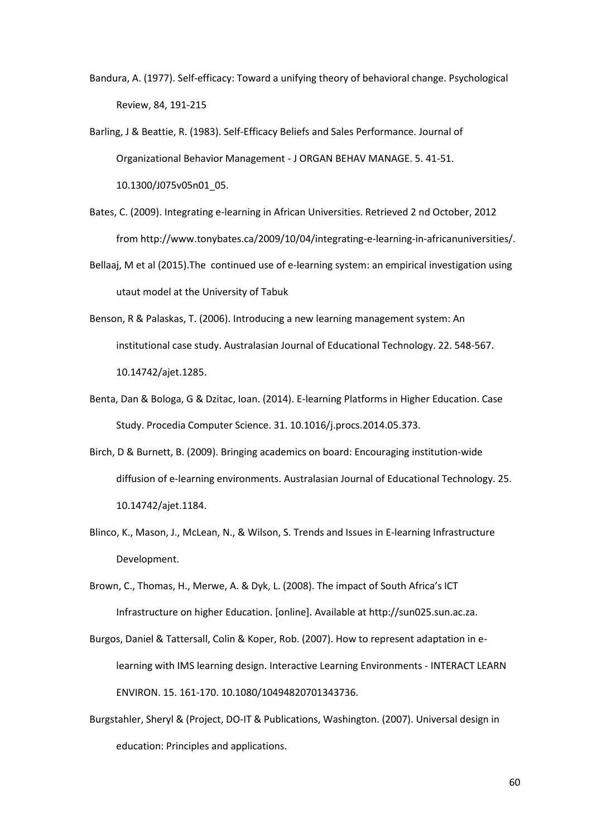- Bandura, A. (1977). Self-efficacy: Toward a unifying theory of behavioral change. Psychological Review, 84, 191-215
- Barling, J & Beattie, R. (1983). Self-Efficacy Beliefs and Sales Performance. Journal of Organizational Behavior Management - J ORGAN BEHAV MANAGE. 5. 41-51. 10.1300/J075v05n01\_05.
- Bates, C. (2009). Integrating e-learning in African Universities. Retrieved 2 nd October, 2012 from [http://www.tonybates.ca/2009/10/04/integrating-e-learning-in-africanuniversities/.](http://www.tonybates.ca/2009/10/04/integrating-e-learning-in-africanuniversities/)
- Bellaaj, M et al (2015).The continued use of e-learning system: an empirical investigation using utaut model at the University of Tabuk
- Benson, R & Palaskas, T. (2006). Introducing a new learning management system: An institutional case study. Australasian Journal of Educational Technology. 22. 548-567. 10.14742/ajet.1285.
- Benta, Dan & Bologa, G & Dzitac, Ioan. (2014). E-learning Platforms in Higher Education. Case Study. Procedia Computer Science. 31. 10.1016/j.procs.2014.05.373.
- Birch, D & Burnett, B. (2009). Bringing academics on board: Encouraging institution-wide diffusion of e-learning environments. Australasian Journal of Educational Technology. 25. 10.14742/ajet.1184.
- Blinco, K., Mason, J., McLean, N., & Wilson, S. Trends and Issues in E-learning Infrastructure Development.
- Brown, C., Thomas, H., Merwe, A. & Dyk, L. (2008). The impact of South Africa's ICT Infrastructure on higher Education. [online]. Available at http://sun025.sun.ac.za.
- Burgos, Daniel & Tattersall, Colin & Koper, Rob. (2007). How to represent adaptation in elearning with IMS learning design. Interactive Learning Environments - INTERACT LEARN ENVIRON. 15. 161-170. 10.1080/10494820701343736.
- Burgstahler, Sheryl & (Project, DO-IT & Publications, Washington. (2007). Universal design in education: Principles and applications.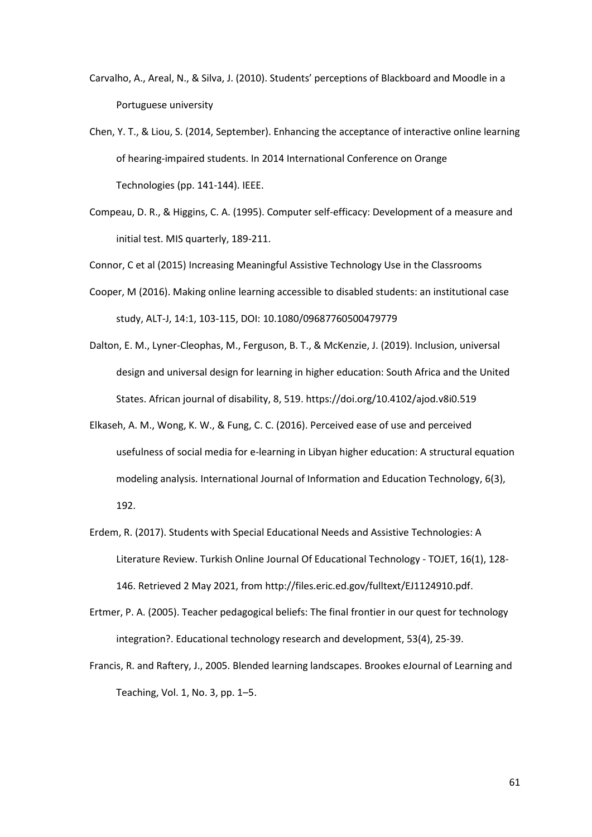- Carvalho, A., Areal, N., & Silva, J. (2010). Students' perceptions of Blackboard and Moodle in a Portuguese university
- Chen, Y. T., & Liou, S. (2014, September). Enhancing the acceptance of interactive online learning of hearing-impaired students. In 2014 International Conference on Orange Technologies (pp. 141-144). IEEE.
- Compeau, D. R., & Higgins, C. A. (1995). Computer self-efficacy: Development of a measure and initial test. MIS quarterly, 189-211.

Connor, C et al (2015) Increasing Meaningful Assistive Technology Use in the Classrooms

- Cooper, M (2016). Making online learning accessible to disabled students: an institutional case study, ALT-J, 14:1, 103-115, DOI: [10.1080/09687760500479779](https://doi.org/10.1080/09687760500479779)
- Dalton, E. M., Lyner-Cleophas, M., Ferguson, B. T., & McKenzie, J. (2019). Inclusion, universal design and universal design for learning in higher education: South Africa and the United States. African journal of disability, 8, 519[. https://doi.org/10.4102/ajod.v8i0.519](https://doi.org/10.4102/ajod.v8i0.519)
- Elkaseh, A. M., Wong, K. W., & Fung, C. C. (2016). Perceived ease of use and perceived usefulness of social media for e-learning in Libyan higher education: A structural equation modeling analysis. International Journal of Information and Education Technology, 6(3), 192.
- Erdem, R. (2017). Students with Special Educational Needs and Assistive Technologies: A Literature Review. Turkish Online Journal Of Educational Technology - TOJET, 16(1), 128- 146. Retrieved 2 May 2021, fro[m http://files.eric.ed.gov/fulltext/EJ1124910.pdf.](http://files.eric.ed.gov/fulltext/EJ1124910.pdf)
- Ertmer, P. A. (2005). Teacher pedagogical beliefs: The final frontier in our quest for technology integration?. Educational technology research and development, 53(4), 25-39.
- Francis, R. and Raftery, J., 2005. Blended learning landscapes. Brookes eJournal of Learning and Teaching, Vol. 1, No. 3, pp. 1–5.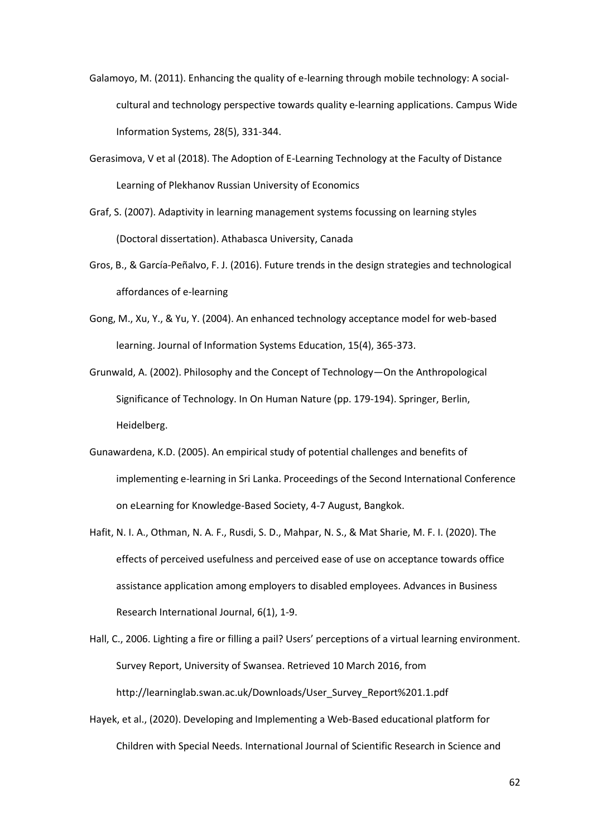Galamoyo, M. (2011). Enhancing the quality of e-learning through mobile technology: A socialcultural and technology perspective towards quality e-learning applications. Campus Wide Information Systems, 28(5), 331-344.

- Gerasimova, V et al (2018). The Adoption of E-Learning Technology at the Faculty of Distance Learning of Plekhanov Russian University of Economics
- Graf, S. (2007). Adaptivity in learning management systems focussing on learning styles (Doctoral dissertation). Athabasca University, Canada
- Gros, B., & García-Peñalvo, F. J. (2016). Future trends in the design strategies and technological affordances of e-learning
- Gong, M., Xu, Y., & Yu, Y. (2004). An enhanced technology acceptance model for web-based learning. Journal of Information Systems Education, 15(4), 365-373.

Grunwald, A. (2002). Philosophy and the Concept of Technology—On the Anthropological Significance of Technology. In On Human Nature (pp. 179-194). Springer, Berlin, Heidelberg.

- Gunawardena, K.D. (2005). An empirical study of potential challenges and benefits of implementing e-learning in Sri Lanka. Proceedings of the Second International Conference on eLearning for Knowledge-Based Society, 4-7 August, Bangkok.
- Hafit, N. I. A., Othman, N. A. F., Rusdi, S. D., Mahpar, N. S., & Mat Sharie, M. F. I. (2020). The effects of perceived usefulness and perceived ease of use on acceptance towards office assistance application among employers to disabled employees. Advances in Business Research International Journal, 6(1), 1-9.

Hall, C., 2006. Lighting a fire or filling a pail? Users' perceptions of a virtual learning environment. Survey Report, University of Swansea. Retrieved 10 March 2016, from [http://learninglab.swan.ac.uk/Downloads/User\\_Survey\\_Report%201.1.pdf](http://learninglab.swan.ac.uk/Downloads/User_Survey_Report%201.1.pdf)

Hayek, et al., (2020). Developing and Implementing a Web-Based educational platform for Children with Special Needs. International Journal of Scientific Research in Science and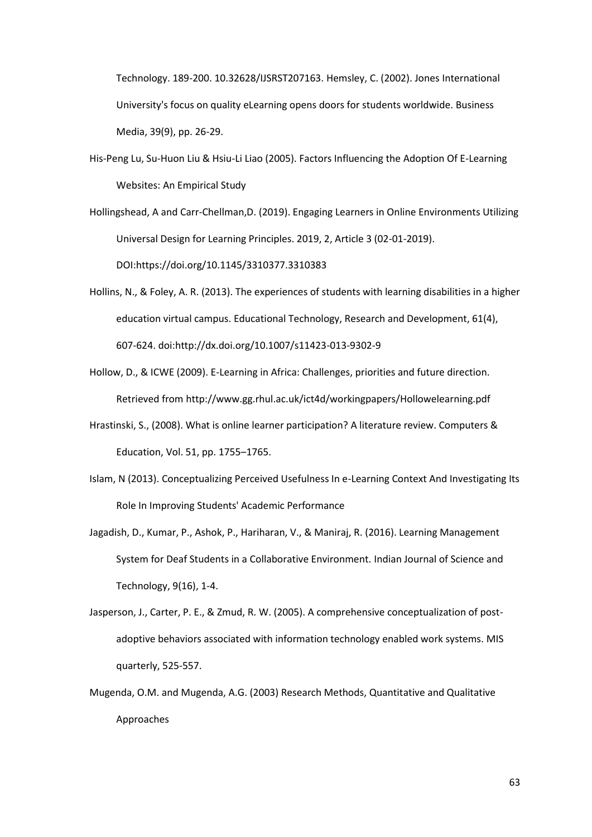Technology. 189-200. 10.32628/IJSRST207163. Hemsley, C. (2002). Jones International University's focus on quality eLearning opens doors for students worldwide. Business Media, 39(9), pp. 26-29.

His-Peng Lu, Su-Huon Liu & Hsiu-Li Liao (2005). Factors Influencing the Adoption Of E-Learning Websites: An Empirical Study

Hollingshead, A and Carr-Chellman,D. (2019). Engaging Learners in Online Environments Utilizing Universal Design for Learning Principles. 2019, 2, Article 3 (02-01-2019). DOI:https://doi.org/10.1145/3310377.3310383

- Hollins, N., & Foley, A. R. (2013). The experiences of students with learning disabilities in a higher education virtual campus. Educational Technology, Research and Development, 61(4), 607-624. doi:http://dx.doi.org/10.1007/s11423-013-9302-9
- Hollow, D., & ICWE (2009). E-Learning in Africa: Challenges, priorities and future direction. Retrieved from<http://www.gg.rhul.ac.uk/ict4d/workingpapers/Hollowelearning.pdf>
- Hrastinski, S., (2008). What is online learner participation? A literature review. Computers & Education, Vol. 51, pp. 1755–1765.
- Islam, N (2013). Conceptualizing Perceived Usefulness In e-Learning Context And Investigating Its Role In Improving Students' Academic Performance
- Jagadish, D., Kumar, P., Ashok, P., Hariharan, V., & Maniraj, R. (2016). Learning Management System for Deaf Students in a Collaborative Environment. Indian Journal of Science and Technology, 9(16), 1-4.
- Jasperson, J., Carter, P. E., & Zmud, R. W. (2005). A comprehensive conceptualization of postadoptive behaviors associated with information technology enabled work systems. MIS quarterly, 525-557.
- Mugenda, O.M. and Mugenda, A.G. (2003) Research Methods, Quantitative and Qualitative Approaches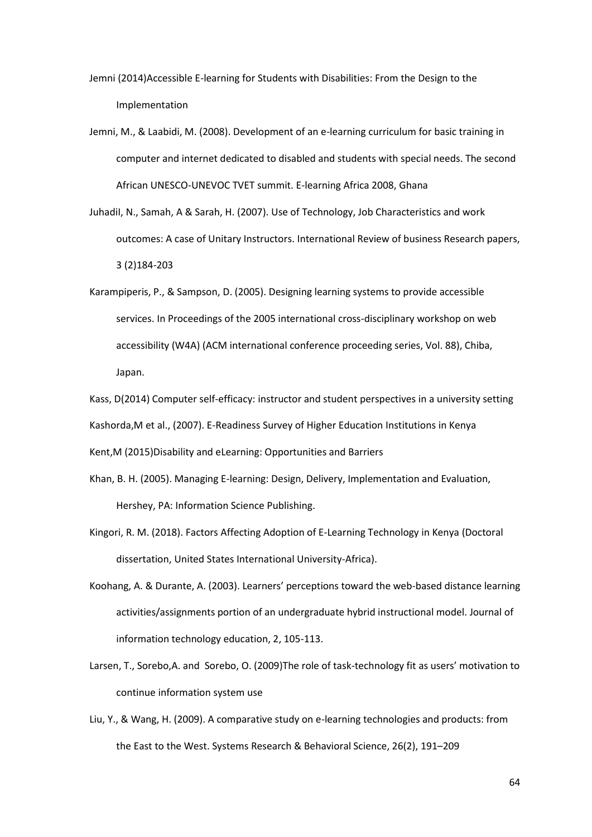Jemni (2014)Accessible E-learning for Students with Disabilities: From the Design to the Implementation

- Jemni, M., & Laabidi, M. (2008). Development of an e-learning curriculum for basic training in computer and internet dedicated to disabled and students with special needs. The second African UNESCO-UNEVOC TVET summit. E-learning Africa 2008, Ghana
- JuhadiI, N., Samah, A & Sarah, H. (2007). Use of Technology, Job Characteristics and work outcomes: A case of Unitary Instructors. International Review of business Research papers, 3 (2)184-203
- Karampiperis, P., & Sampson, D. (2005). Designing learning systems to provide accessible services. In Proceedings of the 2005 international cross-disciplinary workshop on web accessibility (W4A) (ACM international conference proceeding series, Vol. 88), Chiba, Japan.
- Kass, D(2014) Computer self-efficacy: instructor and student perspectives in a university setting
- Kashorda,M et al., (2007). E-Readiness Survey of Higher Education Institutions in Kenya

Kent,M (2015)Disability and eLearning: Opportunities and Barriers

- Khan, B. H. (2005). Managing E-learning: Design, Delivery, Implementation and Evaluation, Hershey, PA: Information Science Publishing.
- Kingori, R. M. (2018). Factors Affecting Adoption of E-Learning Technology in Kenya (Doctoral dissertation, United States International University-Africa).
- Koohang, A. & Durante, A. (2003). Learners' perceptions toward the web-based distance learning activities/assignments portion of an undergraduate hybrid instructional model. Journal of information technology education, 2, 105-113.
- Larsen, T., Sorebo,A. and Sorebo, O. (2009)The role of task-technology fit as users' motivation to continue information system use
- Liu, Y., & Wang, H. (2009). A comparative study on e-learning technologies and products: from the East to the West. Systems Research & Behavioral Science, 26(2), 191–209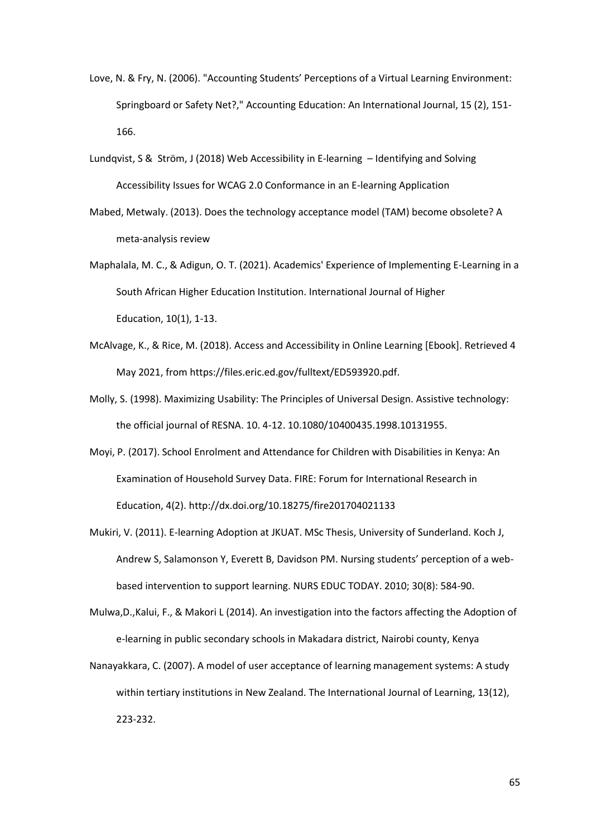- Love, N. & Fry, N. (2006). "Accounting Students' Perceptions of a Virtual Learning Environment: Springboard or Safety Net?," Accounting Education: An International Journal, 15 (2), 151- 166.
- Lundqvist, S & Ström, J (2018) Web Accessibility in E-learning Identifying and Solving Accessibility Issues for WCAG 2.0 Conformance in an E-learning Application
- Mabed, Metwaly. (2013). Does the technology acceptance model (TAM) become obsolete? A meta-analysis review
- Maphalala, M. C., & Adigun, O. T. (2021). Academics' Experience of Implementing E-Learning in a South African Higher Education Institution. International Journal of Higher Education, 10(1), 1-13.
- McAlvage, K., & Rice, M. (2018). Access and Accessibility in Online Learning [Ebook]. Retrieved 4 May 2021, from https://files.eric.ed.gov/fulltext/ED593920.pdf.
- Molly, S. (1998). Maximizing Usability: The Principles of Universal Design. Assistive technology: the official journal of RESNA. 10. 4-12. 10.1080/10400435.1998.10131955.
- Moyi, P. (2017). School Enrolment and Attendance for Children with Disabilities in Kenya: An Examination of Household Survey Data. FIRE: Forum for International Research in Education, 4(2).<http://dx.doi.org/10.18275/fire201704021133>
- Mukiri, V. (2011). E-learning Adoption at JKUAT. MSc Thesis, University of Sunderland. Koch J, Andrew S, Salamonson Y, Everett B, Davidson PM. Nursing students' perception of a webbased intervention to support learning. NURS EDUC TODAY. 2010; 30(8): 584-90.
- Mulwa,D.,Kalui, F., & Makori L (2014). An investigation into the factors affecting the Adoption of e-learning in public secondary schools in Makadara district, Nairobi county, Kenya
- Nanayakkara, C. (2007). A model of user acceptance of learning management systems: A study within tertiary institutions in New Zealand. The International Journal of Learning, 13(12), 223-232.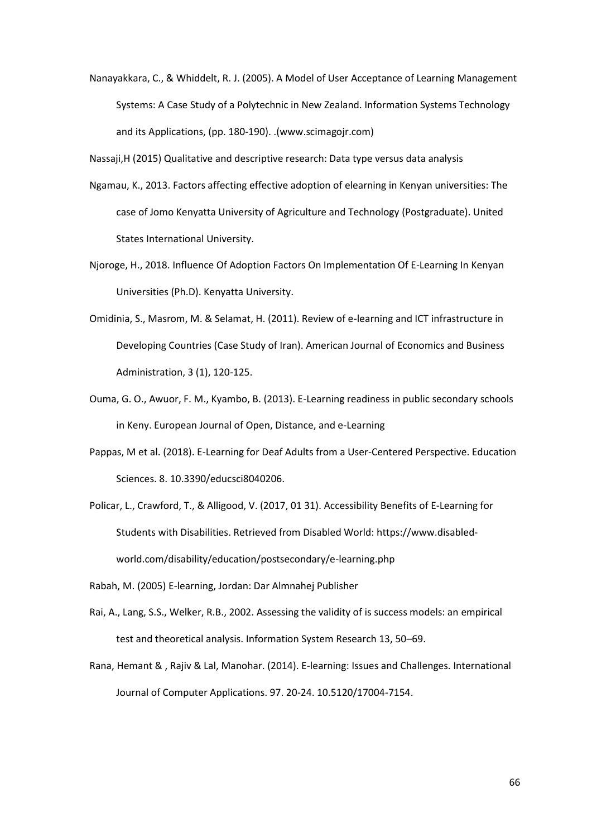Nanayakkara, C., & Whiddelt, R. J. (2005). A Model of User Acceptance of Learning Management Systems: A Case Study of a Polytechnic in New Zealand. Information Systems Technology and its Applications, (pp. 180-190). .[\(www.scimagojr.com\)](http://www.scimagojr.com/)

Nassaji,H (2015) Qualitative and descriptive research: Data type versus data analysis

- Ngamau, K., 2013. Factors affecting effective adoption of elearning in Kenyan universities: The case of Jomo Kenyatta University of Agriculture and Technology (Postgraduate). United States International University.
- Njoroge, H., 2018. Influence Of Adoption Factors On Implementation Of E-Learning In Kenyan Universities (Ph.D). Kenyatta University.
- Omidinia, S., Masrom, M. & Selamat, H. (2011). Review of e-learning and ICT infrastructure in Developing Countries (Case Study of Iran). American Journal of Economics and Business Administration, 3 (1), 120-125.
- Ouma, G. O., Awuor, F. M., Kyambo, B. (2013). E-Learning readiness in public secondary schools in Keny. European Journal of Open, Distance, and e-Learning
- Pappas, M et al. (2018). E-Learning for Deaf Adults from a User-Centered Perspective. Education Sciences. 8. 10.3390/educsci8040206.
- Policar, L., Crawford, T., & Alligood, V. (2017, 01 31). Accessibility Benefits of E-Learning for Students with Disabilities. Retrieved from Disabled World: https://www.disabledworld.com/disability/education/postsecondary/e-learning.php
- Rabah, M. (2005) E-learning, Jordan: Dar Almnahej Publisher
- Rai, A., Lang, S.S., Welker, R.B., 2002. Assessing the validity of is success models: an empirical test and theoretical analysis. Information System Research 13, 50–69.
- Rana, Hemant & , Rajiv & Lal, Manohar. (2014). E-learning: Issues and Challenges. International Journal of Computer Applications. 97. 20-24. 10.5120/17004-7154.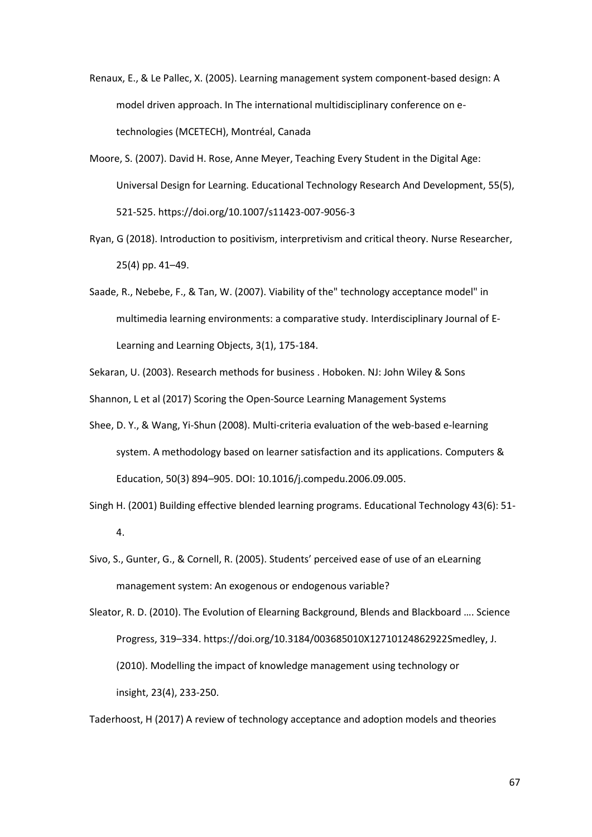Renaux, E., & Le Pallec, X. (2005). Learning management system component-based design: A model driven approach. In The international multidisciplinary conference on etechnologies (MCETECH), Montréal, Canada

- Moore, S. (2007). David H. Rose, Anne Meyer, Teaching Every Student in the Digital Age: Universal Design for Learning. Educational Technology Research And Development, 55(5), 521-525.<https://doi.org/10.1007/s11423-007-9056-3>
- Ryan, G (2018). Introduction to positivism, interpretivism and critical theory. Nurse Researcher, 25(4) pp. 41–49.
- Saade, R., Nebebe, F., & Tan, W. (2007). Viability of the" technology acceptance model" in multimedia learning environments: a comparative study. Interdisciplinary Journal of E-Learning and Learning Objects, 3(1), 175-184.

Sekaran, U. (2003). Research methods for business . Hoboken. NJ: John Wiley & Sons

Shannon, L et al (2017) Scoring the Open-Source Learning Management Systems

Shee, D. Y., & Wang, Yi-Shun (2008). Multi-criteria evaluation of the web-based e-learning system. A methodology based on learner satisfaction and its applications. Computers & Education, 50(3) 894–905. DOI: 10.1016/j.compedu.2006.09.005.

Singh H. (2001) Building effective blended learning programs. Educational Technology 43(6): 51- 4.

Sivo, S., Gunter, G., & Cornell, R. (2005). Students' perceived ease of use of an eLearning management system: An exogenous or endogenous variable?

Sleator, R. D. (2010). The Evolution of Elearning Background, Blends and Blackboard …. Science Progress, 319–334. https://doi.org/10.3184/003685010X12710124862922Smedley, J. (2010). Modelling the impact of knowledge management using technology or insight, 23(4), 233-250.

Taderhoost, H (2017) A review of technology acceptance and adoption models and theories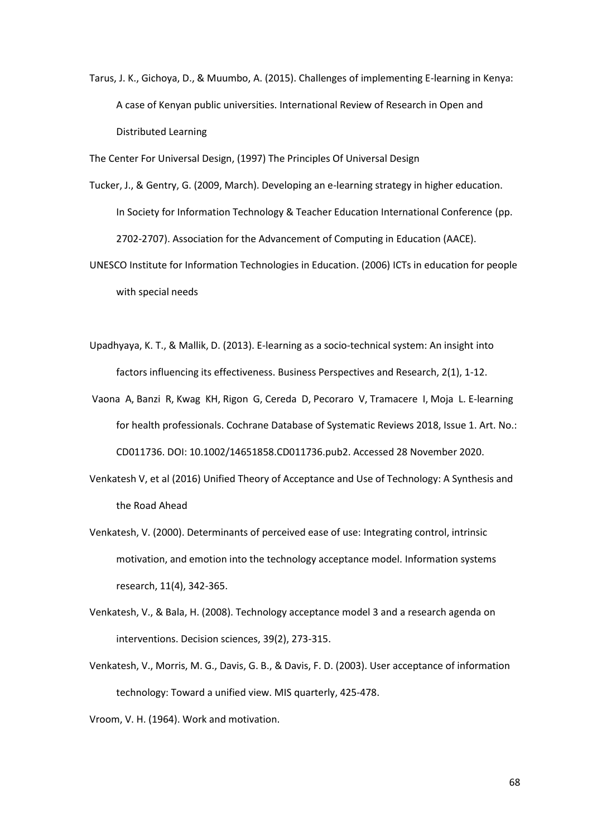Tarus, J. K., Gichoya, D., & Muumbo, A. (2015). Challenges of implementing E-learning in Kenya: A case of Kenyan public universities. International Review of Research in Open and Distributed Learning

The Center For Universal Design, (1997) The Principles Of Universal Design

- Tucker, J., & Gentry, G. (2009, March). Developing an e-learning strategy in higher education. In Society for Information Technology & Teacher Education International Conference (pp. 2702-2707). Association for the Advancement of Computing in Education (AACE).
- UNESCO Institute for Information Technologies in Education. (2006) ICTs in education for people with special needs
- Upadhyaya, K. T., & Mallik, D. (2013). E-learning as a socio-technical system: An insight into factors influencing its effectiveness. Business Perspectives and Research, 2(1), 1-12.
- Vaona A, Banzi R, Kwag KH, Rigon G, Cereda D, Pecoraro V, Tramacere I, Moja L. E‐learning for health professionals. Cochrane Database of Systematic Reviews 2018, Issue 1. Art. No.: CD011736. DOI: 10.1002/14651858.CD011736.pub2. Accessed 28 November 2020.
- Venkatesh V, et al (2016) Unified Theory of Acceptance and Use of Technology: A Synthesis and the Road Ahead
- Venkatesh, V. (2000). Determinants of perceived ease of use: Integrating control, intrinsic motivation, and emotion into the technology acceptance model. Information systems research, 11(4), 342-365.
- Venkatesh, V., & Bala, H. (2008). Technology acceptance model 3 and a research agenda on interventions. Decision sciences, 39(2), 273-315.
- Venkatesh, V., Morris, M. G., Davis, G. B., & Davis, F. D. (2003). User acceptance of information technology: Toward a unified view. MIS quarterly, 425-478.

Vroom, V. H. (1964). Work and motivation.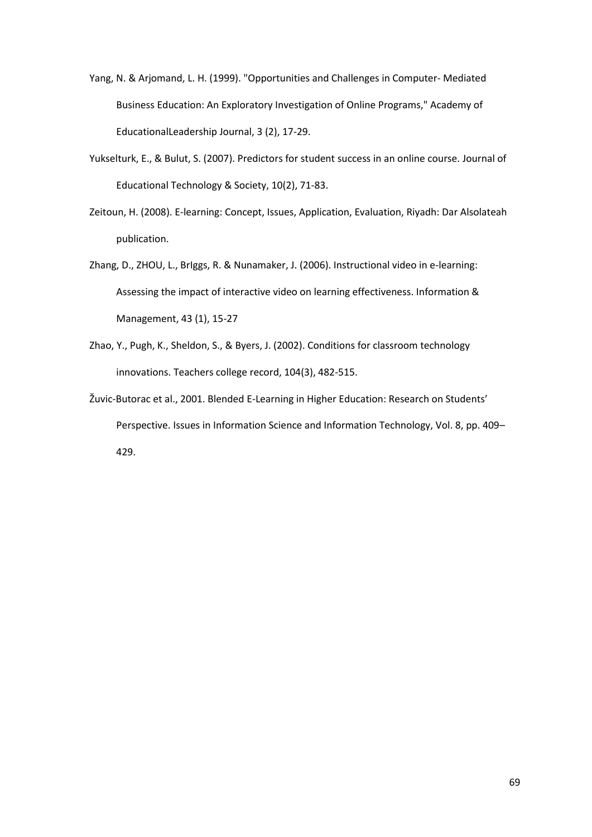- Yang, N. & Arjomand, L. H. (1999). "Opportunities and Challenges in Computer- Mediated Business Education: An Exploratory Investigation of Online Programs," Academy of EducationalLeadership Journal, 3 (2), 17-29.
- Yukselturk, E., & Bulut, S. (2007). Predictors for student success in an online course. Journal of Educational Technology & Society, 10(2), 71-83.
- Zeitoun, H. (2008). E-learning: Concept, Issues, Application, Evaluation, Riyadh: Dar Alsolateah publication.
- Zhang, D., ZHOU, L., BrIggs, R. & Nunamaker, J. (2006). Instructional video in e-learning: Assessing the impact of interactive video on learning effectiveness. Information & Management, 43 (1), 15-27
- Zhao, Y., Pugh, K., Sheldon, S., & Byers, J. (2002). Conditions for classroom technology innovations. Teachers college record, 104(3), 482-515.
- Žuvic-Butorac et al., 2001. Blended E-Learning in Higher Education: Research on Students' Perspective. Issues in Information Science and Information Technology, Vol. 8, pp. 409– 429.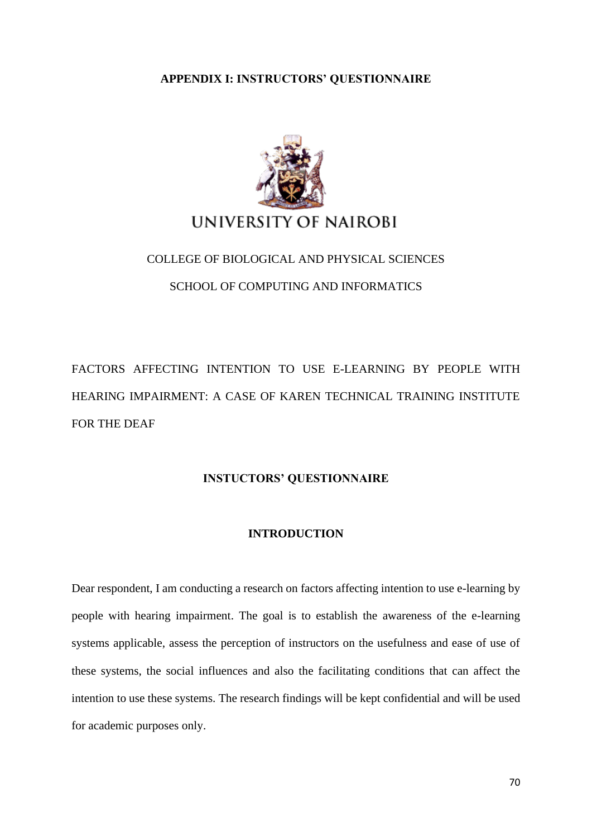#### **APPENDIX I: INSTRUCTORS' QUESTIONNAIRE**



# COLLEGE OF BIOLOGICAL AND PHYSICAL SCIENCES SCHOOL OF COMPUTING AND INFORMATICS

FACTORS AFFECTING INTENTION TO USE E-LEARNING BY PEOPLE WITH HEARING IMPAIRMENT: A CASE OF KAREN TECHNICAL TRAINING INSTITUTE FOR THE DEAF

#### **INSTUCTORS' QUESTIONNAIRE**

#### **INTRODUCTION**

Dear respondent, I am conducting a research on factors affecting intention to use e-learning by people with hearing impairment. The goal is to establish the awareness of the e-learning systems applicable, assess the perception of instructors on the usefulness and ease of use of these systems, the social influences and also the facilitating conditions that can affect the intention to use these systems. The research findings will be kept confidential and will be used for academic purposes only.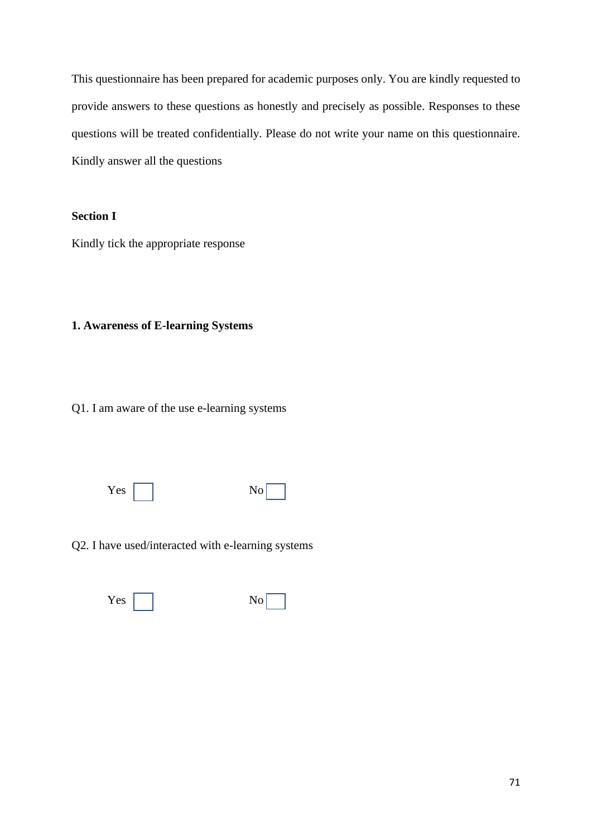This questionnaire has been prepared for academic purposes only. You are kindly requested to provide answers to these questions as honestly and precisely as possible. Responses to these questions will be treated confidentially. Please do not write your name on this questionnaire. Kindly answer all the questions

### **Section I**

Kindly tick the appropriate response

#### **1. Awareness of E-learning Systems**

Q1. I am aware of the use e-learning systems

 $Yes \fbox{No}$ 

Q2. I have used/interacted with e-learning systems

Yes No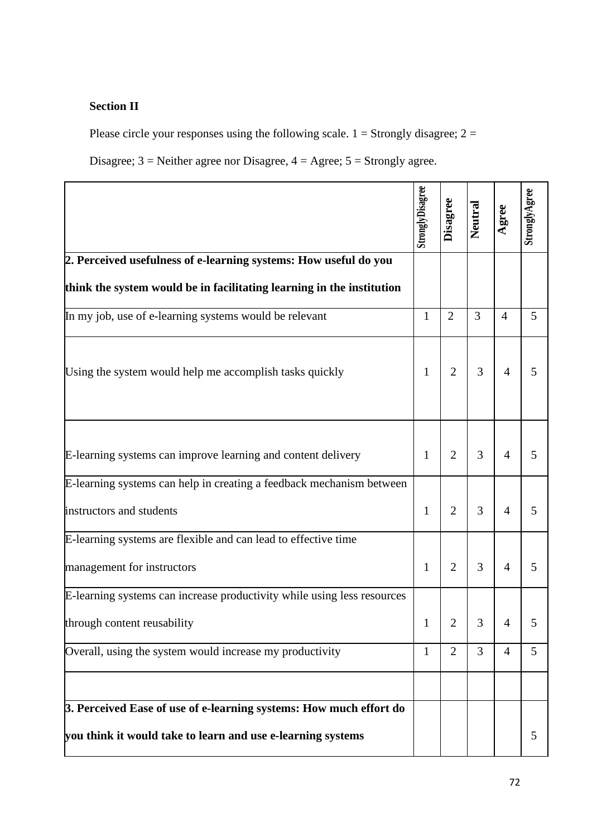# **Section II**

Please circle your responses using the following scale.  $1 =$  Strongly disagree;  $2 =$ 

Disagree;  $3$  = Neither agree nor Disagree,  $4$  = Agree;  $5$  = Strongly agree.

|                                                                                                                                   | StronglyDisagree | Disagree       | Neutral | Agree          | StronglyAgree |
|-----------------------------------------------------------------------------------------------------------------------------------|------------------|----------------|---------|----------------|---------------|
| 2. Perceived usefulness of e-learning systems: How useful do you                                                                  |                  |                |         |                |               |
| think the system would be in facilitating learning in the institution                                                             |                  |                |         |                |               |
| In my job, use of e-learning systems would be relevant                                                                            | $\mathbf{1}$     | $\overline{2}$ | 3       | $\overline{4}$ | 5             |
| Using the system would help me accomplish tasks quickly                                                                           | 1                | $\overline{2}$ | 3       | $\overline{4}$ | 5             |
| E-learning systems can improve learning and content delivery                                                                      | 1                | $\overline{2}$ | 3       | $\overline{4}$ | 5             |
| E-learning systems can help in creating a feedback mechanism between                                                              |                  |                |         |                |               |
| instructors and students                                                                                                          | $\mathbf{1}$     | $\overline{2}$ | 3       | $\overline{4}$ | 5             |
| E-learning systems are flexible and can lead to effective time                                                                    |                  |                |         |                |               |
| management for instructors                                                                                                        | $\mathbf{1}$     | $\overline{2}$ | 3       | $\overline{4}$ | 5             |
| E-learning systems can increase productivity while using less resources                                                           |                  |                |         |                |               |
| through content reusability                                                                                                       | 1                | 2              | 3       | 4              | 5             |
| Overall, using the system would increase my productivity                                                                          | $\mathbf{1}$     | $\overline{2}$ | 3       | $\overline{4}$ | 5             |
|                                                                                                                                   |                  |                |         |                |               |
| 3. Perceived Ease of use of e-learning systems: How much effort do<br>you think it would take to learn and use e-learning systems |                  |                |         |                | 5             |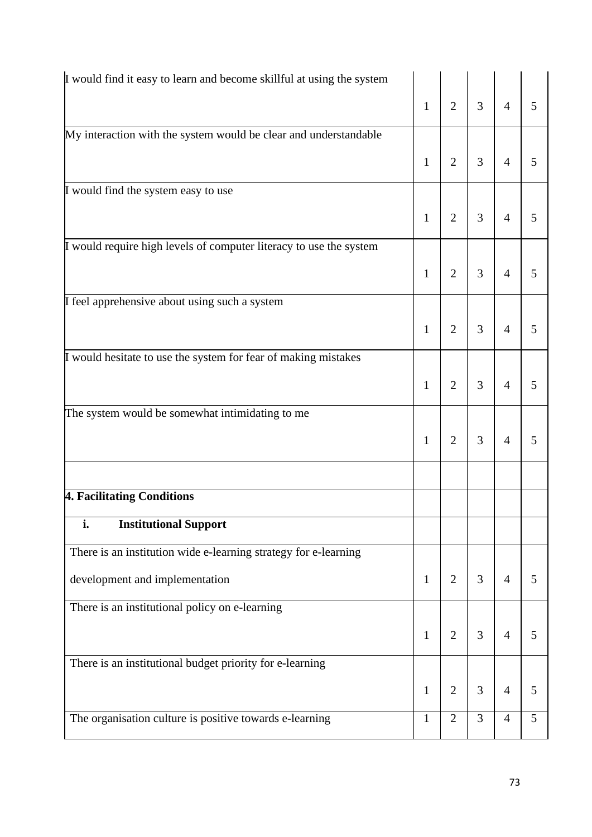| I would find it easy to learn and become skillful at using the system |              |                |   |                |   |
|-----------------------------------------------------------------------|--------------|----------------|---|----------------|---|
|                                                                       | $\mathbf{1}$ | $\overline{2}$ | 3 | $\overline{4}$ | 5 |
| My interaction with the system would be clear and understandable      |              |                |   |                |   |
|                                                                       | $\mathbf{1}$ | $\overline{2}$ | 3 | $\overline{4}$ | 5 |
| I would find the system easy to use                                   |              |                |   |                |   |
|                                                                       | $\mathbf{1}$ | $\overline{2}$ | 3 | $\overline{4}$ | 5 |
| I would require high levels of computer literacy to use the system    |              |                |   |                |   |
|                                                                       | $\mathbf{1}$ | $\overline{2}$ | 3 | $\overline{4}$ | 5 |
| I feel apprehensive about using such a system                         |              |                |   |                |   |
|                                                                       | $\mathbf{1}$ | $\overline{2}$ | 3 | $\overline{4}$ | 5 |
| I would hesitate to use the system for fear of making mistakes        |              |                |   |                |   |
|                                                                       | $\mathbf{1}$ | $\overline{2}$ | 3 | $\overline{4}$ | 5 |
| The system would be somewhat intimidating to me                       |              |                |   |                |   |
|                                                                       | $\mathbf{1}$ | $\overline{2}$ | 3 | $\overline{4}$ | 5 |
|                                                                       |              |                |   |                |   |
| 4. Facilitating Conditions                                            |              |                |   |                |   |
| i.<br><b>Institutional Support</b>                                    |              |                |   |                |   |
| There is an institution wide e-learning strategy for e-learning       |              |                |   |                |   |
| development and implementation                                        | $\mathbf{1}$ | $\overline{2}$ | 3 | $\overline{4}$ | 5 |
| There is an institutional policy on e-learning                        |              |                |   |                |   |
|                                                                       | $\mathbf{1}$ | $\overline{2}$ | 3 | $\overline{4}$ | 5 |
| There is an institutional budget priority for e-learning              |              |                |   |                |   |
|                                                                       | $\mathbf{1}$ | $\mathbf{2}$   | 3 | $\overline{4}$ | 5 |
| The organisation culture is positive towards e-learning               | 1            | $\overline{2}$ | 3 | $\overline{4}$ | 5 |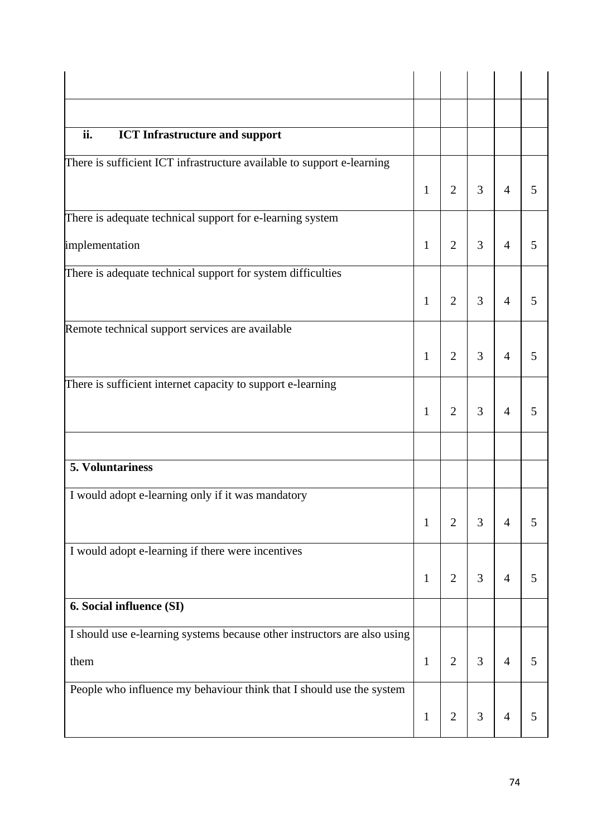| ii.<br><b>ICT</b> Infrastructure and support                             |              |                |   |                |   |
|--------------------------------------------------------------------------|--------------|----------------|---|----------------|---|
| There is sufficient ICT infrastructure available to support e-learning   | 1            | $\overline{2}$ | 3 | $\overline{4}$ | 5 |
| There is adequate technical support for e-learning system                |              |                |   |                |   |
| implementation                                                           | 1            | $\overline{2}$ | 3 | $\overline{4}$ | 5 |
| There is adequate technical support for system difficulties              |              |                |   |                |   |
|                                                                          | $\mathbf{1}$ | $\overline{2}$ | 3 | $\overline{4}$ | 5 |
| Remote technical support services are available                          |              |                |   |                |   |
|                                                                          | 1            | $\overline{2}$ | 3 | $\overline{4}$ | 5 |
| There is sufficient internet capacity to support e-learning              |              |                |   |                |   |
|                                                                          | 1            | $\overline{2}$ | 3 | $\overline{4}$ | 5 |
|                                                                          |              |                |   |                |   |
| 5. Voluntariness                                                         |              |                |   |                |   |
| I would adopt e-learning only if it was mandatory                        |              |                |   |                |   |
|                                                                          | 1            | $\overline{2}$ | 3 | $\overline{4}$ | 5 |
| I would adopt e-learning if there were incentives                        |              |                |   |                |   |
|                                                                          | $\mathbf{1}$ | $\overline{2}$ | 3 | $\overline{4}$ | 5 |
| 6. Social influence (SI)                                                 |              |                |   |                |   |
| I should use e-learning systems because other instructors are also using |              |                |   |                |   |
| them                                                                     | $\mathbf{1}$ | $\overline{2}$ | 3 | $\overline{4}$ | 5 |
| People who influence my behaviour think that I should use the system     |              |                |   |                |   |
|                                                                          | $\mathbf{1}$ | $\mathfrak{2}$ | 3 | $\overline{4}$ | 5 |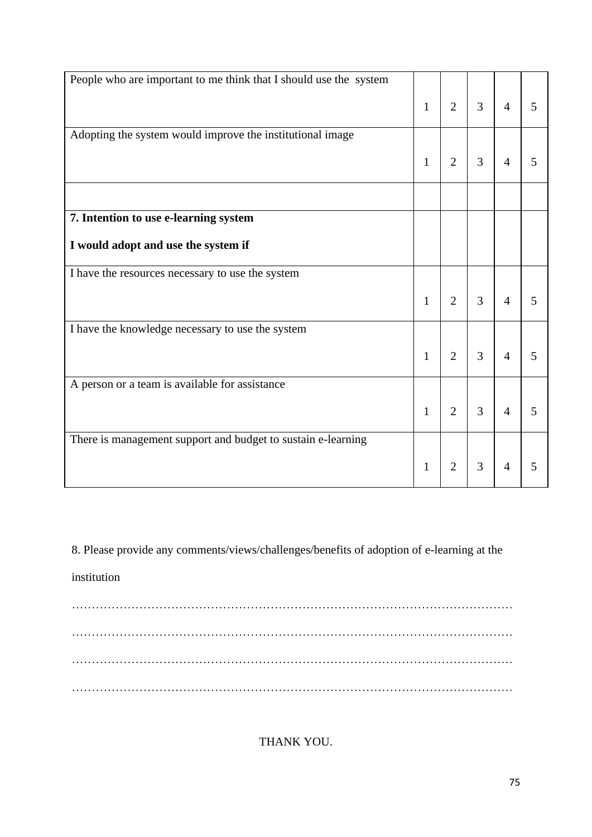| People who are important to me think that I should use the system |              |                |   |                |   |
|-------------------------------------------------------------------|--------------|----------------|---|----------------|---|
|                                                                   | $\mathbf{1}$ | $\overline{2}$ | 3 | $\overline{4}$ | 5 |
|                                                                   |              |                |   |                |   |
| Adopting the system would improve the institutional image         |              |                |   |                |   |
|                                                                   |              |                |   |                |   |
|                                                                   | $\mathbf{1}$ | $\overline{2}$ | 3 | $\overline{4}$ | 5 |
|                                                                   |              |                |   |                |   |
| 7. Intention to use e-learning system                             |              |                |   |                |   |
| I would adopt and use the system if                               |              |                |   |                |   |
| I have the resources necessary to use the system                  |              |                |   |                |   |
|                                                                   | $\mathbf{1}$ | $\overline{2}$ | 3 | $\overline{4}$ | 5 |
| I have the knowledge necessary to use the system                  |              |                |   |                |   |
|                                                                   | $\mathbf{1}$ | $\overline{2}$ | 3 | $\overline{4}$ | 5 |
|                                                                   |              |                |   |                |   |
| A person or a team is available for assistance                    |              |                |   |                |   |
|                                                                   | $\mathbf{1}$ | $\overline{2}$ | 3 | $\overline{4}$ | 5 |
|                                                                   |              |                |   |                |   |
| There is management support and budget to sustain e-learning      |              |                |   |                |   |
|                                                                   | 1            | $\overline{2}$ | 3 | $\overline{4}$ | 5 |
|                                                                   |              |                |   |                |   |

8. Please provide any comments/views/challenges/benefits of adoption of e-learning at the

institution

………………………………………………………………………………………………… ………………………………………………………………………………………………… ………………………………………………………………………………………………… …………………………………………………………………………………………………

THANK YOU.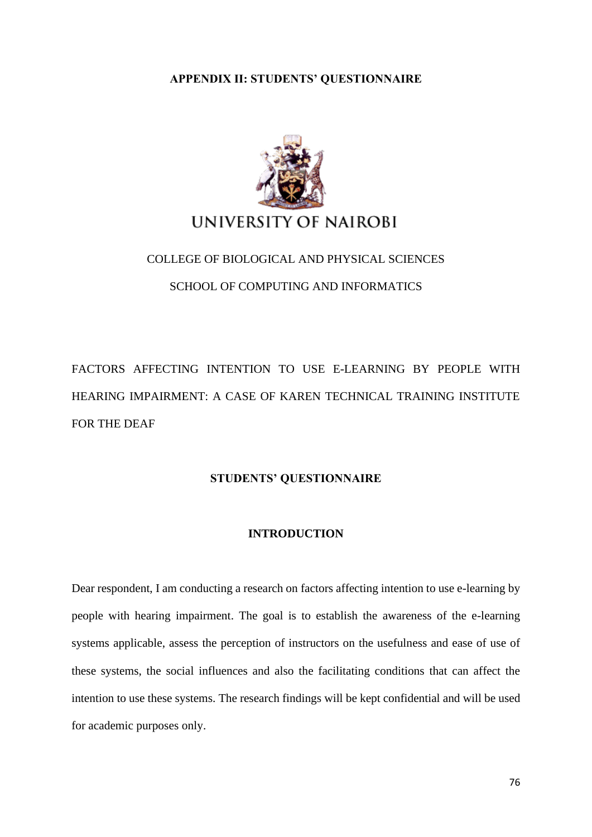#### **APPENDIX II: STUDENTS' QUESTIONNAIRE**



# COLLEGE OF BIOLOGICAL AND PHYSICAL SCIENCES SCHOOL OF COMPUTING AND INFORMATICS

FACTORS AFFECTING INTENTION TO USE E-LEARNING BY PEOPLE WITH HEARING IMPAIRMENT: A CASE OF KAREN TECHNICAL TRAINING INSTITUTE FOR THE DEAF

#### **STUDENTS' QUESTIONNAIRE**

#### **INTRODUCTION**

Dear respondent, I am conducting a research on factors affecting intention to use e-learning by people with hearing impairment. The goal is to establish the awareness of the e-learning systems applicable, assess the perception of instructors on the usefulness and ease of use of these systems, the social influences and also the facilitating conditions that can affect the intention to use these systems. The research findings will be kept confidential and will be used for academic purposes only.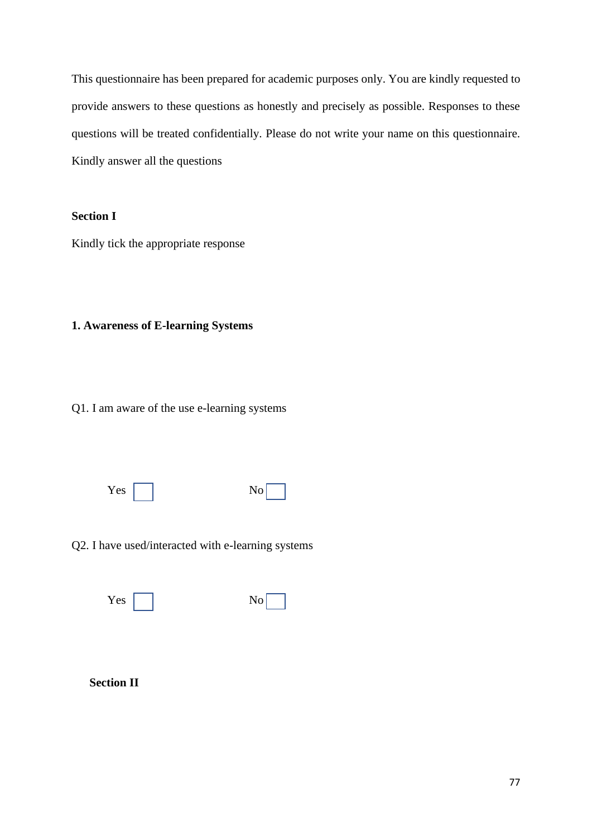This questionnaire has been prepared for academic purposes only. You are kindly requested to provide answers to these questions as honestly and precisely as possible. Responses to these questions will be treated confidentially. Please do not write your name on this questionnaire. Kindly answer all the questions

### **Section I**

Kindly tick the appropriate response

## **1. Awareness of E-learning Systems**

Q1. I am aware of the use e-learning systems

 $Yes \fbox{No}$ 

Q2. I have used/interacted with e-learning systems

Yes No

**Section II**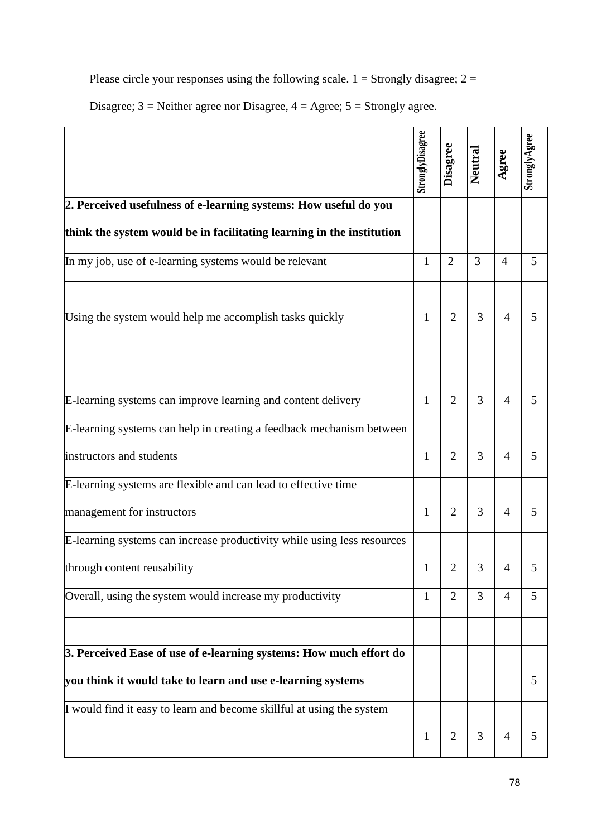Please circle your responses using the following scale.  $1 =$  Strongly disagree;  $2 =$ 

Disagree;  $3$  = Neither agree nor Disagree,  $4$  = Agree;  $5$  = Strongly agree.

|                                                                         | StronglyDisagree | Disagree       | Neutral | Agree          | StronglyAgree |
|-------------------------------------------------------------------------|------------------|----------------|---------|----------------|---------------|
| 2. Perceived usefulness of e-learning systems: How useful do you        |                  |                |         |                |               |
| think the system would be in facilitating learning in the institution   |                  |                |         |                |               |
| In my job, use of e-learning systems would be relevant                  | $\mathbf{1}$     | $\overline{2}$ | 3       | $\overline{4}$ | 5             |
| Using the system would help me accomplish tasks quickly                 | $\mathbf{1}$     | $\overline{2}$ | 3       | $\overline{4}$ | 5             |
| E-learning systems can improve learning and content delivery            | $\mathbf{1}$     | $\overline{2}$ | 3       | $\overline{4}$ | 5             |
| E-learning systems can help in creating a feedback mechanism between    |                  |                |         |                |               |
| instructors and students                                                | $\mathbf{1}$     | $\overline{2}$ | 3       | $\overline{4}$ | 5             |
| E-learning systems are flexible and can lead to effective time          |                  |                |         |                |               |
| management for instructors                                              | $\mathbf{1}$     | $\overline{2}$ | 3       | $\overline{4}$ | 5             |
| E-learning systems can increase productivity while using less resources |                  |                |         |                |               |
| through content reusability                                             | 1                | 2              |         |                |               |
| Overall, using the system would increase my productivity                | 1                | $\overline{2}$ | 3       | $\overline{4}$ | 5             |
|                                                                         |                  |                |         |                |               |
| 3. Perceived Ease of use of e-learning systems: How much effort do      |                  |                |         |                |               |
| you think it would take to learn and use e-learning systems             |                  |                |         |                | 5             |
| I would find it easy to learn and become skillful at using the system   | $\mathbf 1$      | $\overline{c}$ | 3       | $\overline{4}$ | 5             |
|                                                                         |                  |                |         |                |               |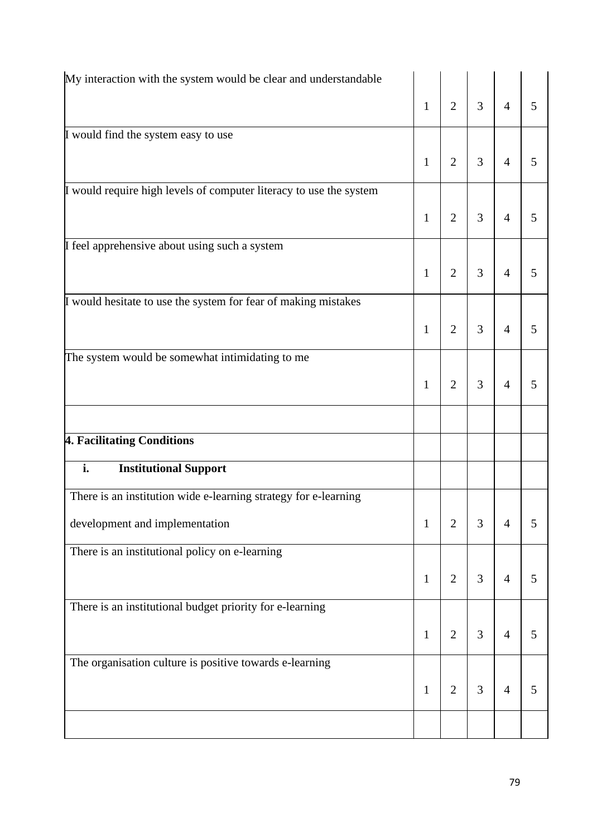| My interaction with the system would be clear and understandable   |              |                |   |                |   |
|--------------------------------------------------------------------|--------------|----------------|---|----------------|---|
|                                                                    | $\mathbf{1}$ | $\overline{2}$ | 3 | $\overline{4}$ | 5 |
| I would find the system easy to use                                |              |                |   |                |   |
|                                                                    | $\mathbf{1}$ | $\overline{2}$ | 3 | $\overline{4}$ | 5 |
| I would require high levels of computer literacy to use the system |              |                |   |                |   |
|                                                                    | $\mathbf{1}$ | $\overline{2}$ | 3 | $\overline{4}$ | 5 |
| I feel apprehensive about using such a system                      |              |                |   |                |   |
|                                                                    | $\mathbf{1}$ | $\overline{2}$ | 3 | $\overline{4}$ | 5 |
| I would hesitate to use the system for fear of making mistakes     |              |                |   |                |   |
|                                                                    | $\mathbf{1}$ | $\overline{2}$ | 3 | $\overline{4}$ | 5 |
| The system would be somewhat intimidating to me                    |              |                |   |                |   |
|                                                                    | $\mathbf{1}$ | $\overline{2}$ | 3 | $\overline{4}$ | 5 |
|                                                                    |              |                |   |                |   |
| 4. Facilitating Conditions                                         |              |                |   |                |   |
| i.<br><b>Institutional Support</b>                                 |              |                |   |                |   |
| There is an institution wide e-learning strategy for e-learning    |              |                |   |                |   |
| development and implementation                                     | $\mathbf{1}$ | $\overline{2}$ | 3 | $\overline{4}$ | 5 |
| There is an institutional policy on e-learning                     |              |                |   |                |   |
|                                                                    | $\mathbf{1}$ | $\overline{2}$ | 3 | $\overline{4}$ | 5 |
| There is an institutional budget priority for e-learning           |              |                |   |                |   |
|                                                                    | $\mathbf{1}$ | $\overline{2}$ | 3 | $\overline{4}$ | 5 |
| The organisation culture is positive towards e-learning            |              |                |   |                |   |
|                                                                    | $\mathbf{1}$ | $\overline{2}$ | 3 | $\overline{4}$ | 5 |
|                                                                    |              |                |   |                |   |
|                                                                    |              |                |   |                |   |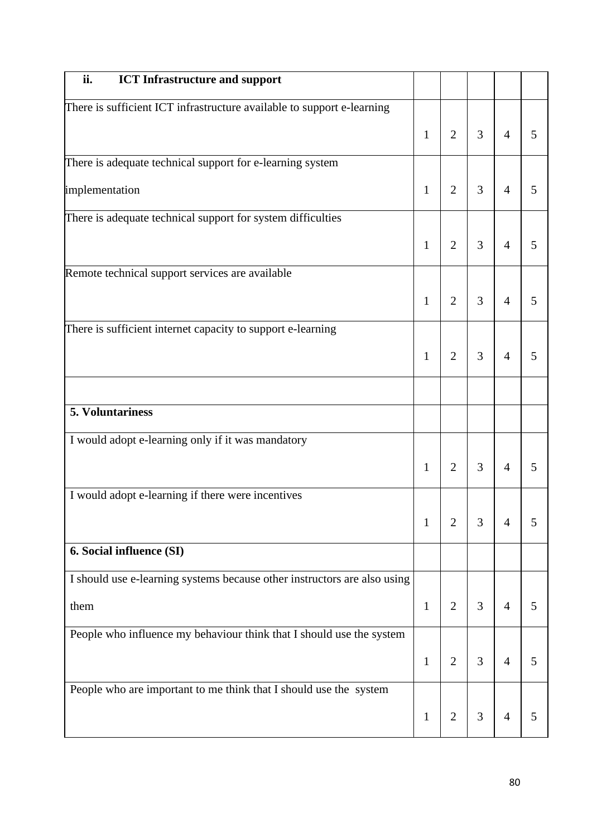| ii.<br><b>ICT</b> Infrastructure and support                             |              |                |   |                |   |
|--------------------------------------------------------------------------|--------------|----------------|---|----------------|---|
| There is sufficient ICT infrastructure available to support e-learning   |              |                |   |                |   |
|                                                                          | $\mathbf{1}$ | $\overline{2}$ | 3 | $\overline{4}$ | 5 |
| There is adequate technical support for e-learning system                |              |                |   |                |   |
| implementation                                                           | $\mathbf{1}$ | $\overline{2}$ | 3 | $\overline{4}$ | 5 |
| There is adequate technical support for system difficulties              |              |                |   |                |   |
|                                                                          | $\mathbf{1}$ | $\overline{2}$ | 3 | $\overline{4}$ | 5 |
| Remote technical support services are available                          |              |                |   |                |   |
|                                                                          | $\mathbf{1}$ | $\overline{2}$ | 3 | $\overline{4}$ | 5 |
| There is sufficient internet capacity to support e-learning              |              |                |   |                |   |
|                                                                          | $\mathbf{1}$ | $\overline{2}$ | 3 | $\overline{4}$ | 5 |
|                                                                          |              |                |   |                |   |
| 5. Voluntariness                                                         |              |                |   |                |   |
| I would adopt e-learning only if it was mandatory                        |              |                |   |                |   |
|                                                                          | $\mathbf{1}$ | $\overline{2}$ | 3 | $\overline{4}$ | 5 |
| I would adopt e-learning if there were incentives                        |              |                |   |                |   |
|                                                                          | $\mathbf{1}$ | $\overline{2}$ | 3 | $\overline{4}$ | 5 |
| 6. Social influence (SI)                                                 |              |                |   |                |   |
| I should use e-learning systems because other instructors are also using |              |                |   |                |   |
| them                                                                     | $\mathbf{1}$ | $\overline{2}$ | 3 | $\overline{4}$ | 5 |
| People who influence my behaviour think that I should use the system     |              |                |   |                |   |
|                                                                          | $\mathbf{1}$ | $\overline{2}$ | 3 | $\overline{4}$ | 5 |
| People who are important to me think that I should use the system        |              |                |   |                |   |
|                                                                          | $\mathbf{1}$ | $\overline{c}$ | 3 | $\overline{4}$ | 5 |